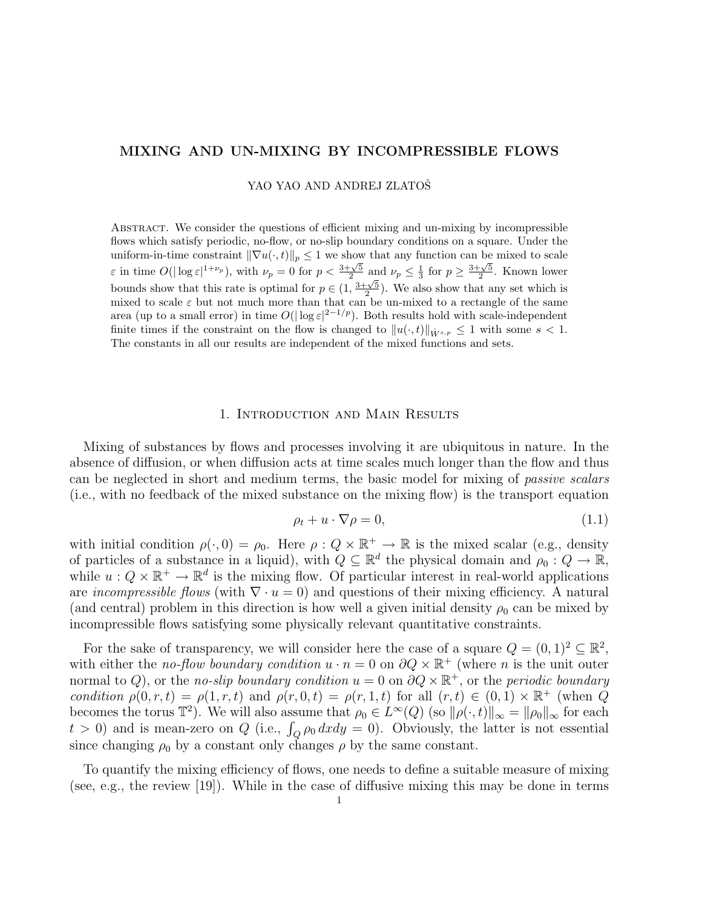# MIXING AND UN-MIXING BY INCOMPRESSIBLE FLOWS

YAO YAO AND ANDREJ ZLATOŠ

Abstract. We consider the questions of efficient mixing and un-mixing by incompressible flows which satisfy periodic, no-flow, or no-slip boundary conditions on a square. Under the uniform-in-time constraint  $\|\nabla u(\cdot,t)\|_p \leq 1$  we show that any function can be mixed to scale  $\varepsilon$  in time  $O(|\log \varepsilon|^{1+\nu_p})$ , with  $\nu_p = 0$  for  $p < \frac{3+\sqrt{5}}{2}$  and  $\nu_p \leq \frac{1}{3}$  for  $p \geq \frac{3+\sqrt{5}}{2}$ . Known lower bounds show that this rate is optimal for  $p \in (1, \frac{3+\sqrt{5}}{2})$ . We also show that any set which is mixed to scale  $\varepsilon$  but not much more than that can be un-mixed to a rectangle of the same area (up to a small error) in time  $O(|\log \varepsilon|^{2-1/p})$ . Both results hold with scale-independent finite times if the constraint on the flow is changed to  $||u(\cdot, t)||_{\dot{W}^{s,p}} \leq 1$  with some  $s < 1$ . The constants in all our results are independent of the mixed functions and sets.

## 1. Introduction and Main Results

Mixing of substances by flows and processes involving it are ubiquitous in nature. In the absence of diffusion, or when diffusion acts at time scales much longer than the flow and thus can be neglected in short and medium terms, the basic model for mixing of passive scalars (i.e., with no feedback of the mixed substance on the mixing flow) is the transport equation

$$
\rho_t + u \cdot \nabla \rho = 0,\tag{1.1}
$$

with initial condition  $\rho(\cdot, 0) = \rho_0$ . Here  $\rho: Q \times \mathbb{R}^+ \to \mathbb{R}$  is the mixed scalar (e.g., density of particles of a substance in a liquid), with  $Q \subseteq \mathbb{R}^d$  the physical domain and  $\rho_0: Q \to \mathbb{R}$ , while  $u: Q \times \mathbb{R}^+ \to \mathbb{R}^d$  is the mixing flow. Of particular interest in real-world applications are *incompressible flows* (with  $\nabla \cdot u = 0$ ) and questions of their mixing efficiency. A natural (and central) problem in this direction is how well a given initial density  $\rho_0$  can be mixed by incompressible flows satisfying some physically relevant quantitative constraints.

For the sake of transparency, we will consider here the case of a square  $Q = (0, 1)^2 \subseteq \mathbb{R}^2$ , with either the no-flow boundary condition  $u \cdot n = 0$  on  $\partial Q \times \mathbb{R}^+$  (where n is the unit outer normal to Q), or the no-slip boundary condition  $u = 0$  on  $\partial Q \times \mathbb{R}^+$ , or the periodic boundary condition  $\rho(0, r, t) = \rho(1, r, t)$  and  $\rho(r, 0, t) = \rho(r, 1, t)$  for all  $(r, t) \in (0, 1) \times \mathbb{R}^+$  (when  $\tilde{Q}$ becomes the torus  $\mathbb{T}^2$ ). We will also assume that  $\rho_0 \in L^{\infty}(Q)$  (so  $\|\rho(\cdot,t)\|_{\infty} = \|\rho_0\|_{\infty}$  for each  $t > 0$ ) and is mean-zero on Q (i.e.,  $\int_{Q} \rho_0 dx dy = 0$ ). Obviously, the latter is not essential since changing  $\rho_0$  by a constant only changes  $\rho$  by the same constant.

To quantify the mixing efficiency of flows, one needs to define a suitable measure of mixing (see, e.g., the review [19]). While in the case of diffusive mixing this may be done in terms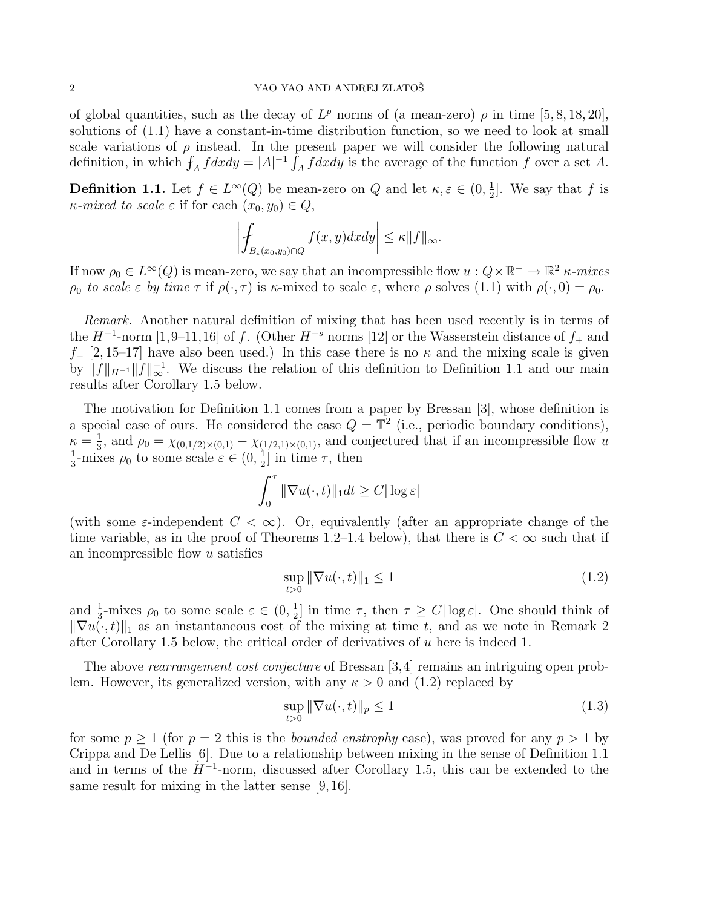of global quantities, such as the decay of  $L^p$  norms of (a mean-zero)  $\rho$  in time [5, 8, 18, 20], solutions of (1.1) have a constant-in-time distribution function, so we need to look at small scale variations of  $\rho$  instead. In the present paper we will consider the following natural definition, in which  $f_A f dx dy = |A|^{-1} \int_A f dx dy$  is the average of the function f over a set A.

**Definition 1.1.** Let  $f \in L^{\infty}(Q)$  be mean-zero on Q and let  $\kappa, \varepsilon \in (0, \frac{1}{2})$  $\frac{1}{2}$ . We say that f is  $\kappa$ -mixed to scale  $\varepsilon$  if for each  $(x_0, y_0) \in Q$ ,

$$
\left| \int_{B_{\varepsilon}(x_0,y_0)\cap Q} f(x,y)dxdy \right| \leq \kappa \|f\|_{\infty}.
$$

If now  $\rho_0 \in L^{\infty}(Q)$  is mean-zero, we say that an incompressible flow  $u: Q \times \mathbb{R}^+ \to \mathbb{R}^2$   $\kappa$ -mixes  $\rho_0$  to scale  $\varepsilon$  by time  $\tau$  if  $\rho(\cdot, \tau)$  is  $\kappa$ -mixed to scale  $\varepsilon$ , where  $\rho$  solves (1.1) with  $\rho(\cdot, 0) = \rho_0$ .

Remark. Another natural definition of mixing that has been used recently is in terms of the  $H^{-1}$ -norm [1,9–11,16] of f. (Other  $H^{-s}$  norms [12] or the Wasserstein distance of  $f_+$  and f<sub>-</sub> [2, 15–17] have also been used.) In this case there is no  $\kappa$  and the mixing scale is given by  $||f||_{H^{-1}}||f||_{\infty}^{-1}$ . We discuss the relation of this definition to Definition 1.1 and our main results after Corollary 1.5 below.

The motivation for Definition 1.1 comes from a paper by Bressan [3], whose definition is a special case of ours. He considered the case  $Q = \mathbb{T}^2$  (i.e., periodic boundary conditions),  $\kappa = \frac{1}{3}$  $\frac{1}{3}$ , and  $\rho_0 = \chi_{(0,1/2)\times(0,1)} - \chi_{(1/2,1)\times(0,1)}$ , and conjectured that if an incompressible flow u 1  $\frac{1}{3}$ -mixes  $\rho_0$  to some scale  $\varepsilon \in (0, \frac{1}{2})$  $\frac{1}{2}$  in time  $\tau$ , then

$$
\int_0^\tau \|\nabla u(\cdot, t)\|_1 dt \ge C |\log \varepsilon|
$$

(with some  $\varepsilon$ -independent  $C < \infty$ ). Or, equivalently (after an appropriate change of the time variable, as in the proof of Theorems 1.2–1.4 below), that there is  $C < \infty$  such that if an incompressible flow u satisfies

$$
\sup_{t>0} \|\nabla u(\cdot, t)\|_{1} \le 1\tag{1.2}
$$

and  $\frac{1}{3}$ -mixes  $\rho_0$  to some scale  $\varepsilon \in (0, \frac{1}{2})$  $\frac{1}{2}$  in time  $\tau$ , then  $\tau \ge C |\log \varepsilon|$ . One should think of  $\|\nabla u(\cdot, t)\|_1$  as an instantaneous cost of the mixing at time t, and as we note in Remark 2 after Corollary 1.5 below, the critical order of derivatives of u here is indeed 1.

The above *rearrangement cost conjecture* of Bressan [3, 4] remains an intriguing open problem. However, its generalized version, with any  $\kappa > 0$  and (1.2) replaced by

$$
\sup_{t>0} \|\nabla u(\cdot, t)\|_{p} \le 1\tag{1.3}
$$

for some  $p \ge 1$  (for  $p = 2$  this is the *bounded enstrophy* case), was proved for any  $p > 1$  by Crippa and De Lellis [6]. Due to a relationship between mixing in the sense of Definition 1.1 and in terms of the  $H^{-1}$ -norm, discussed after Corollary 1.5, this can be extended to the same result for mixing in the latter sense [9, 16].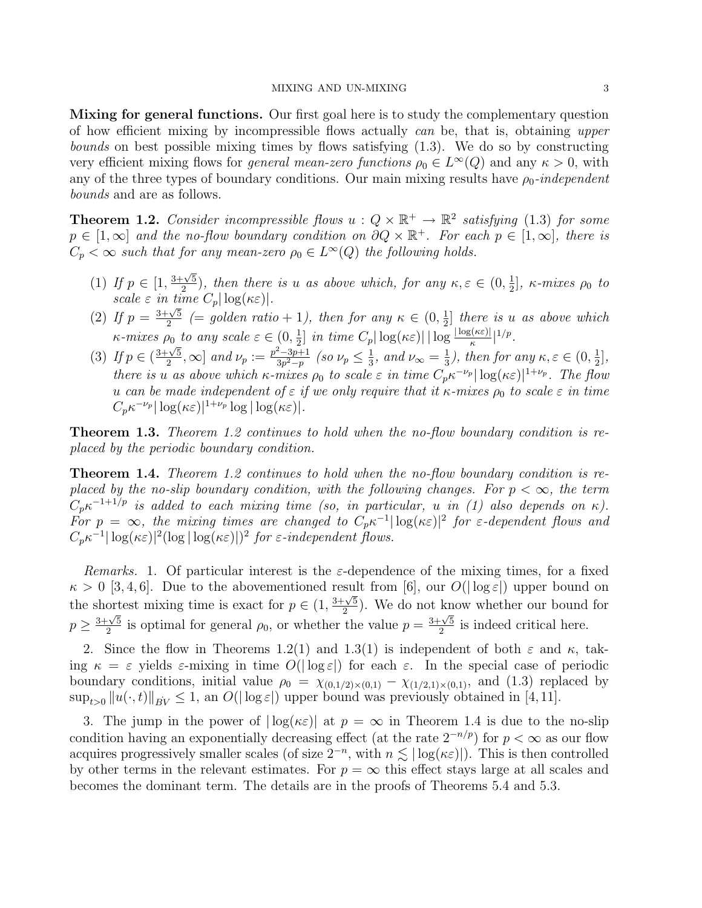Mixing for general functions. Our first goal here is to study the complementary question of how efficient mixing by incompressible flows actually can be, that is, obtaining upper bounds on best possible mixing times by flows satisfying (1.3). We do so by constructing very efficient mixing flows for *general mean-zero functions*  $\rho_0 \in L^{\infty}(Q)$  and any  $\kappa > 0$ , with any of the three types of boundary conditions. Our main mixing results have  $\rho_0$ -independent bounds and are as follows.

**Theorem 1.2.** Consider incompressible flows  $u: Q \times \mathbb{R}^+ \to \mathbb{R}^2$  satisfying (1.3) for some  $p \in [1,\infty]$  and the no-flow boundary condition on  $\partial Q \times \mathbb{R}^+$ . For each  $p \in [1,\infty]$ , there is  $C_p < \infty$  such that for any mean-zero  $\rho_0 \in L^{\infty}(Q)$  the following holds.

- (1) If  $p \in [1,$  $3+\sqrt{5}$  $\frac{1}{2}(\frac{\sqrt{5}}{2})$ , then there is u as above which, for any  $\kappa, \varepsilon \in (0, \frac{1}{2})$  $\frac{1}{2}$ ], κ-mixes  $\rho_0$  to scale  $\varepsilon$  in time  $C_p |\log(\kappa \varepsilon)|$ .
- (2) If  $p = \frac{3+\sqrt{5}}{2}$  $\frac{\sqrt{5}}{2}$  (= golden ratio + 1), then for any  $\kappa \in (0, \frac{1}{2})$  $\frac{1}{2}$  there is u as above which  $\kappa$ -mixes  $\rho_0$  to any scale  $\varepsilon \in (0, \frac{1}{2})$  $\frac{1}{2}$ ] in time  $C_p |\log(\kappa \varepsilon)| |\log \frac{|\log(\kappa \varepsilon)|}{\kappa}|^{1/p}$ .
- (3) If  $p \in ($ 3+<sup>√</sup> 5  $\left[\frac{1}{2}, \infty\right]$  and  $\nu_p := \frac{p^2 - 3p + 1}{3p^2 - p}$  $\frac{2-3p+1}{3p^2-p}$  (so  $\nu_p \leq \frac{1}{3}$  $\frac{1}{3}$ , and  $\nu_{\infty} = \frac{1}{3}$  $(\frac{1}{3})$ , then for any  $\kappa, \varepsilon \in (0, \frac{1}{2})$  $\frac{1}{2}$ , there is u as above which  $\kappa$ -mixes  $\rho_0$  to scale  $\varepsilon$  in time  $C_p \kappa^{-\nu_p} |\log(\kappa \varepsilon)|^{1+\nu_p}$ . The flow u can be made independent of  $\varepsilon$  if we only require that it  $\kappa$ -mixes  $\rho_0$  to scale  $\varepsilon$  in time  $C_p \kappa^{-\nu_p} |\log(\kappa \varepsilon)|^{1+\nu_p} \log |\log(\kappa \varepsilon)|.$

**Theorem 1.3.** Theorem 1.2 continues to hold when the no-flow boundary condition is replaced by the periodic boundary condition.

**Theorem 1.4.** Theorem 1.2 continues to hold when the no-flow boundary condition is replaced by the no-slip boundary condition, with the following changes. For  $p < \infty$ , the term  $C_p \kappa^{-1+1/p}$  is added to each mixing time (so, in particular, u in (1) also depends on  $\kappa$ ). For  $p = \infty$ , the mixing times are changed to  $C_p \kappa^{-1} |\log(\kappa \varepsilon)|^2$  for  $\varepsilon$ -dependent flows and  $C_p \kappa^{-1} |\log(\kappa \varepsilon)|^2 (\log |\log(\kappa \varepsilon)|)^2$  for  $\varepsilon$ -independent flows.

Remarks. 1. Of particular interest is the  $\varepsilon$ -dependence of the mixing times, for a fixed  $\kappa > 0$  [3, 4, 6]. Due to the abovementioned result from [6], our  $O(|\log \varepsilon|)$  upper bound on the shortest mixing time is exact for  $p \in (1,$  $\frac{1}{3+\sqrt{5}}$  $\frac{2-\sqrt{5}}{2}$ ). We do not know whether our bound for  $p \geq$ 3+<sup>√</sup> 5  $\frac{1}{2}$  is optimal for general  $\rho_0$ , or whether the value  $p = \frac{3+\sqrt{5}}{2}$  $\frac{1}{2}$  is indeed critical here.

2. Since the flow in Theorems 1.2(1) and 1.3(1) is independent of both  $\varepsilon$  and  $\kappa$ , taking  $\kappa = \varepsilon$  yields  $\varepsilon$ -mixing in time  $O(|\log \varepsilon|)$  for each  $\varepsilon$ . In the special case of periodic boundary conditions, initial value  $\rho_0 = \chi_{(0,1/2)\times(0,1)} - \chi_{(1/2,1)\times(0,1)}$ , and (1.3) replaced by  $\sup_{t>0} ||u(\cdot, t)||_{BV} \leq 1$ , an  $O(|\log \varepsilon|)$  upper bound was previously obtained in [4, 11].

3. The jump in the power of  $|\log(\kappa \varepsilon)|$  at  $p = \infty$  in Theorem 1.4 is due to the no-slip condition having an exponentially decreasing effect (at the rate  $2^{-n/p}$ ) for  $p < \infty$  as our flow acquires progressively smaller scales (of size  $2^{-n}$ , with  $n \lesssim |\log(\kappa \varepsilon)|$ ). This is then controlled by other terms in the relevant estimates. For  $p = \infty$  this effect stays large at all scales and becomes the dominant term. The details are in the proofs of Theorems 5.4 and 5.3.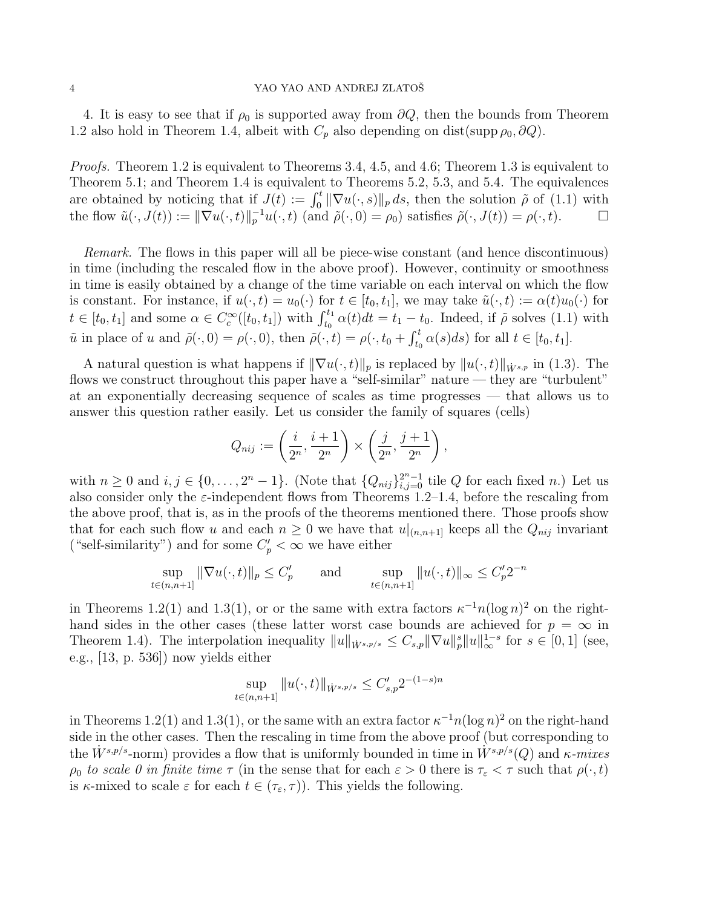### 4 YAO YAO AND ANDREJ ZLATOŠ

4. It is easy to see that if  $\rho_0$  is supported away from  $\partial Q$ , then the bounds from Theorem 1.2 also hold in Theorem 1.4, albeit with  $C_p$  also depending on dist(supp  $\rho_0$ ,  $\partial Q$ ).

*Proofs.* Theorem 1.2 is equivalent to Theorems 3.4, 4.5, and 4.6; Theorem 1.3 is equivalent to Theorem 5.1; and Theorem 1.4 is equivalent to Theorems 5.2, 5.3, and 5.4. The equivalences are obtained by noticing that if  $J(t) := \int_0^t ||\nabla u(\cdot, s)||_p ds$ , then the solution  $\tilde{\rho}$  of (1.1) with the flow  $\tilde{u}(\cdot, J(t)) := \|\nabla u(\cdot, t)\|_p^{-1} u(\cdot, t)$  (and  $\tilde{\rho}(\cdot, 0) = \rho_0$ ) satisfies  $\tilde{\rho}(\cdot, J(t)) = \rho(\cdot, t)$ .

Remark. The flows in this paper will all be piece-wise constant (and hence discontinuous) in time (including the rescaled flow in the above proof). However, continuity or smoothness in time is easily obtained by a change of the time variable on each interval on which the flow is constant. For instance, if  $u(\cdot, t) = u_0(\cdot)$  for  $t \in [t_0, t_1]$ , we may take  $\tilde{u}(\cdot, t) := \alpha(t)u_0(\cdot)$  for  $t \in [t_0, t_1]$  and some  $\alpha \in C_c^{\infty}([t_0, t_1])$  with  $\int_{t_0}^{t_1} \alpha(t)dt = t_1 - t_0$ . Indeed, if  $\tilde{\rho}$  solves (1.1) with  $\tilde{u}$  in place of u and  $\tilde{\rho}(\cdot, 0) = \rho(\cdot, 0)$ , then  $\tilde{\rho}(\cdot, t) = \rho(\cdot, t_0 + \int_{t_0}^t \alpha(s) ds)$  for all  $t \in [t_0, t_1]$ .

A natural question is what happens if  $\|\nabla u(\cdot, t)\|_p$  is replaced by  $\|u(\cdot, t)\|_{\dot{W}^{s,p}}$  in (1.3). The flows we construct throughout this paper have a "self-similar" nature — they are "turbulent" at an exponentially decreasing sequence of scales as time progresses — that allows us to answer this question rather easily. Let us consider the family of squares (cells)

$$
Q_{nij} := \left(\frac{i}{2^n}, \frac{i+1}{2^n}\right) \times \left(\frac{j}{2^n}, \frac{j+1}{2^n}\right),\,
$$

with  $n \geq 0$  and  $i, j \in \{0, \ldots, 2^n - 1\}$ . (Note that  $\{Q_{nij}\}_{i,j=0}^{2^n - 1}$  tile Q for each fixed n.) Let us also consider only the  $\varepsilon$ -independent flows from Theorems 1.2–1.4, before the rescaling from the above proof, that is, as in the proofs of the theorems mentioned there. Those proofs show that for each such flow u and each  $n \geq 0$  we have that  $u|_{(n,n+1]}$  keeps all the  $Q_{nij}$  invariant ("self-similarity") and for some  $C'_p<\infty$  we have either

$$
\sup_{t \in (n,n+1]} \|\nabla u(\cdot, t)\|_{p} \le C'_{p} \quad \text{and} \quad \sup_{t \in (n,n+1]} \|u(\cdot, t)\|_{\infty} \le C'_{p} 2^{-n}
$$

in Theorems 1.2(1) and 1.3(1), or or the same with extra factors  $\kappa^{-1} n (\log n)^2$  on the righthand sides in the other cases (these latter worst case bounds are achieved for  $p = \infty$  in Theorem 1.4). The interpolation inequality  $||u||_{\dot{W}^{s,p/s}} \leq C_{s,p} ||\nabla u||_p^s ||u||_{\infty}^{1-s}$  for  $s \in [0,1]$  (see, e.g., [13, p. 536]) now yields either

$$
\sup_{t \in (n,n+1]} \|u(\cdot,t)\|_{\dot{W}^{s,p/s}} \leq C'_{s,p} 2^{-(1-s)n}
$$

in Theorems 1.2(1) and 1.3(1), or the same with an extra factor  $\kappa^{-1} n(\log n)^2$  on the right-hand side in the other cases. Then the rescaling in time from the above proof (but corresponding to the  $\dot{W}^{s,p/s}$ -norm) provides a flow that is uniformly bounded in time in  $\dot{W}^{s,p/s}(Q)$  and  $\kappa$ -mixes  $\rho_0$  to scale 0 in finite time  $\tau$  (in the sense that for each  $\varepsilon > 0$  there is  $\tau_{\varepsilon} < \tau$  such that  $\rho(\cdot, t)$ is  $\kappa$ -mixed to scale  $\varepsilon$  for each  $t \in (\tau_{\varepsilon}, \tau)$ ). This yields the following.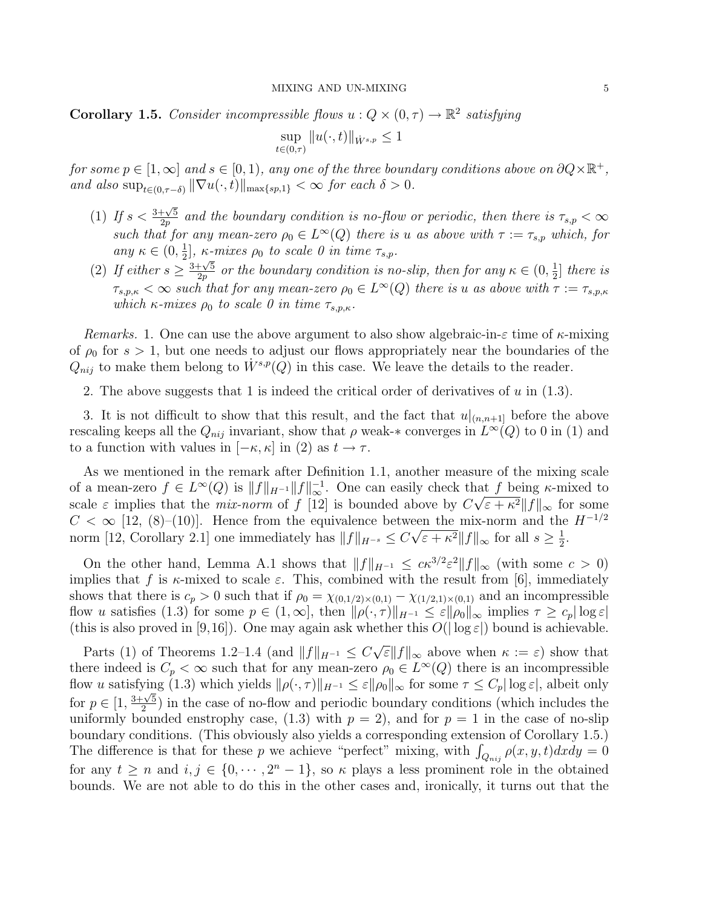**Corollary 1.5.** Consider incompressible flows  $u: Q \times (0, \tau) \to \mathbb{R}^2$  satisfying

$$
\sup_{t \in (0,\tau)} \|u(\cdot,t)\|_{\dot{W}^{s,p}} \le 1
$$

for some  $p \in [1, \infty]$  and  $s \in [0, 1)$ , any one of the three boundary conditions above on  $\partial Q \times \mathbb{R}^+$ , and also  $\sup_{t\in(0,\tau-\delta)} \|\nabla u(\cdot,t)\|_{\max\{sp,1\}} < \infty$  for each  $\delta > 0$ .

- (1) If  $s < \frac{3+\sqrt{5}}{2n}$  $\frac{1+\sqrt{5}}{2p}$  and the boundary condition is no-flow or periodic, then there is  $\tau_{s,p} < \infty$ such that for any mean-zero  $\rho_0 \in L^{\infty}(Q)$  there is u as above with  $\tau := \tau_{s,p}$  which, for any  $\kappa \in (0, \frac{1}{2})$  $\frac{1}{2}$ ,  $\kappa$ -mixes  $\rho_0$  to scale 0 in time  $\tau_{s,p}$ .
- (2) If either  $s \geq$ <sub>1</sub>,.。<br><u>3+√5</u>  $\frac{1+\sqrt{5}}{2p}$  or the boundary condition is no-slip, then for any  $\kappa \in (0, \frac{1}{2})$  $\frac{1}{2}$  there is  $\tau_{s,p,\kappa} < \infty$  such that for any mean-zero  $\rho_0 \in L^{\infty}(Q)$  there is u as above with  $\tau := \tau_{s,p,\kappa}$ which  $\kappa$ -mixes  $\rho_0$  to scale 0 in time  $\tau_{s,p,\kappa}$ .

Remarks. 1. One can use the above argument to also show algebraic-in- $\varepsilon$  time of  $\kappa$ -mixing of  $\rho_0$  for  $s > 1$ , but one needs to adjust our flows appropriately near the boundaries of the  $Q_{nij}$  to make them belong to  $\dot{W}^{s,p}(Q)$  in this case. We leave the details to the reader.

2. The above suggests that 1 is indeed the critical order of derivatives of  $u$  in (1.3).

3. It is not difficult to show that this result, and the fact that  $u|_{(n,n+1)}$  before the above rescaling keeps all the  $Q_{nij}$  invariant, show that  $\rho$  weak-\* converges in  $L^{\infty}(Q)$  to 0 in (1) and to a function with values in  $[-\kappa, \kappa]$  in (2) as  $t \to \tau$ .

As we mentioned in the remark after Definition 1.1, another measure of the mixing scale of a mean-zero  $f \in L^{\infty}(Q)$  is  $||f||_{H^{-1}}||f||_{\infty}^{-1}$ . One can easily check that f being  $\kappa$ -mixed to scale  $\varepsilon$  implies that the *mix-norm* of  $f$  [12] is bounded above by  $C\sqrt{\varepsilon + \kappa^2} ||f||_{\infty}$  for some  $C < \infty$  [12, (8)–(10)]. Hence from the equivalence between the mix-norm and the  $H^{-1/2}$ norm [12, Corollary 2.1] one immediately has  $||f||_{H^{-s}} \leq C\sqrt{\varepsilon + \kappa^2}||f||_{\infty}$  for all  $s \geq \frac{1}{2}$  $\frac{1}{2}$ .

On the other hand, Lemma A.1 shows that  $||f||_{H^{-1}} \leq c\kappa^{3/2} \varepsilon^2 ||f||_{\infty}$  (with some  $c > 0$ ) implies that f is  $\kappa$ -mixed to scale  $\varepsilon$ . This, combined with the result from [6], immediately shows that there is  $c_p > 0$  such that if  $\rho_0 = \chi_{(0,1/2)\times(0,1)} - \chi_{(1/2,1)\times(0,1)}$  and an incompressible flow u satisfies (1.3) for some  $p \in (1,\infty]$ , then  $\|\rho(\cdot,\tau)\|_{H^{-1}} \leq \varepsilon \|\rho_0\|_{\infty}$  implies  $\tau \geq c_p |\log \varepsilon|$ (this is also proved in [9,16]). One may again ask whether this  $O(|\log \varepsilon|)$  bound is achievable.

Parts (1) of Theorems 1.2–1.4 (and  $||f||_{H^{-1}} \leq C \sqrt{\varepsilon} ||f||_{\infty}$  above when  $\kappa := \varepsilon$ ) show that there indeed is  $C_p < \infty$  such that for any mean-zero  $\rho_0 \in L^{\infty}(Q)$  there is an incompressible flow u satisfying (1.3) which yields  $\|\rho(\cdot, \tau)\|_{H^{-1}} \leq \varepsilon \|\rho_0\|_{\infty}$  for some  $\tau \leq C_p |\log \varepsilon|$ , albeit only for  $p \in [1,$ 3+<sup>√</sup> 5  $\frac{2}{2}$ ) in the case of no-flow and periodic boundary conditions (which includes the uniformly bounded enstrophy case, (1.3) with  $p = 2$ , and for  $p = 1$  in the case of no-slip boundary conditions. (This obviously also yields a corresponding extension of Corollary 1.5.) The difference is that for these p we achieve "perfect" mixing, with  $\int_{Q_{nij}} \rho(x, y, t) dx dy = 0$ for any  $t \geq n$  and  $i, j \in \{0, \dots, 2^n - 1\}$ , so  $\kappa$  plays a less prominent role in the obtained bounds. We are not able to do this in the other cases and, ironically, it turns out that the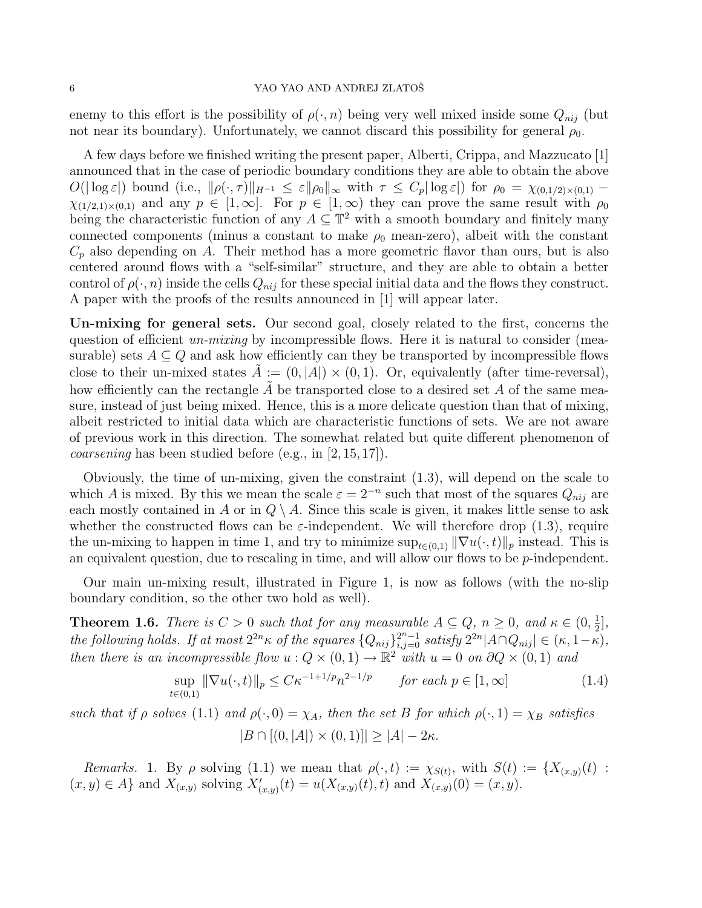enemy to this effort is the possibility of  $\rho(\cdot, n)$  being very well mixed inside some  $Q_{nij}$  (but not near its boundary). Unfortunately, we cannot discard this possibility for general  $\rho_0$ .

A few days before we finished writing the present paper, Alberti, Crippa, and Mazzucato [1] announced that in the case of periodic boundary conditions they are able to obtain the above  $O(|\log \varepsilon|)$  bound (i.e.,  $\|\rho(\cdot,\tau)\|_{H^{-1}} \leq \varepsilon \|\rho_0\|_{\infty}$  with  $\tau \leq C_p |\log \varepsilon|$ ) for  $\rho_0 = \chi_{(0,1/2)\times(0,1)}$  $\chi_{(1/2,1)\times(0,1)}$  and any  $p \in [1,\infty]$ . For  $p \in [1,\infty)$  they can prove the same result with  $\rho_0$ being the characteristic function of any  $A \subseteq \mathbb{T}^2$  with a smooth boundary and finitely many connected components (minus a constant to make  $\rho_0$  mean-zero), albeit with the constant  $C_p$  also depending on A. Their method has a more geometric flavor than ours, but is also centered around flows with a "self-similar" structure, and they are able to obtain a better control of  $\rho(\cdot, n)$  inside the cells  $Q_{nij}$  for these special initial data and the flows they construct. A paper with the proofs of the results announced in [1] will appear later.

Un-mixing for general sets. Our second goal, closely related to the first, concerns the question of efficient un-mixing by incompressible flows. Here it is natural to consider (measurable) sets  $A \subseteq Q$  and ask how efficiently can they be transported by incompressible flows close to their un-mixed states  $\tilde{A} := (0, |A|) \times (0, 1)$ . Or, equivalently (after time-reversal), how efficiently can the rectangle  $\tilde{A}$  be transported close to a desired set A of the same measure, instead of just being mixed. Hence, this is a more delicate question than that of mixing, albeit restricted to initial data which are characteristic functions of sets. We are not aware of previous work in this direction. The somewhat related but quite different phenomenon of coarsening has been studied before (e.g., in [2, 15, 17]).

Obviously, the time of un-mixing, given the constraint (1.3), will depend on the scale to which A is mixed. By this we mean the scale  $\varepsilon = 2^{-n}$  such that most of the squares  $Q_{nij}$  are each mostly contained in A or in  $Q \setminus A$ . Since this scale is given, it makes little sense to ask whether the constructed flows can be  $\varepsilon$ -independent. We will therefore drop (1.3), require the un-mixing to happen in time 1, and try to minimize  $\sup_{t\in(0,1)} \|\nabla u(\cdot,t)\|_p$  instead. This is an equivalent question, due to rescaling in time, and will allow our flows to be  $p$ -independent.

Our main un-mixing result, illustrated in Figure 1, is now as follows (with the no-slip boundary condition, so the other two hold as well).

**Theorem 1.6.** There is  $C > 0$  such that for any measurable  $A \subseteq Q$ ,  $n \ge 0$ , and  $\kappa \in (0, \frac{1}{2})$  $\frac{1}{2}$ , the following holds. If at most  $2^{2n} \kappa$  of the squares  $\{Q_{nij}\}_{i,j=0}^{2n-1}$  satisfy  $2^{2n}|A \cap Q_{nij}| \in (\kappa, 1-\kappa)$ , then there is an incompressible flow  $u: Q \times (0, 1) \to \mathbb{R}^2$  with  $u = 0$  on  $\partial Q \times (0, 1)$  and

$$
\sup_{t \in (0,1)} \|\nabla u(\cdot, t)\|_{p} \le C\kappa^{-1+1/p} n^{2-1/p} \qquad \text{for each } p \in [1, \infty]
$$
 (1.4)

such that if  $\rho$  solves (1.1) and  $\rho(\cdot, 0) = \chi_A$ , then the set B for which  $\rho(\cdot, 1) = \chi_B$  satisfies  $|B \cap [(0, |A|) \times (0, 1)]| > |A| - 2\kappa.$ 

Remarks. 1. By  $\rho$  solving (1.1) we mean that  $\rho(\cdot,t) := \chi_{S(t)}$ , with  $S(t) := \{X_{(x,y)}(t) :$  $(x, y) \in A$  and  $X_{(x,y)}$  solving  $X'_{(x,y)}(t) = u(X_{(x,y)}(t), t)$  and  $X_{(x,y)}(0) = (x, y)$ .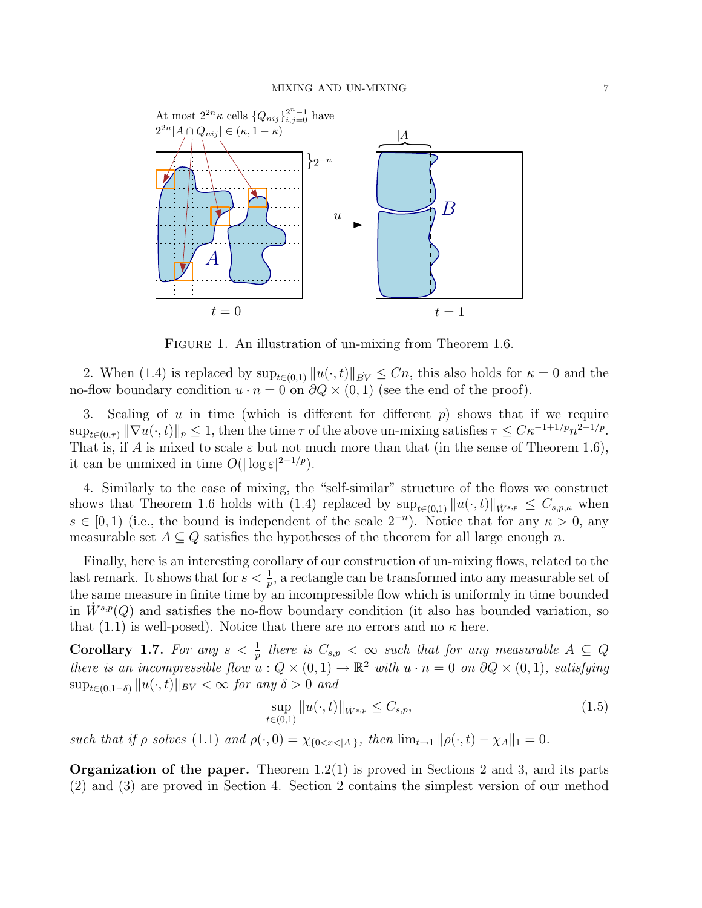

FIGURE 1. An illustration of un-mixing from Theorem 1.6.

2. When (1.4) is replaced by  $\sup_{t\in(0,1)} ||u(\cdot,t)||_{BV} \leq Cn$ , this also holds for  $\kappa = 0$  and the no-flow boundary condition  $u \cdot n = 0$  on  $\partial Q \times (0, 1)$  (see the end of the proof).

3. Scaling of  $u$  in time (which is different for different  $p$ ) shows that if we require  $\sup_{t\in(0,\tau)} \|\nabla u(\cdot,t)\|_p \leq 1$ , then the time  $\tau$  of the above un-mixing satisfies  $\tau \leq C\kappa^{-1+1/p}n^{2-1/p}$ . That is, if A is mixed to scale  $\varepsilon$  but not much more than that (in the sense of Theorem 1.6), it can be unmixed in time  $O(|\log \varepsilon|^{2-1/p}).$ 

4. Similarly to the case of mixing, the "self-similar" structure of the flows we construct shows that Theorem 1.6 holds with (1.4) replaced by  $\sup_{t\in(0,1)} ||u(\cdot,t)||_{\dot{W}^{s,p}} \leq C_{s,p,\kappa}$  when  $s \in [0,1)$  (i.e., the bound is independent of the scale  $2^{-n}$ ). Notice that for any  $\kappa > 0$ , any measurable set  $A \subseteq Q$  satisfies the hypotheses of the theorem for all large enough n.

Finally, here is an interesting corollary of our construction of un-mixing flows, related to the last remark. It shows that for  $s < \frac{1}{p}$ , a rectangle can be transformed into any measurable set of the same measure in finite time by an incompressible flow which is uniformly in time bounded in  $W^{s,p}(Q)$  and satisfies the no-flow boundary condition (it also has bounded variation, so that (1.1) is well-posed). Notice that there are no errors and no  $\kappa$  here.

**Corollary 1.7.** For any  $s < \frac{1}{p}$  there is  $C_{s,p} < \infty$  such that for any measurable  $A \subseteq Q$ there is an incompressible flow  $u: Q \times (0,1) \to \mathbb{R}^2$  with  $u \cdot n = 0$  on  $\partial Q \times (0,1)$ , satisfying  $\sup_{t\in(0,1-\delta)}||u(\cdot,t)||_{BV}<\infty$  for any  $\delta>0$  and

$$
\sup_{t \in (0,1)} \|u(\cdot,t)\|_{\dot{W}^{s,p}} \le C_{s,p},\tag{1.5}
$$

such that if  $\rho$  solves (1.1) and  $\rho(\cdot, 0) = \chi_{0 \le x \le |A|}$ , then  $\lim_{t \to 1} ||\rho(\cdot, t) - \chi_A||_1 = 0$ .

**Organization of the paper.** Theorem  $1.2(1)$  is proved in Sections 2 and 3, and its parts (2) and (3) are proved in Section 4. Section 2 contains the simplest version of our method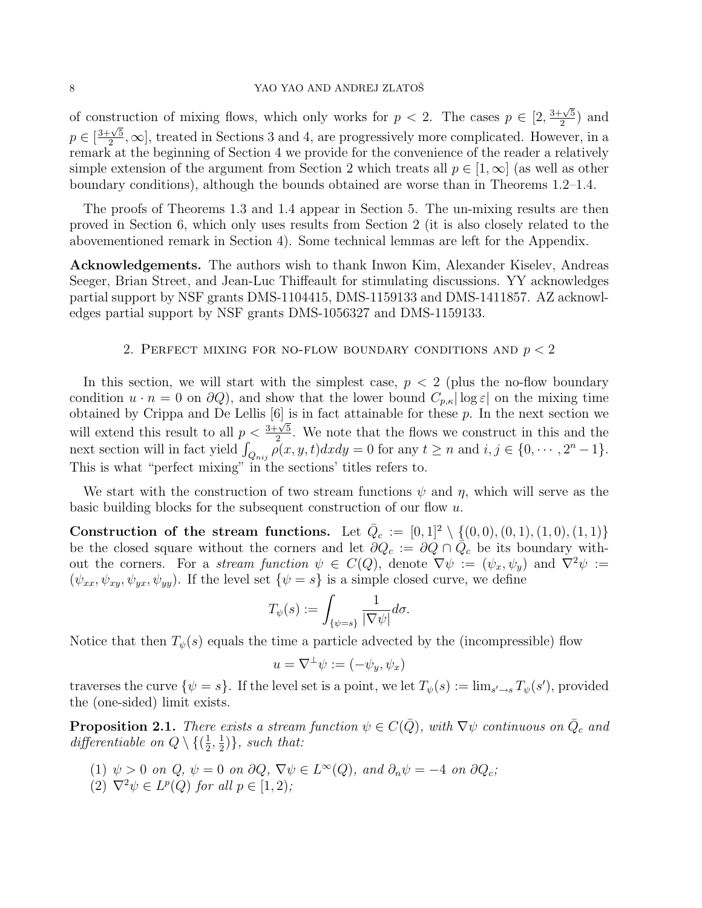### 8 YAO YAO AND ANDREJ ZLATOŠ

of construction of mixing flows, which only works for  $p < 2$ . The cases  $p \in [2, 1]$  $3+\sqrt{5}$  $\frac{\sqrt{5}}{2}$  and  $p \in [$  $\frac{11881}{3 + \sqrt{5}}$  $\frac{\sqrt{5}}{2}$ ,  $\infty$ , treated in Sections 3 and 4, are progressively more complicated. However, in a remark at the beginning of Section 4 we provide for the convenience of the reader a relatively simple extension of the argument from Section 2 which treats all  $p \in [1,\infty]$  (as well as other boundary conditions), although the bounds obtained are worse than in Theorems 1.2–1.4.

The proofs of Theorems 1.3 and 1.4 appear in Section 5. The un-mixing results are then proved in Section 6, which only uses results from Section 2 (it is also closely related to the abovementioned remark in Section 4). Some technical lemmas are left for the Appendix.

Acknowledgements. The authors wish to thank Inwon Kim, Alexander Kiselev, Andreas Seeger, Brian Street, and Jean-Luc Thiffeault for stimulating discussions. YY acknowledges partial support by NSF grants DMS-1104415, DMS-1159133 and DMS-1411857. AZ acknowledges partial support by NSF grants DMS-1056327 and DMS-1159133.

## 2. PERFECT MIXING FOR NO-FLOW BOUNDARY CONDITIONS AND  $p < 2$

In this section, we will start with the simplest case,  $p < 2$  (plus the no-flow boundary condition  $u \cdot n = 0$  on  $\partial Q$ ), and show that the lower bound  $C_{p,\kappa} |\log \varepsilon|$  on the mixing time obtained by Crippa and De Lellis  $[6]$  is in fact attainable for these p. In the next section we will extend this result to all  $p < \frac{3+\sqrt{5}}{2}$  $\frac{2}{2}$ . We note that the flows we construct in this and the next section will in fact yield  $\int_{Q_{nij}} \rho(x, y, t) dx dy = 0$  for any  $t \ge n$  and  $i, j \in \{0, \cdots, 2^n - 1\}$ . This is what "perfect mixing" in the sections' titles refers to.

We start with the construction of two stream functions  $\psi$  and  $\eta$ , which will serve as the basic building blocks for the subsequent construction of our flow  $u$ .

Construction of the stream functions. Let  $\bar{Q}_c := [0,1]^2 \setminus \{(0,0), (0,1), (1,0), (1,1)\}$ be the closed square without the corners and let  $\partial Q_c := \partial Q \cap \overline{Q}_c$  be its boundary without the corners. For a stream function  $\psi \in C(Q)$ , denote  $\nabla \psi := (\psi_x, \psi_y)$  and  $\nabla^2 \psi :=$  $(\psi_{xx}, \psi_{xy}, \psi_{yx}, \psi_{yy})$ . If the level set  $\{\psi = s\}$  is a simple closed curve, we define

$$
T_{\psi}(s) := \int_{\{\psi = s\}} \frac{1}{|\nabla \psi|} d\sigma.
$$

Notice that then  $T_{\psi}(s)$  equals the time a particle advected by the (incompressible) flow

$$
u = \nabla^{\perp}\psi := (-\psi_y, \psi_x)
$$

traverses the curve  $\{\psi = s\}$ . If the level set is a point, we let  $T_{\psi}(s) := \lim_{s' \to s} T_{\psi}(s')$ , provided the (one-sided) limit exists.

**Proposition 2.1.** There exists a stream function  $\psi \in C(\overline{Q})$ , with  $\nabla \psi$  continuous on  $\overline{Q}_c$  and differentiable on  $Q \setminus \{(\frac{1}{2})\}$  $\frac{1}{2}, \frac{1}{2}$  $\frac{1}{2}$ }, such that:

- (1)  $\psi > 0$  on  $Q, \psi = 0$  on  $\partial Q, \nabla \psi \in L^{\infty}(Q)$ , and  $\partial_n \psi = -4$  on  $\partial Q_c$ ;
- (2)  $\nabla^2 \psi \in L^p(Q)$  for all  $p \in [1,2)$ ;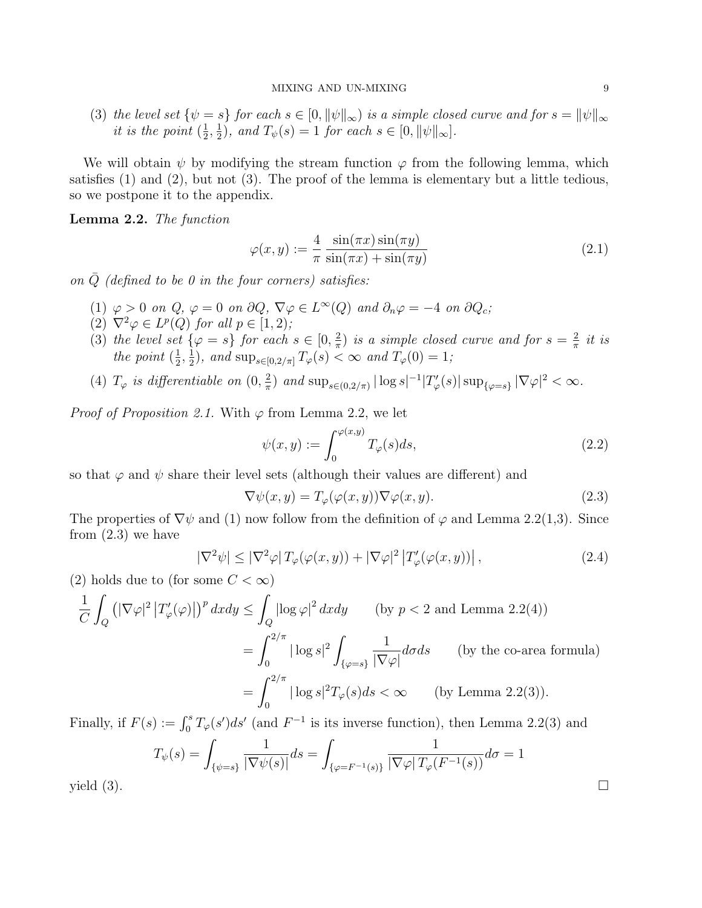(3) the level set  $\{\psi = s\}$  for each  $s \in [0, \|\psi\|_{\infty})$  is a simple closed curve and for  $s = \|\psi\|_{\infty}$ *it is the point*  $\left(\frac{1}{2}\right)$  $\frac{1}{2}, \frac{1}{2}$  $\frac{1}{2}$ , and  $T_{\psi}(s) = 1$  for each  $s \in [0, ||\psi||_{\infty}]$ .

We will obtain  $\psi$  by modifying the stream function  $\varphi$  from the following lemma, which satisfies (1) and (2), but not (3). The proof of the lemma is elementary but a little tedious, so we postpone it to the appendix.

Lemma 2.2. The function

$$
\varphi(x,y) := \frac{4}{\pi} \frac{\sin(\pi x)\sin(\pi y)}{\sin(\pi x) + \sin(\pi y)}
$$
(2.1)

on  $\overline{Q}$  (defined to be 0 in the four corners) satisfies:

- (1)  $\varphi > 0$  on  $Q, \varphi = 0$  on  $\partial Q, \nabla \varphi \in L^{\infty}(Q)$  and  $\partial_n \varphi = -4$  on  $\partial Q_c;$
- $(2) \nabla^2 \varphi \in L^p(Q)$  for all  $p \in [1, 2)$ ;
- (3) the level set  $\{\varphi = s\}$  for each  $s \in [0, \frac{2}{\pi}]$  $\frac{2}{\pi}$ ) is a simple closed curve and for  $s = \frac{2}{\pi}$  $rac{2}{\pi}$  it is the point  $(\frac{1}{2})$  $\frac{1}{2}, \frac{1}{2}$  $\frac{1}{2}$ ), and  $\sup_{s\in[0,2/\pi]}T_{\varphi}(s)<\infty$  and  $T_{\varphi}(0)=1$ ;
- (4)  $T_{\varphi}$  is differentiable on  $(0, \frac{2}{\pi})$  $\frac{2}{\pi}$ ) and  $\sup_{s \in (0,2/\pi)} |\log s|^{-1} |T'_{\varphi}(s)| \sup_{\{\varphi = s\}} |\nabla \varphi|^2 < \infty$ .

*Proof of Proposition 2.1.* With  $\varphi$  from Lemma 2.2, we let

$$
\psi(x,y) := \int_0^{\varphi(x,y)} T_{\varphi}(s) ds,
$$
\n(2.2)

so that  $\varphi$  and  $\psi$  share their level sets (although their values are different) and

$$
\nabla \psi(x, y) = T_{\varphi}(\varphi(x, y)) \nabla \varphi(x, y). \tag{2.3}
$$

The properties of  $\nabla \psi$  and (1) now follow from the definition of  $\varphi$  and Lemma 2.2(1,3). Since from (2.3) we have

$$
|\nabla^2 \psi| \le |\nabla^2 \varphi| \, T_{\varphi}(\varphi(x, y)) + |\nabla \varphi|^2 \left| T_{\varphi}'(\varphi(x, y)) \right|, \tag{2.4}
$$

(2) holds due to (for some  $C < \infty$ )

$$
\frac{1}{C} \int_{Q} \left( |\nabla \varphi|^{2} |T'_{\varphi}(\varphi)| \right)^{p} dxdy \le \int_{Q} |\log \varphi|^{2} dxdy \qquad \text{(by } p < 2 \text{ and Lemma 2.2(4))}
$$

$$
= \int_{0}^{2/\pi} |\log s|^{2} \int_{\{\varphi=s\}} \frac{1}{|\nabla \varphi|} d\sigma ds \qquad \text{(by the co-area formula)}
$$

$$
= \int_{0}^{2/\pi} |\log s|^{2} T_{\varphi}(s) ds < \infty \qquad \text{(by Lemma 2.2(3))}.
$$

Finally, if  $F(s) := \int_0^s T_{\varphi}(s')ds'$  (and  $F^{-1}$  is its inverse function), then Lemma 2.2(3) and

$$
T_{\psi}(s) = \int_{\{\psi=s\}} \frac{1}{|\nabla \psi(s)|} ds = \int_{\{\varphi = F^{-1}(s)\}} \frac{1}{|\nabla \varphi| T_{\varphi}(F^{-1}(s))} d\sigma = 1
$$
  
yield (3).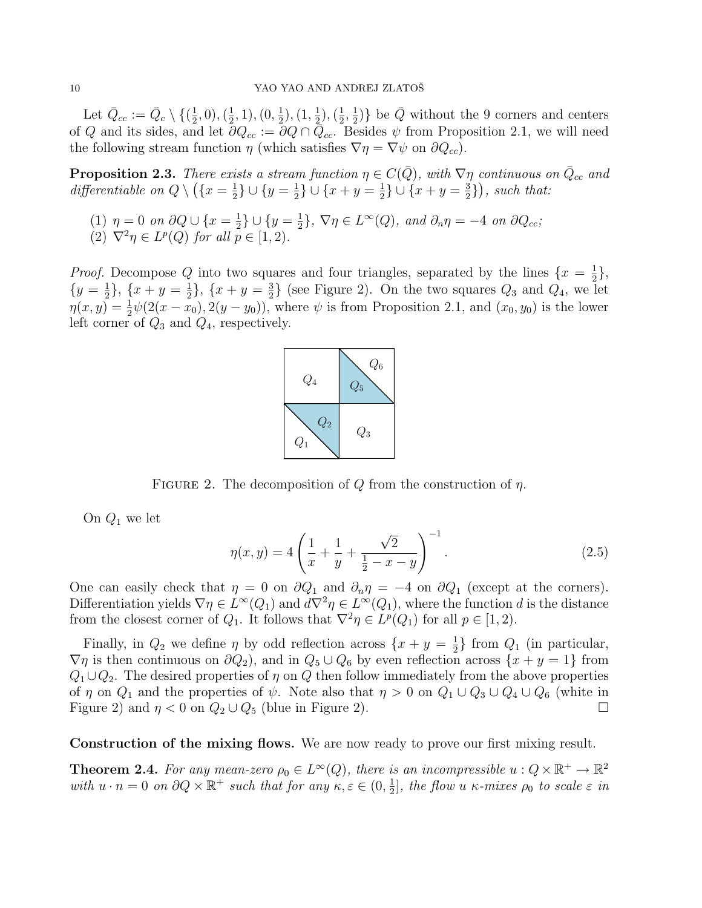Let  $\bar{Q}_{cc} := \bar{Q}_c \setminus \{(\frac{1}{2})\}$  $(\frac{1}{2},0),(\frac{1}{2})$  $(\frac{1}{2}, 1), (0, \frac{1}{2})$  $(\frac{1}{2}), (\overline{1}, \frac{1}{2})$  $(\frac{1}{2}),(\frac{1}{2})$  $\frac{1}{2}, \frac{1}{2}$  $\frac{1}{2}$ } be  $\overline{Q}$  without the 9 corners and centers of Q and its sides, and let  $\partial Q_{cc} := \partial Q \cap \overline{Q}_{cc}$ . Besides  $\psi$  from Proposition 2.1, we will need the following stream function  $\eta$  (which satisfies  $\nabla \eta = \nabla \psi$  on  $\partial Q_{cc}$ ).

**Proposition 2.3.** There exists a stream function  $\eta \in C(\bar{Q})$ , with  $\nabla \eta$  continuous on  $\bar{Q}_{cc}$  and differentiable on  $Q \setminus (\{x = \frac{1}{2}\})$  $\frac{1}{2}$ }  $\cup$  { $y = \frac{1}{2}$  $\frac{1}{2}$ }  $\cup$  { $x + y = \frac{1}{2}$  $\frac{1}{2}$ }  $\cup$  { $x + y = \frac{3}{2}$  $\left(\frac{3}{2}\right)$ , such that:

(1)  $\eta = 0$  on  $\partial Q \cup \{x = \frac{1}{2}\}$  $\frac{1}{2}$   $\cup$   $\{y = \frac{1}{2}$  $\{\frac{1}{2}\}, \nabla \eta \in L^{\infty}(Q)$ , and  $\partial_n \eta = -4$  on  $\partial Q_{cc}$ ; (2)  $\nabla^2 \eta \in L^p(Q)$  for all  $p \in [1, 2)$ .

*Proof.* Decompose Q into two squares and four triangles, separated by the lines  $\{x = \frac{1}{2}\}$  $\frac{1}{2}$ ,  $\{y=\frac{1}{2}\}$  $\frac{1}{2}$ ,  $\{x+y=\frac{1}{2}\}$  $\frac{1}{2}$ , { $x + y = \frac{3}{2}$  $\frac{3}{2}$  (see Figure 2). On the two squares  $Q_3$  and  $Q_4$ , we let  $\eta(x,y) = \frac{1}{2}\psi(2(x-x_0), 2(y-y_0))$ , where  $\psi$  is from Proposition 2.1, and  $(x_0, y_0)$  is the lower left corner of  $Q_3$  and  $Q_4$ , respectively.



FIGURE 2. The decomposition of Q from the construction of  $\eta$ .

On  $Q_1$  we let

$$
\eta(x,y) = 4\left(\frac{1}{x} + \frac{1}{y} + \frac{\sqrt{2}}{\frac{1}{2} - x - y}\right)^{-1}.\tag{2.5}
$$

One can easily check that  $\eta = 0$  on  $\partial Q_1$  and  $\partial_n \eta = -4$  on  $\partial Q_1$  (except at the corners). Differentiation yields  $\nabla \eta \in L^{\infty}(Q_1)$  and  $d\nabla^2 \eta \in L^{\infty}(Q_1)$ , where the function d is the distance from the closest corner of  $Q_1$ . It follows that  $\nabla^2 \eta \in L^p(Q_1)$  for all  $p \in [1, 2)$ .

Finally, in  $Q_2$  we define  $\eta$  by odd reflection across  $\{x + y = \frac{1}{2}\}$  $\frac{1}{2}$  from  $Q_1$  (in particular,  $\nabla \eta$  is then continuous on  $\partial Q_2$ , and in  $Q_5 \cup Q_6$  by even reflection across  $\{x + y = 1\}$  from  $Q_1 \cup Q_2$ . The desired properties of  $\eta$  on  $Q$  then follow immediately from the above properties of  $\eta$  on  $Q_1$  and the properties of  $\psi$ . Note also that  $\eta > 0$  on  $Q_1 \cup Q_3 \cup Q_4 \cup Q_6$  (white in Figure 2) and  $\eta < 0$  on  $Q_2 \cup Q_5$  (blue in Figure 2). Figure 2) and  $\eta < 0$  on  $Q_2 \cup Q_5$  (blue in Figure 2).

Construction of the mixing flows. We are now ready to prove our first mixing result.

**Theorem 2.4.** For any mean-zero  $\rho_0 \in L^{\infty}(Q)$ , there is an incompressible  $u: Q \times \mathbb{R}^+ \to \mathbb{R}^2$ with  $u \cdot n = 0$  on  $\partial Q \times \mathbb{R}^+$  such that for any  $\kappa, \varepsilon \in (0, \frac{1}{2})$  $\frac{1}{2}$ , the flow u  $\kappa$ -mixes  $\rho_0$  to scale  $\varepsilon$  in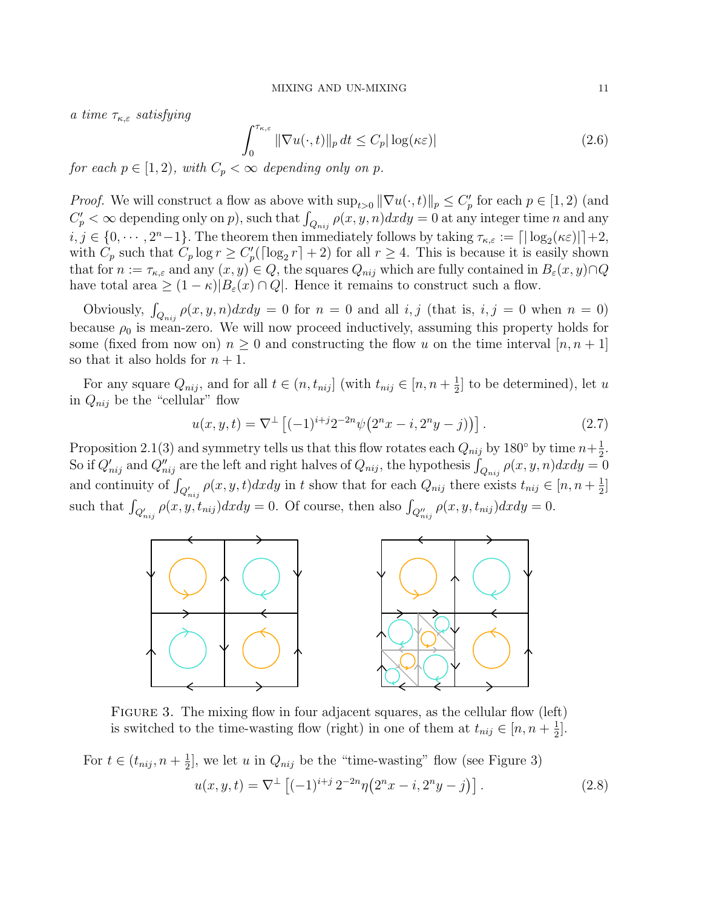a time  $\tau_{\kappa,\varepsilon}$  satisfying

$$
\int_0^{\tau_{\kappa,\varepsilon}} \|\nabla u(\cdot,t)\|_p \, dt \le C_p |\log(\kappa \varepsilon)| \tag{2.6}
$$

for each  $p \in [1, 2)$ , with  $C_p < \infty$  depending only on p.

*Proof.* We will construct a flow as above with  $\sup_{t>0} ||\nabla u(\cdot, t)||_p \leq C'_p$  for each  $p \in [1, 2)$  (and  $C_p' < \infty$  depending only on p, such that  $\int_{Q_{nij}} \rho(x, y, n) dx dy = 0$  at any integer time n and any  $i, j \in \{0, \dots, 2^n-1\}$ . The theorem then immediately follows by taking  $\tau_{\kappa,\varepsilon} := \lceil |\log_2(\kappa \varepsilon)| \rceil + 2$ , with  $C_p$  such that  $C_p \log r \ge C_p'(\lceil \log_2 r \rceil + 2)$  for all  $r \ge 4$ . This is because it is easily shown that for  $n := \tau_{\kappa,\varepsilon}$  and any  $(x, y) \in Q$ , the squares  $Q_{nij}$  which are fully contained in  $B_{\varepsilon}(x, y) \cap Q$ have total area  $\geq (1 - \kappa)|B_{\varepsilon}(x) \cap Q|$ . Hence it remains to construct such a flow.

Obviously,  $\int_{Q_{nij}} \rho(x, y, n) dx dy = 0$  for  $n = 0$  and all i, j (that is, i, j = 0 when  $n = 0$ ) because  $\rho_0$  is mean-zero. We will now proceed inductively, assuming this property holds for some (fixed from now on)  $n \geq 0$  and constructing the flow u on the time interval  $|n, n+1|$ so that it also holds for  $n + 1$ .

For any square  $Q_{nij}$ , and for all  $t \in (n, t_{nij}]$  (with  $t_{nij} \in [n, n + \frac{1}{2}]$  $\frac{1}{2}$  to be determined), let u in  $Q_{nij}$  be the "cellular" flow

$$
u(x, y, t) = \nabla^{\perp} \left[ (-1)^{i+j} 2^{-2n} \psi \left( 2^n x - i, 2^n y - j \right) \right]. \tag{2.7}
$$

Proposition 2.1(3) and symmetry tells us that this flow rotates each  $Q_{nij}$  by 180° by time  $n+\frac{1}{2}$  $\frac{1}{2}$ . So if  $Q'_{nij}$  and  $Q''_{nij}$  are the left and right halves of  $Q_{nij}$ , the hypothesis  $\int_{Q_{nij}} \rho(x, y, n) dx dy = 0$ and continuity of  $\int_{Q'_{nij}} \rho(x, y, t) dx dy$  in t show that for each  $Q_{nij}$  there exists  $t_{nij} \in [n, n + \frac{1}{2}]$  $\frac{1}{2}$ ] such that  $\int_{Q'_{nij}} \rho(x, y, t_{nij}) dx dy = 0$ . Of course, then also  $\int_{Q''_{nij}} \rho(x, y, t_{nij}) dx dy = 0$ .



FIGURE 3. The mixing flow in four adjacent squares, as the cellular flow (left) is switched to the time-wasting flow (right) in one of them at  $t_{nij} \in [n, n + \frac{1}{2}]$  $\frac{1}{2}$ .

For 
$$
t \in (t_{nij}, n + \frac{1}{2}]
$$
, we let  $u$  in  $Q_{nij}$  be the "time-wasting" flow (see Figure 3)  

$$
u(x, y, t) = \nabla^{\perp} \left[ (-1)^{i+j} 2^{-2n} \eta \left( 2^n x - i, 2^n y - j \right) \right].
$$
 (2.8)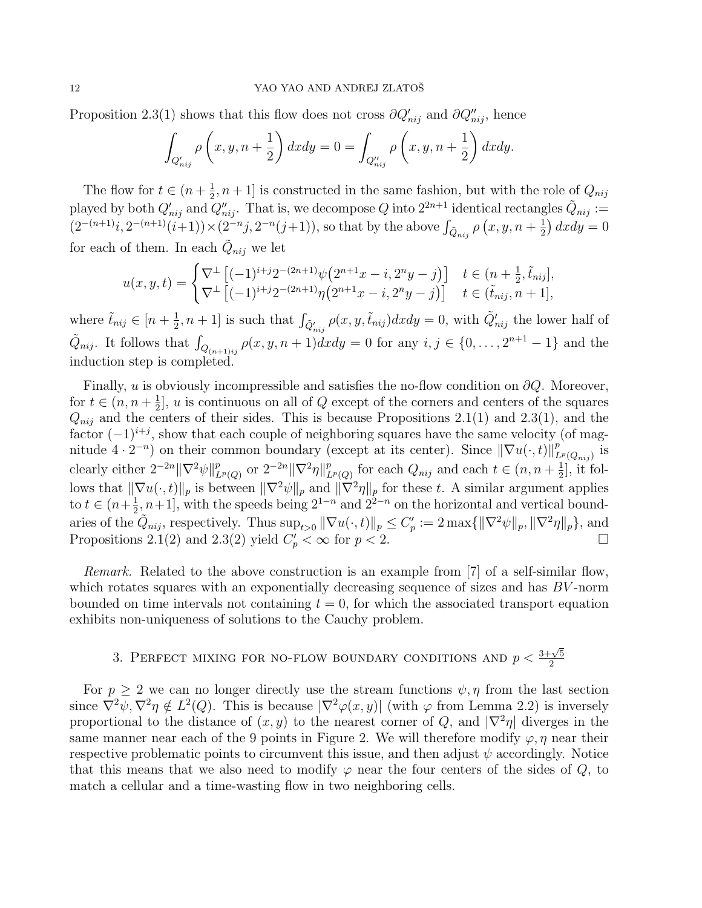Proposition 2.3(1) shows that this flow does not cross  $\partial Q'_{nij}$  and  $\partial Q''_{nij}$ , hence

$$
\int_{Q'_{nij}} \rho\left(x, y, n+\frac{1}{2}\right) dx dy = 0 = \int_{Q''_{nij}} \rho\left(x, y, n+\frac{1}{2}\right) dx dy.
$$

The flow for  $t \in (n + \frac{1}{2})$  $\frac{1}{2}$ ,  $n+1$  is constructed in the same fashion, but with the role of  $Q_{nij}$ played by both  $Q'_{nij}$  and  $Q''_{nij}$ . That is, we decompose Q into  $2^{2n+1}$  identical rectangles  $\tilde{Q}_{nij} :=$  $(2^{-(n+1)}i, 2^{-(n+1)}(i+1)) \times (2^{-n}j, 2^{-n}(j+1)),$  so that by the above  $\int_{\tilde{Q}_{nij}} \rho(x, y, n + \frac{1}{2})$  $\frac{1}{2}$  axdy = 0 for each of them. In each  $\tilde{Q}_{nij}$  we let

$$
u(x,y,t) = \begin{cases} \nabla^{\perp} \left[ (-1)^{i+j} 2^{-(2n+1)} \psi \left( 2^{n+1} x - i, 2^n y - j \right) \right] & t \in (n + \frac{1}{2}, \tilde{t}_{nij}],\\ \nabla^{\perp} \left[ (-1)^{i+j} 2^{-(2n+1)} \eta \left( 2^{n+1} x - i, 2^n y - j \right) \right] & t \in (\tilde{t}_{nij}, n + 1], \end{cases}
$$

where  $\tilde{t}_{nij} \in [n + \frac{1}{2}]$  $(\frac{1}{2}, n+1]$  is such that  $\int_{\tilde{Q}'_{nij}} \rho(x, y, \tilde{t}_{nij}) dx dy = 0$ , with  $\tilde{Q}'_{nij}$  the lower half of  $\tilde{Q}_{nij}$ . It follows that  $\int_{Q_{(n+1)ij}} \rho(x, y, n+1) dx dy = 0$  for any  $i, j \in \{0, \ldots, 2^{n+1}-1\}$  and the induction step is completed.

Finally, u is obviously incompressible and satisfies the no-flow condition on  $\partial Q$ . Moreover, for  $t \in (n, n + \frac{1}{2})$  $\frac{1}{2}$ , u is continuous on all of Q except of the corners and centers of the squares  $Q_{nij}$  and the centers of their sides. This is because Propositions 2.1(1) and 2.3(1), and the factor  $(-1)^{i+j}$ , show that each couple of neighboring squares have the same velocity (of magnitude  $4 \cdot 2^{-n}$ ) on their common boundary (except at its center). Since  $\|\nabla u(\cdot,t)\|_{L}^{p}$  $_{L^p(Q_{nij})}^p$  is clearly either  $2^{-2n} \|\nabla^2 \psi\|_L^p$  $_{L^p(Q)}^p$  or  $2^{-2n} \|\nabla^2 \eta\|_L^p$  $L^p(Q)$  for each  $Q_{nij}$  and each  $t \in (n, n + \frac{1}{2})$  $\frac{1}{2}$ , it follows that  $\|\nabla u(\cdot, t)\|_p$  is between  $\|\nabla^2 \psi\|_p$  and  $\|\nabla^2 \eta\|_p$  for these t. A similar argument applies to  $t \in (n+\frac{1}{2})$  $\frac{1}{2}$ , n+1], with the speeds being  $2^{1-n}$  and  $2^{2-n}$  on the horizontal and vertical boundaries of the  $\tilde{Q}_{nij}$ , respectively. Thus  $\sup_{t>0} \|\nabla u(\cdot,t)\|_p \leq C'_p := 2 \max\{\|\nabla^2 \psi\|_p, \|\nabla^2 \eta\|_p\}$ , and Propositions 2.1(2) and 2.3(2) yield  $C_p' < \infty$  for  $p < 2$ .

Remark. Related to the above construction is an example from [7] of a self-similar flow, which rotates squares with an exponentially decreasing sequence of sizes and has  $BV$ -norm bounded on time intervals not containing  $t = 0$ , for which the associated transport equation exhibits non-uniqueness of solutions to the Cauchy problem.

# 3. PERFECT MIXING FOR NO-FLOW BOUNDARY CONDITIONS AND  $p < \frac{3+\sqrt{5}}{2}$ 2

For  $p > 2$  we can no longer directly use the stream functions  $\psi, \eta$  from the last section since  $\nabla^2 \psi$ ,  $\nabla^2 \eta \notin L^2(Q)$ . This is because  $|\nabla^2 \varphi(x, y)|$  (with  $\varphi$  from Lemma 2.2) is inversely proportional to the distance of  $(x, y)$  to the nearest corner of Q, and  $|\nabla^2 \eta|$  diverges in the same manner near each of the 9 points in Figure 2. We will therefore modify  $\varphi, \eta$  near their respective problematic points to circumvent this issue, and then adjust  $\psi$  accordingly. Notice that this means that we also need to modify  $\varphi$  near the four centers of the sides of  $Q$ , to match a cellular and a time-wasting flow in two neighboring cells.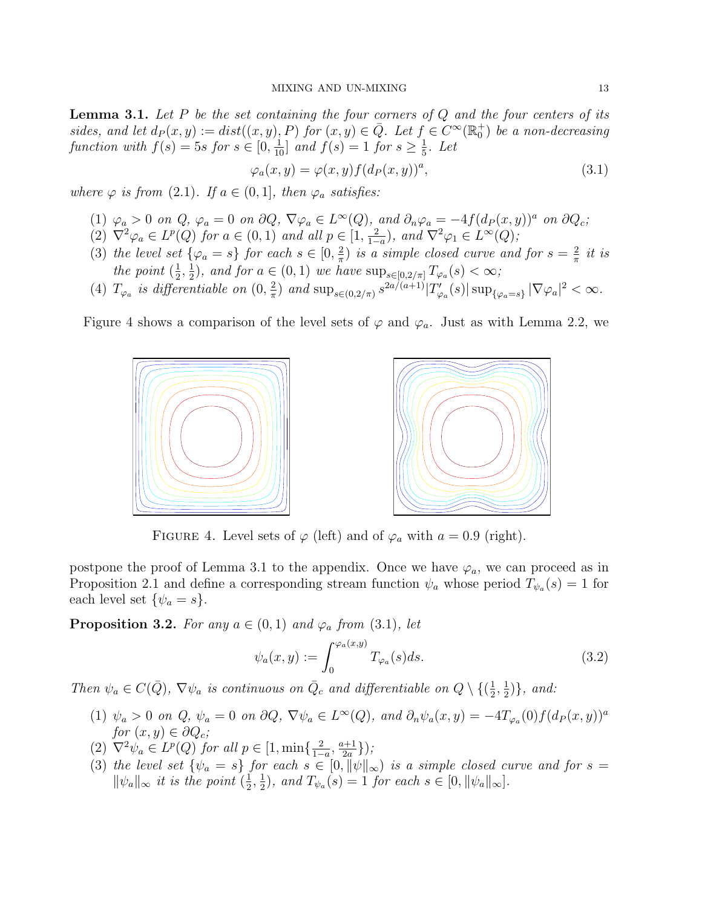**Lemma 3.1.** Let P be the set containing the four corners of  $Q$  and the four centers of its sides, and let  $d_P(x, y) := dist((x, y), P)$  for  $(x, y) \in \overline{Q}$ . Let  $f \in C^\infty(\mathbb{R}_0^+)$  be a non-decreasing function with  $f(s) = 5s$  for  $s \in [0, \frac{1}{10}]$  and  $f(s) = 1$  for  $s \ge \frac{1}{5}$  $rac{1}{5}$ . Let

$$
\varphi_a(x, y) = \varphi(x, y) f(d_P(x, y))^a,
$$
\n(3.1)

where  $\varphi$  is from (2.1). If  $a \in (0,1]$ , then  $\varphi_a$  satisfies:

- (1)  $\varphi_a > 0$  on Q,  $\varphi_a = 0$  on  $\partial Q$ ,  $\nabla \varphi_a \in L^{\infty}(Q)$ , and  $\partial_n \varphi_a = -4f(d_P(x, y))^a$  on  $\partial Q_c$ ;
- (2)  $\nabla^2 \varphi_a \in L^p(Q)$  for  $a \in (0,1)$  and all  $p \in \left[1, \frac{2}{1-\alpha}\right]$  $\frac{2}{1-a}$ ), and  $\nabla^2 \varphi_1 \in L^{\infty}(Q)$ ;
- (3) the level set  $\{\varphi_a = s\}$  for each  $s \in [0, \frac{2}{\pi}]$  $\frac{2}{\pi}$ ) is a simple closed curve and for  $s = \frac{2}{\pi}$  $rac{2}{\pi}$  it is the point  $(\frac{1}{2})$  $\frac{1}{2}, \frac{1}{2}$  $\frac{1}{2}$ , and for  $a \in (0,1)$  we have  $\sup_{s \in [0,2/\pi]} T_{\varphi_a}(s) < \infty$ ;
- (4)  $T_{\varphi_a}$  is differentiable on  $(0, \frac{2}{\pi})$  $\frac{2}{\pi}$ ) and  $\sup_{s \in (0,2/\pi)} s^{2a/(a+1)} |T'_{\varphi_a}(s)| \sup_{\{\varphi_a=s\}} |\nabla \varphi_a|^2 < \infty$ .

Figure 4 shows a comparison of the level sets of  $\varphi$  and  $\varphi_a$ . Just as with Lemma 2.2, we





FIGURE 4. Level sets of  $\varphi$  (left) and of  $\varphi_a$  with  $a = 0.9$  (right).

postpone the proof of Lemma 3.1 to the appendix. Once we have  $\varphi_a$ , we can proceed as in Proposition 2.1 and define a corresponding stream function  $\psi_a$  whose period  $T_{\psi_a}(s) = 1$  for each level set  $\{\psi_a = s\}.$ 

**Proposition 3.2.** For any  $a \in (0,1)$  and  $\varphi_a$  from (3.1), let

$$
\psi_a(x,y) := \int_0^{\varphi_a(x,y)} T_{\varphi_a}(s) ds.
$$
\n(3.2)

Then  $\psi_a \in C(\bar{Q})$ ,  $\nabla \psi_a$  is continuous on  $\bar{Q}_c$  and differentiable on  $Q \setminus \{(\frac{1}{2})\}$  $\frac{1}{2}, \frac{1}{2}$  $\frac{1}{2})\}, \text{ and:}$ 

- (1)  $\psi_a > 0$  on Q,  $\psi_a = 0$  on  $\partial Q$ ,  $\nabla \psi_a \in L^{\infty}(Q)$ , and  $\partial_n \psi_a(x, y) = -4T_{\varphi_a}(0)f(d_P(x, y))^a$ for  $(x, y) \in \partial Q_c$ ;
- (2)  $\nabla^2 \psi_a \in L^p(Q)$  for all  $p \in [1, \min\{\frac{2}{1-\varepsilon}\}]$  $\frac{2}{1-a}$ ,  $\frac{a+1}{2a}$  $\frac{a+1}{2a}\})$ ;
- (3) the level set  $\{\psi_a = s\}$  for each  $s \in [0, ||\psi||_{\infty})$  is a simple closed curve and for  $s =$  $\|\psi_a\|_{\infty}$  it is the point  $(\frac{1}{2})$  $\frac{1}{2}, \frac{1}{2}$  $\frac{1}{2}$ , and  $T_{\psi_a}(s) = 1$  for each  $s \in [0, \|\psi_a\|_{\infty}]$ .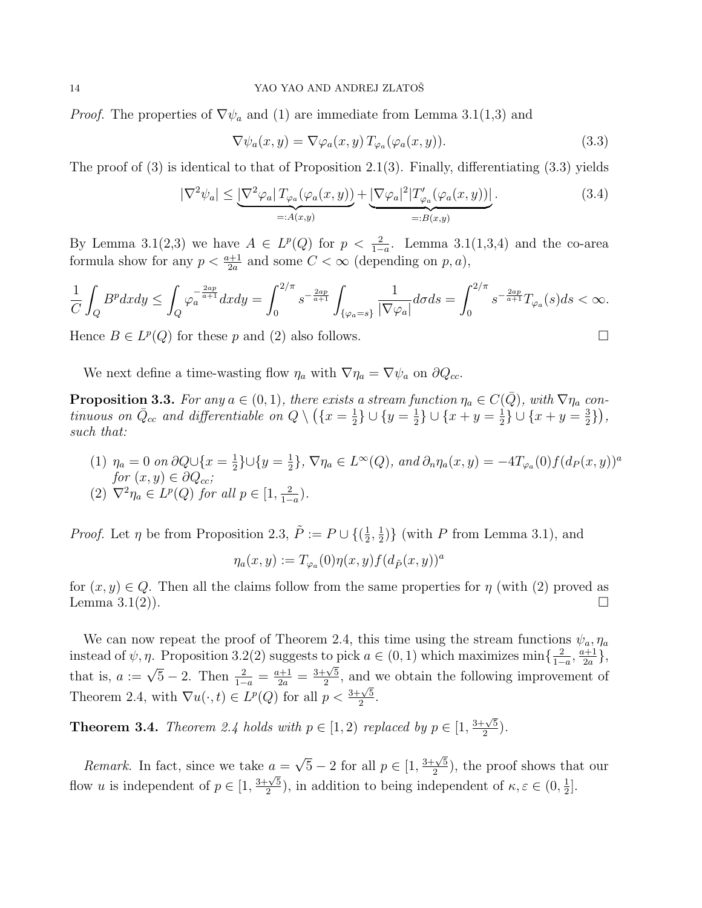*Proof.* The properties of  $\nabla \psi_a$  and (1) are immediate from Lemma 3.1(1,3) and

$$
\nabla \psi_a(x, y) = \nabla \varphi_a(x, y) T_{\varphi_a}(\varphi_a(x, y)). \tag{3.3}
$$

The proof of  $(3)$  is identical to that of Proposition 2.1 $(3)$ . Finally, differentiating  $(3.3)$  yields

$$
|\nabla^2 \psi_a| \leq \underbrace{|\nabla^2 \varphi_a| \, T_{\varphi_a}(\varphi_a(x, y))}_{=: A(x, y)} + \underbrace{|\nabla \varphi_a|^2 | T'_{\varphi_a}(\varphi_a(x, y))|}_{=: B(x, y)}.
$$
\n(3.4)

By Lemma 3.1(2,3) we have  $A \in L^p(Q)$  for  $p < \frac{2}{1-a}$ . Lemma 3.1(1,3,4) and the co-area formula show for any  $p < \frac{a+1}{2a}$  and some  $C < \infty$  (depending on  $p, a$ ),

$$
\frac{1}{C}\int_{Q}B^{p}dxdy \leq \int_{Q}\varphi_{a}^{-\frac{2ap}{a+1}}dxdy = \int_{0}^{2/\pi} s^{-\frac{2ap}{a+1}}\int_{\{\varphi_{a}=s\}}\frac{1}{|\nabla\varphi_{a}|}d\sigma ds = \int_{0}^{2/\pi} s^{-\frac{2ap}{a+1}}T_{\varphi_{a}}(s)ds < \infty.
$$

Hence  $B \in L^p(Q)$  for these p and (2) also follows.

We next define a time-wasting flow  $\eta_a$  with  $\nabla \eta_a = \nabla \psi_a$  on  $\partial Q_{cc}$ .

**Proposition 3.3.** For any  $a \in (0,1)$ , there exists a stream function  $\eta_a \in C(\bar{Q})$ , with  $\nabla \eta_a$  continuous on  $\bar{Q}_{cc}$  and differentiable on  $Q \setminus (\{x = \frac{1}{2}\})$  $\frac{1}{2}$ }  $\cup$  { $y = \frac{1}{2}$  $\frac{1}{2}$ }  $\cup$  { $x + y = \frac{1}{2}$  $\frac{1}{2}$ }  $\cup$  { $x + y = \frac{3}{2}$  $\frac{3}{2}\},$ such that:

(1)  $\eta_a = 0$  on  $\partial Q \cup \{x = \frac{1}{2}\}$  $\frac{1}{2}$ }∪{ $y = \frac{1}{2}$  $\frac{1}{2}$ ,  $\nabla \eta_a \in L^{\infty}(Q)$ , and  $\partial_n \eta_a(x, y) = -4T_{\varphi_a}(0) f(d_P(x, y))^a$ for  $(x, y) \in \partial Q_{cc}$ ; (2)  $\nabla^2 \eta_a \in L^p(Q)$  for all  $p \in [1, \frac{2}{1 - \eta_a}]$  $\frac{2}{1-a}$ ).

*Proof.* Let  $\eta$  be from Proposition 2.3,  $\tilde{P} := P \cup \{(\frac{1}{2} \cdot P) \mid P \in \mathcal{P} \}$  $\frac{1}{2}, \frac{1}{2}$  $\frac{1}{2}$ } (with P from Lemma 3.1), and

$$
\eta_a(x,y) := T_{\varphi_a}(0)\eta(x,y)f(d_{\tilde{P}}(x,y))^a
$$

for  $(x, y) \in Q$ . Then all the claims follow from the same properties for  $\eta$  (with (2) proved as Lemma 3.1(2)). Lemma  $3.1(2)$ ).

We can now repeat the proof of Theorem 2.4, this time using the stream functions  $\psi_a, \eta_a$ instead of  $\psi, \eta$ . Proposition 3.2(2) suggests to pick  $a \in (0, 1)$  which maximizes  $\min\{\frac{2}{1-\epsilon}\}$  $\frac{2}{1-a}, \frac{a+1}{2a}$  $\frac{a+1}{2a}\},$ that is,  $a := \sqrt{5} - 2$ . Then  $\frac{2}{1-a} = \frac{a+1}{2a} =$  $rac{1}{3+\sqrt{5}}$  $\frac{2}{2}$ , and we obtain the following improvement of Theorem 2.4, with  $\nabla u(\cdot, t) \in L^p(Q)$  for all  $p < \frac{3+\sqrt{5}}{2}$  $\frac{\sqrt{5}}{2}$ .

**Theorem 3.4.** Theorem 2.4 holds with  $p \in [1, 2)$  replaced by  $p \in [1, 2)$  $3+\sqrt{5}$  $\frac{\sqrt{5}}{2}$ ).

*Remark.* In fact, since we take  $a = \sqrt{5} - 2$  for all  $p \in [1, \sqrt{5}]$  $3+\sqrt{5}$  $\frac{-\sqrt{5}}{2}$ , the proof shows that our flow u is independent of  $p \in [1,$ 3+<sup>√</sup> 5  $\frac{1-\sqrt{5}}{2}$ , in addition to being independent of  $\kappa, \varepsilon \in (0, \frac{1}{2})$  $\frac{1}{2}$ .

$$
\Box
$$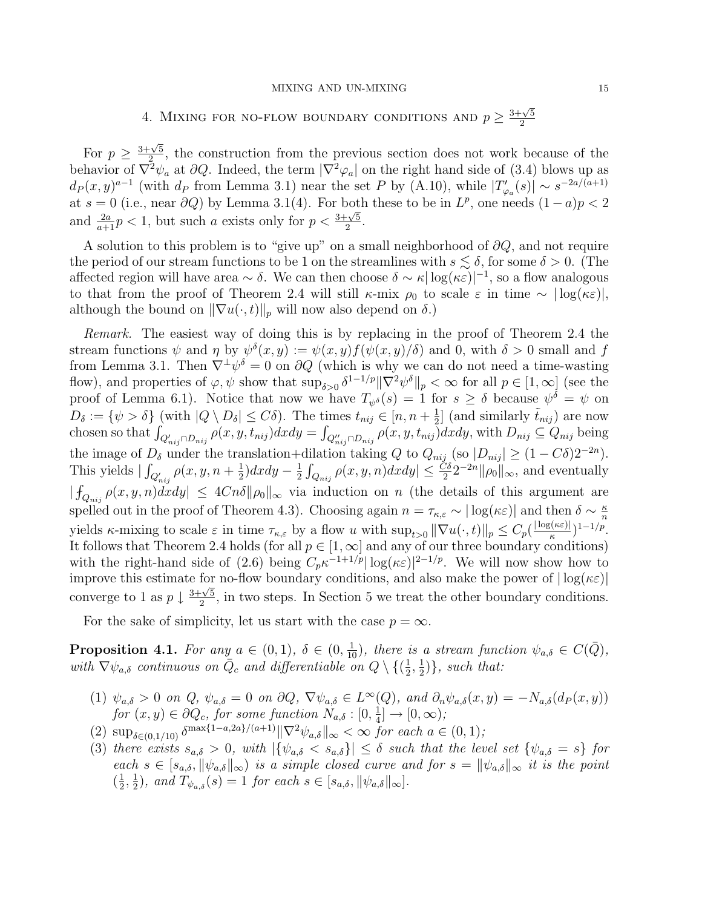### MIXING AND UN-MIXING 15

# 4. MIXING FOR NO-FLOW BOUNDARY CONDITIONS AND  $p \geq \frac{3+\sqrt{5}}{2}$ 2

For  $p \geq$  $3+\sqrt{5}$  $\frac{\sqrt{5}}{2}$ , the construction from the previous section does not work because of the behavior of  $\nabla^2 \psi_a$  at  $\partial Q$ . Indeed, the term  $|\nabla^2 \varphi_a|$  on the right hand side of (3.4) blows up as  $d_P(x,y)^{a-1}$  (with  $d_P$  from Lemma 3.1) near the set P by (A.10), while  $|T'_{\varphi_a}(s)| \sim s^{-2a/(a+1)}$ at  $s = 0$  (i.e., near  $\partial Q$ ) by Lemma 3.1(4). For both these to be in  $L^p$ , one needs  $(1-a)p < 2$ and  $\frac{2a}{a+1}p < 1$ , but such a exists only for  $p < \frac{3+\sqrt{5}}{2}$  $\frac{\sqrt{5}}{2}$ .

A solution to this problem is to "give up" on a small neighborhood of  $\partial Q$ , and not require the period of our stream functions to be 1 on the streamlines with  $s \lesssim \delta$ , for some  $\delta > 0$ . (The affected region will have area ~  $\delta$ . We can then choose  $\delta \sim \kappa |\log(\kappa \varepsilon)|^{-1}$ , so a flow analogous to that from the proof of Theorem 2.4 will still  $\kappa$ -mix  $\rho_0$  to scale  $\varepsilon$  in time ~  $|\log(\kappa \varepsilon)|$ , although the bound on  $\|\nabla u(\cdot, t)\|_p$  will now also depend on  $\delta$ .)

Remark. The easiest way of doing this is by replacing in the proof of Theorem 2.4 the stream functions  $\psi$  and  $\eta$  by  $\psi^{\delta}(x, y) := \psi(x, y)f(\psi(x, y)/\delta)$  and 0, with  $\delta > 0$  small and f from Lemma 3.1. Then  $\nabla^{\perp}\psi^{\delta} = 0$  on  $\partial Q$  (which is why we can do not need a time-wasting flow), and properties of  $\varphi, \psi$  show that  $\sup_{\delta>0} \delta^{1-1/p} ||\nabla^2 \psi^\delta||_p < \infty$  for all  $p \in [1, \infty]$  (see the proof of Lemma 6.1). Notice that now we have  $T_{\psi^{\delta}}(s) = 1$  for  $s \geq \delta$  because  $\psi^{\delta} = \psi$  on  $D_{\delta} := \{ \psi > \delta \}$  (with  $|Q \setminus D_{\delta}| \leq C\delta$ ). The times  $t_{nij} \in [n, n + \frac{1}{2}]$  $\frac{1}{2}$  (and similarly  $\tilde{t}_{nij}$ ) are now chosen so that  $\int_{Q'_{nij}\cap D_{nij}} \rho(x, y, t_{nij}) dx dy = \int_{Q''_{nij}\cap D_{nij}} \rho(x, y, t_{nij}) dx dy$ , with  $D_{nij} \subseteq Q_{nij}$  being the image of  $D_{\delta}$  under the translation+dilation taking Q to  $Q_{nij}$  (so  $|D_{nij}| \geq (1 - C\delta)2^{-2n}$ ). This yields  $\int_{Q'_{nij}} \rho(x, y, n + \frac{1}{2})$  $\frac{1}{2}$ )  $dx dy - \frac{1}{2}$  $\frac{1}{2} \int_{Q_{nij}} \rho(x, y, n) dx dy \leq \frac{C\delta}{2} 2^{-2n} \|\rho_0\|_{\infty}$ , and eventually  $|\int_{Q_{nij}} \rho(x, y, n) dx dy| \leq 4Cn\delta \|\rho_0\|_{\infty}$  via induction on n (the details of this argument are spelled out in the proof of Theorem 4.3). Choosing again  $n = \tau_{\kappa,\varepsilon} \sim |\log(\kappa \varepsilon)|$  and then  $\delta \sim \frac{\kappa}{n}$ n yields  $\kappa$ -mixing to scale  $\varepsilon$  in time  $\tau_{\kappa,\varepsilon}$  by a flow u with  $\sup_{t>0} ||\nabla u(\cdot,t)||_p \leq C_p(\frac{|\log(\kappa \varepsilon)|}{\kappa})$  $\frac{\xi(\kappa \varepsilon)|}{\kappa}$ <sup>1-1/p</sup>. It follows that Theorem 2.4 holds (for all  $p \in [1,\infty]$  and any of our three boundary conditions) with the right-hand side of (2.6) being  $C_p \kappa^{-1+1/p} |\log(\kappa \varepsilon)|^{2-1/p}$ . We will now show how to improve this estimate for no-flow boundary conditions, and also make the power of  $|\log(\kappa \varepsilon)|$ converge to 1 as  $p \downarrow$  $rac{1}{3+\sqrt{5}}$  $\frac{2\sqrt{5}}{2}$ , in two steps. In Section 5 we treat the other boundary conditions.

For the sake of simplicity, let us start with the case  $p = \infty$ .

**Proposition 4.1.** For any  $a \in (0,1)$ ,  $\delta \in (0, \frac{1}{10})$ , there is a stream function  $\psi_{a,\delta} \in C(\overline{Q})$ , with  $\nabla \psi_{a,\delta}$  continuous on  $\overline{Q}_c$  and differentiable on  $Q \setminus \{(\frac{1}{2})\}$  $\frac{1}{2}, \frac{1}{2}$  $\frac{1}{2}$ }, such that:

- (1)  $\psi_{a,\delta} > 0$  on Q,  $\psi_{a,\delta} = 0$  on  $\partial Q$ ,  $\nabla \psi_{a,\delta} \in L^{\infty}(Q)$ , and  $\partial_n \psi_{a,\delta}(x, y) = -N_{a,\delta}(d_P(x, y))$ for  $(x, y) \in \partial Q_c$ , for some function  $N_{a, \delta} : [0, \frac{1}{4}]$  $\frac{1}{4}$ ]  $\rightarrow$  [0,  $\infty$ );
- (2)  $\sup_{\delta \in (0,1/10)} \delta^{\max\{1-a,2a\}/(a+1)} \|\nabla^2 \psi_{a,\delta}\|_{\infty} < \infty$  for each  $a \in (0,1);$
- (3) there exists  $s_{a,\delta} > 0$ , with  $|\{\psi_{a,\delta} < s_{a,\delta}\}| \leq \delta$  such that the level set  $\{\psi_{a,\delta} = s\}$  for each  $s \in [s_{a,\delta}, \|\psi_{a,\delta}\|_{\infty})$  is a simple closed curve and for  $s = \|\psi_{a,\delta}\|_{\infty}$  it is the point  $\left(\frac{1}{2}\right)$  $\frac{1}{2}, \frac{1}{2}$  $\frac{1}{2}$ , and  $T_{\psi_{a,\delta}}(s) = 1$  for each  $s \in [s_{a,\delta}, \|\psi_{a,\delta}\|_{\infty}]$ .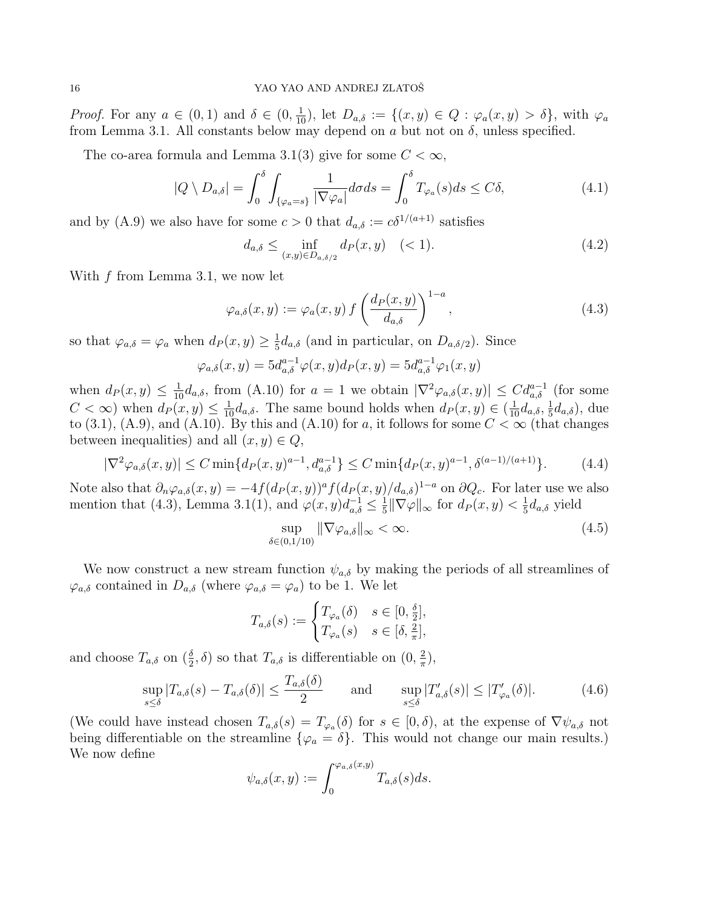Proof. For any  $a \in (0,1)$  and  $\delta \in (0,\frac{1}{10})$ , let  $D_{a,\delta} := \{(x,y) \in Q : \varphi_a(x,y) > \delta\}$ , with  $\varphi_a$ from Lemma 3.1. All constants below may depend on a but not on  $\delta$ , unless specified.

The co-area formula and Lemma 3.1(3) give for some  $C < \infty$ ,

$$
|Q \setminus D_{a,\delta}| = \int_0^{\delta} \int_{\{\varphi_a = s\}} \frac{1}{|\nabla \varphi_a|} d\sigma ds = \int_0^{\delta} T_{\varphi_a}(s) ds \le C\delta,
$$
\n(4.1)

and by (A.9) we also have for some  $c > 0$  that  $d_{a,\delta} := c\delta^{1/(a+1)}$  satisfies

$$
d_{a,\delta} \le \inf_{(x,y)\in D_{a,\delta/2}} d_P(x,y) \quad (<1).
$$
 (4.2)

With  $f$  from Lemma 3.1, we now let

$$
\varphi_{a,\delta}(x,y) := \varphi_a(x,y) f\left(\frac{d_P(x,y)}{d_{a,\delta}}\right)^{1-a},\tag{4.3}
$$

so that  $\varphi_{a,\delta} = \varphi_a$  when  $d_P(x, y) \geq \frac{1}{5}$  $\frac{1}{5}d_{a,\delta}$  (and in particular, on  $D_{a,\delta/2}$ ). Since

$$
\varphi_{a,\delta}(x,y) = 5d_{a,\delta}^{a-1}\varphi(x,y)d_P(x,y) = 5d_{a,\delta}^{a-1}\varphi_1(x,y)
$$

when  $d_P(x,y) \leq \frac{1}{10} d_{a,\delta}$ , from (A.10) for  $a = 1$  we obtain  $|\nabla^2 \varphi_{a,\delta}(x,y)| \leq C d_{a,\delta}^{a-1}$  (for some  $C < \infty$ ) when  $d_P(x, y) \leq \frac{1}{10} d_{a,\delta}$ . The same bound holds when  $d_P(x, y) \in (\frac{1}{10} d_{a,\delta}, \frac{1}{5})$  $\frac{1}{5}d_{a,\delta}$ ), due to (3.1), (A.9), and (A.10). By this and (A.10) for a, it follows for some  $C < \infty$  (that changes between inequalities) and all  $(x, y) \in Q$ ,

$$
|\nabla^2 \varphi_{a,\delta}(x,y)| \le C \min\{d_P(x,y)^{a-1}, d_{a,\delta}^{a-1}\} \le C \min\{d_P(x,y)^{a-1}, \delta^{(a-1)/(a+1)}\}.
$$
 (4.4)

Note also that  $\partial_n \varphi_{a,\delta}(x,y) = -4f(d_P(x,y))^a f(d_P(x,y)/d_{a,\delta})^{1-a}$  on  $\partial Q_c$ . For later use we also mention that (4.3), Lemma 3.1(1), and  $\varphi(x, y)d_{a,\delta}^{-1} \leq \frac{1}{5}$  $\frac{1}{5}$ || $\nabla \varphi$ ||<sub>∞</sub> for  $d_P(x, y) < \frac{1}{5}$  $\frac{1}{5}d_{a,\delta}$  yield

$$
\sup_{\delta \in (0,1/10)} \|\nabla \varphi_{a,\delta}\|_{\infty} < \infty. \tag{4.5}
$$

We now construct a new stream function  $\psi_{a,\delta}$  by making the periods of all streamlines of  $\varphi_{a,\delta}$  contained in  $D_{a,\delta}$  (where  $\varphi_{a,\delta} = \varphi_a$ ) to be 1. We let

$$
T_{a,\delta}(s) := \begin{cases} T_{\varphi_a}(\delta) & s \in [0, \frac{\delta}{2}], \\ T_{\varphi_a}(s) & s \in [\delta, \frac{2}{\pi}], \end{cases}
$$

and choose  $T_{a,\delta}$  on  $(\frac{\delta}{2}, \delta)$  so that  $T_{a,\delta}$  is differentiable on  $(0, \frac{2}{\pi})$  $\frac{2}{\pi}$ ),

$$
\sup_{s \le \delta} |T_{a,\delta}(s) - T_{a,\delta}(\delta)| \le \frac{T_{a,\delta}(\delta)}{2} \quad \text{and} \quad \sup_{s \le \delta} |T'_{a,\delta}(s)| \le |T'_{\varphi_a}(\delta)|. \tag{4.6}
$$

(We could have instead chosen  $T_{a,\delta}(s) = T_{\varphi_a}(\delta)$  for  $s \in [0,\delta)$ , at the expense of  $\nabla \psi_{a,\delta}$  not being differentiable on the streamline  $\{\varphi_a = \delta\}$ . This would not change our main results.) We now define

$$
\psi_{a,\delta}(x,y) := \int_0^{\varphi_{a,\delta}(x,y)} T_{a,\delta}(s) ds.
$$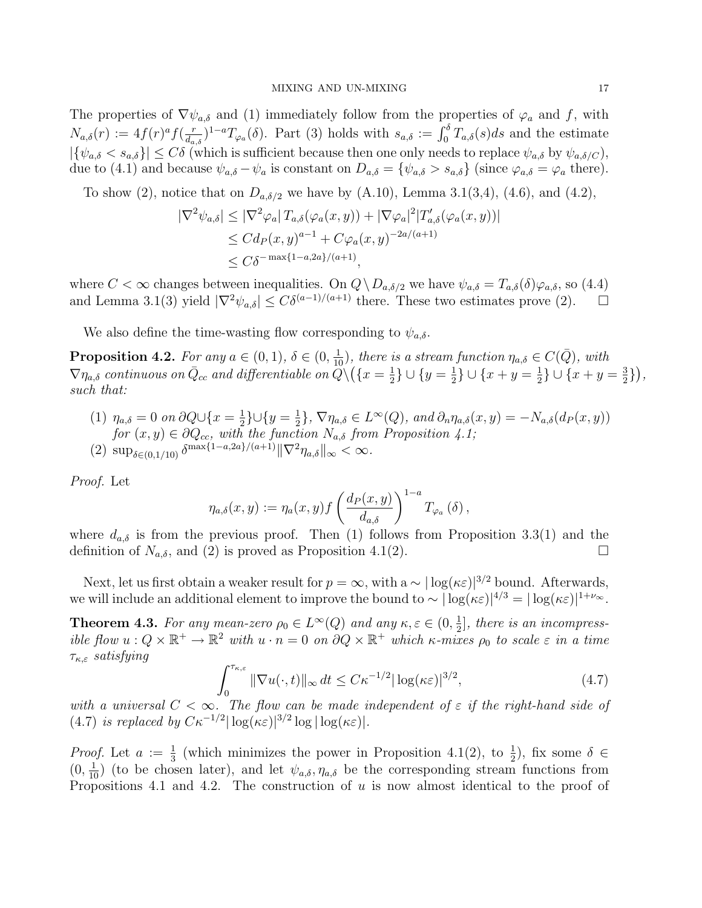The properties of  $\nabla \psi_{a,\delta}$  and (1) immediately follow from the properties of  $\varphi_a$  and f, with  $N_{a,\delta}(r) := 4f(r)^{a} f(\frac{r}{d_{\delta}})$  $\frac{r}{da_{\alpha,\delta}}$ <sup>1-a</sup> $T_{\varphi_a}(\delta)$ . Part (3) holds with  $s_{a,\delta} := \int_0^{\delta} T_{a,\delta}(s)ds$  and the estimate  $|\{\psi_{a,\delta} < s_{a,\delta}\}| \leq C\delta$  (which is sufficient because then one only needs to replace  $\psi_{a,\delta}$  by  $\psi_{a,\delta/C}$ ), due to (4.1) and because  $\psi_{a,\delta} - \psi_a$  is constant on  $D_{a,\delta} = {\psi_{a,\delta} > s_{a,\delta}}$  (since  $\varphi_{a,\delta} = \varphi_a$  there).

To show (2), notice that on  $D_{a,\delta/2}$  we have by (A.10), Lemma 3.1(3,4), (4.6), and (4.2),

$$
|\nabla^2 \psi_{a,\delta}| \leq |\nabla^2 \varphi_a| T_{a,\delta}(\varphi_a(x,y)) + |\nabla \varphi_a|^2 |T'_{a,\delta}(\varphi_a(x,y))|
$$
  
\n
$$
\leq C d_P(x,y)^{a-1} + C \varphi_a(x,y)^{-2a/(a+1)}
$$
  
\n
$$
\leq C \delta^{-\max\{1-a,2a\}/(a+1)},
$$

where  $C < \infty$  changes between inequalities. On  $Q \setminus D_{a,\delta/2}$  we have  $\psi_{a,\delta} = T_{a,\delta}(\delta) \varphi_{a,\delta}$ , so (4.4) and Lemma 3.1(3) yield  $|\nabla^2 \psi_{a,\delta}| \leq C\delta^{(a-1)/(a+1)}$  there. These two estimates prove (2).

We also define the time-wasting flow corresponding to  $\psi_{a,\delta}$ .

**Proposition 4.2.** For any  $a \in (0,1)$ ,  $\delta \in (0, \frac{1}{10})$ , there is a stream function  $\eta_{a,\delta} \in C(\bar{Q})$ , with  $\nabla \eta_{a,\delta}$  continuous on  $\bar{Q}_{cc}$  and differentiable on  $\widetilde{Q}\backslash (\{x=\frac{1}{2}\})$  $\frac{1}{2}$ }  $\cup$  { $y = \frac{1}{2}$  $\frac{1}{2}$ }  $\cup$  { $x + y = \frac{1}{2}$  $\frac{1}{2}$ }  $\cup$  { $x + y = \frac{3}{2}$  $\frac{3}{2}\},$ such that:

(1)  $\eta_{a,\delta} = 0$  on  $\partial Q \cup \{x = \frac{1}{2}\}$  $\frac{1}{2}$ }∪{ $y = \frac{1}{2}$  $\{\frac{1}{2}\}, \nabla \eta_{a,\delta} \in L^{\infty}(Q)$ , and  $\partial_n \eta_{a,\delta}(x, y) = -N_{a,\delta}(d_P(x, y))$ for  $(x, y) \in \partial Q_{cc}$ , with the function  $N_{a,\delta}$  from Proposition 4.1; (2)  $\sup_{\delta \in (0,1/10)} \delta^{\max\{1-a,2a\}/(a+1)} \|\nabla^2 \eta_{a,\delta}\|_{\infty} < \infty.$ 

Proof. Let

$$
\eta_{a,\delta}(x,y) := \eta_a(x,y)f\left(\frac{d_P(x,y)}{d_{a,\delta}}\right)^{1-a}T_{\varphi_a}(\delta),
$$

where  $d_{a,\delta}$  is from the previous proof. Then (1) follows from Proposition 3.3(1) and the definition of  $N_{a,\delta}$ , and (2) is proved as Proposition 4.1(2).

Next, let us first obtain a weaker result for  $p = \infty$ , with a ~  $|\log(\kappa \varepsilon)|^{3/2}$  bound. Afterwards, we will include an additional element to improve the bound to  $\sim |\log(\kappa \varepsilon)|^{4/3} = |\log(\kappa \varepsilon)|^{1+\nu_{\infty}}$ .

**Theorem 4.3.** For any mean-zero  $\rho_0 \in L^{\infty}(Q)$  and any  $\kappa, \varepsilon \in (0, \frac{1}{2})$  $\frac{1}{2}$ , there is an incompressible flow  $u: Q \times \mathbb{R}^+ \to \mathbb{R}^2$  with  $u \cdot n = 0$  on  $\partial Q \times \mathbb{R}^+$  which  $\kappa$ -mixes  $\rho_0$  to scale  $\varepsilon$  in a time  $\tau_{\kappa,\varepsilon}$  satisfying

$$
\int_0^{\tau_{\kappa,\varepsilon}} \|\nabla u(\cdot,t)\|_{\infty} dt \le C\kappa^{-1/2} |\log(\kappa \varepsilon)|^{3/2},\tag{4.7}
$$

with a universal  $C < \infty$ . The flow can be made independent of  $\varepsilon$  if the right-hand side of (4.7) is replaced by  $C\kappa^{-1/2}|\log(\kappa\varepsilon)|^{3/2}\log|\log(\kappa\varepsilon)|$ .

*Proof.* Let  $a := \frac{1}{3}$  (which minimizes the power in Proposition 4.1(2), to  $\frac{1}{2}$ ), fix some  $\delta \in$  $(0, \frac{1}{10})$  (to be chosen later), and let  $\psi_{a,\delta}, \eta_{a,\delta}$  be the corresponding stream functions from Propositions 4.1 and 4.2. The construction of  $u$  is now almost identical to the proof of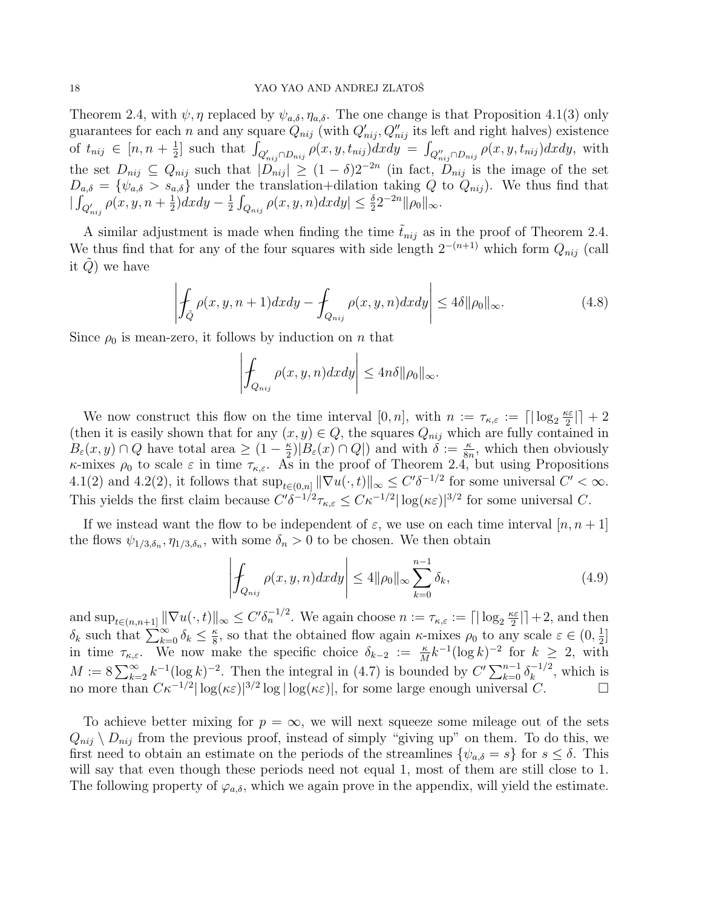Theorem 2.4, with  $\psi$ ,  $\eta$  replaced by  $\psi_{a,\delta}, \eta_{a,\delta}$ . The one change is that Proposition 4.1(3) only guarantees for each n and any square  $Q_{nij}$  (with  $Q'_{nij}, Q''_{nij}$  its left and right halves) existence of  $t_{nij} \in [n, n + \frac{1}{2}]$  $\frac{1}{2}$ ] such that  $\int_{Q'_{nij}\cap D_{nij}} \rho(x, y, t_{nij}) dx dy = \int_{Q''_{nij}\cap D_{nij}} \rho(x, y, t_{nij}) dx dy$ , with the set  $D_{nij} \subseteq Q_{nij}$  such that  $|D_{nij}| \geq (1-\delta)2^{-2n}$  (in fact,  $D_{nij}$  is the image of the set  $D_{a,\delta} = \{\psi_{a,\delta} > s_{a,\delta}\}\$  under the translation+dilation taking Q to  $Q_{nij}$ ). We thus find that  $\int_{Q'_{nij}} \rho(x, y, n + \frac{1}{2})$  $\frac{1}{2}$ )  $dx dy - \frac{1}{2}$  $\frac{1}{2} \int_{Q_{nij}} \rho(x, y, n) dx dy \leq \frac{\delta}{2} 2^{-2n} ||\rho_0||_{\infty}.$ 

A similar adjustment is made when finding the time  $\tilde{t}_{nij}$  as in the proof of Theorem 2.4. We thus find that for any of the four squares with side length  $2^{-(n+1)}$  which form  $Q_{nij}$  (call it  $Q$ ) we have

$$
\left| \oint_{\tilde{Q}} \rho(x, y, n+1) dx dy - \oint_{Q_{nij}} \rho(x, y, n) dx dy \right| \le 4\delta \|\rho_0\|_{\infty}.
$$
 (4.8)

Since  $\rho_0$  is mean-zero, it follows by induction on n that

$$
\left| \int_{Q_{nij}} \rho(x, y, n) dx dy \right| \leq 4n\delta \|\rho_0\|_{\infty}.
$$

We now construct this flow on the time interval  $[0, n]$ , with  $n := \tau_{\kappa,\varepsilon} := \lceil |\log_2 \frac{\kappa \varepsilon}{2} \rceil$  $\frac{c\varepsilon}{2}$ | + 2 (then it is easily shown that for any  $(x, y) \in Q$ , the squares  $Q_{nij}$  which are fully contained in  $B_{\varepsilon}(x, y) \cap Q$  have total area  $\geq (1 - \frac{\kappa}{2})$  $\frac{\kappa}{2}$  $|B_{\varepsilon}(x) \cap Q|$  and with  $\delta := \frac{\kappa}{8n}$ , which then obviously κ-mixes  $\rho_0$  to scale  $\varepsilon$  in time  $\tau_{\kappa,\varepsilon}$ . As in the proof of Theorem 2.4, but using Propositions 4.1(2) and 4.2(2), it follows that  $\sup_{t\in(0,n]} \|\nabla u(\cdot,t)\|_{\infty} \leq C' \delta^{-1/2}$  for some universal  $C' < \infty$ . This yields the first claim because  $C' \delta^{-1/2} \tau_{\kappa,\varepsilon} \leq C \kappa^{-1/2} |\log(\kappa \varepsilon)|^{3/2}$  for some universal C.

If we instead want the flow to be independent of  $\varepsilon$ , we use on each time interval  $[n, n+1]$ the flows  $\psi_{1/3,\delta_n}, \eta_{1/3,\delta_n}$ , with some  $\delta_n > 0$  to be chosen. We then obtain

$$
\left| \int_{Q_{nij}} \rho(x, y, n) dx dy \right| \le 4 \|\rho_0\|_{\infty} \sum_{k=0}^{n-1} \delta_k,
$$
\n(4.9)

and  $\sup_{t\in(n,n+1]} \|\nabla u(\cdot,t)\|_{\infty} \leq C' \delta_n^{-1/2}$ . We again choose  $n := \tau_{\kappa,\varepsilon} := \lceil |\log_2 \frac{\kappa \varepsilon}{2} \rceil$  $\frac{c\varepsilon}{2}$ | +2, and then  $\delta_k$  such that  $\sum_{k=0}^{\infty} \delta_k \leq \frac{\kappa}{8}$  $\frac{\kappa}{8}$ , so that the obtained flow again  $\kappa$ -mixes  $\rho_0$  to any scale  $\varepsilon \in (0, \frac{1}{2})$  $\frac{1}{2}$ ] in time  $\tau_{\kappa,\varepsilon}$ . We now make the specific choice  $\delta_{k-2} := \frac{\kappa}{M} k^{-1} (\log k)^{-2}$  for  $k \geq 2$ , with  $M := 8 \sum_{k=2}^{\infty} k^{-1} (\log k)^{-2}$ . Then the integral in (4.7) is bounded by  $C' \sum_{k=0}^{n-1} \delta_k^{-1/2}$  $\binom{n}{k}$ , which is no more than  $C\kappa^{-1/2}|\log(\kappa\varepsilon)|^{3/2}\log|\log(\kappa\varepsilon)|$ , for some large enough universal  $C$ .  $\Box$ 

To achieve better mixing for  $p = \infty$ , we will next squeeze some mileage out of the sets  $Q_{nij} \setminus D_{nij}$  from the previous proof, instead of simply "giving up" on them. To do this, we first need to obtain an estimate on the periods of the streamlines  $\{\psi_{a,\delta} = s\}$  for  $s \leq \delta$ . This will say that even though these periods need not equal 1, most of them are still close to 1. The following property of  $\varphi_{a,\delta}$ , which we again prove in the appendix, will yield the estimate.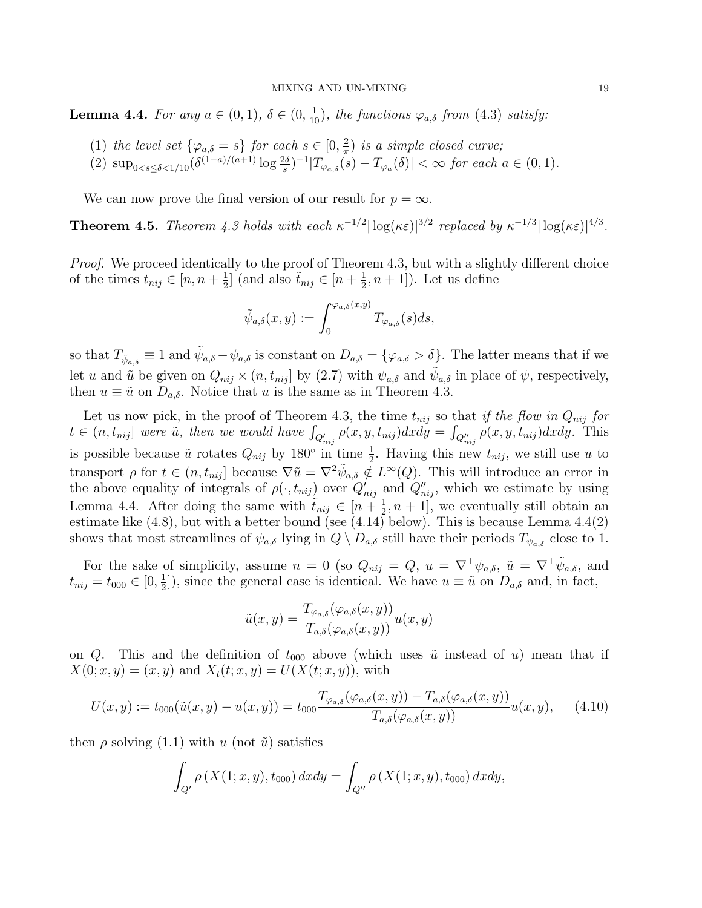**Lemma 4.4.** For any  $a \in (0,1)$ ,  $\delta \in (0, \frac{1}{10})$ , the functions  $\varphi_{a,\delta}$  from (4.3) satisfy:

- (1) the level set  $\{\varphi_{a,\delta} = s\}$  for each  $s \in [0, \frac{2}{\pi}]$  $\frac{2}{\pi}$ ) is a simple closed curve;
- (2)  $\sup_{0 \le s \le \delta \le 1/10} (\delta^{(1-a)/(a+1)} \log \frac{2\delta}{s})^{-1} |T_{\varphi_{a,\delta}}(s) T_{\varphi_a}(\delta)| < \infty$  for each  $a \in (0,1)$ .

We can now prove the final version of our result for  $p = \infty$ .

**Theorem 4.5.** Theorem 4.3 holds with each  $\kappa^{-1/2} |\log(\kappa \varepsilon)|^{3/2}$  replaced by  $\kappa^{-1/3} |\log(\kappa \varepsilon)|^{4/3}$ .

Proof. We proceed identically to the proof of Theorem 4.3, but with a slightly different choice of the times  $t_{nij} \in [n, n + \frac{1}{2}]$  $\frac{1}{2}$ ] (and also  $\tilde{t}_{nij} \in [n + \frac{1}{2}]$  $(\frac{1}{2}, n+1]$ ). Let us define

$$
\tilde{\psi}_{a,\delta}(x,y):=\int_0^{\varphi_{a,\delta}(x,y)}T_{\varphi_{a,\delta}}(s)ds,
$$

so that  $T_{\tilde{\psi}_{a,\delta}} \equiv 1$  and  $\tilde{\psi}_{a,\delta} - \psi_{a,\delta}$  is constant on  $D_{a,\delta} = {\varphi_{a,\delta} > \delta}.$  The latter means that if we let u and  $\tilde{u}$  be given on  $Q_{nij} \times (n, t_{nij}]$  by (2.7) with  $\psi_{a,\delta}$  and  $\tilde{\psi}_{a,\delta}$  in place of  $\psi$ , respectively, then  $u \equiv \tilde{u}$  on  $D_{a,\delta}$ . Notice that u is the same as in Theorem 4.3.

Let us now pick, in the proof of Theorem 4.3, the time  $t_{nij}$  so that if the flow in  $Q_{nij}$  for  $t \in (n, t_{nij}]$  were  $\tilde{u}$ , then we would have  $\int_{Q'_{nij}} \rho(x, y, t_{nij}) dx dy = \int_{Q''_{nij}} \rho(x, y, t_{nij}) dx dy$ . This is possible because  $\tilde{u}$  rotates  $Q_{nij}$  by 180<sup>°</sup> in time  $\frac{1}{2}$ . Having this new  $t_{nij}$ , we still use u to transport  $\rho$  for  $t \in (n, t_{nij}]$  because  $\nabla \tilde{u} = \nabla^2 \tilde{\psi}_{a, \delta} \notin L^{\infty}(Q)$ . This will introduce an error in the above equality of integrals of  $\rho(\cdot, t_{nij})$  over  $Q'_{nij}$  and  $Q''_{nij}$ , which we estimate by using Lemma 4.4. After doing the same with  $\tilde{t}_{nij} \in [n + \frac{1}{2}]$  $(\frac{1}{2}, n+1]$ , we eventually still obtain an estimate like (4.8), but with a better bound (see (4.14) below). This is because Lemma 4.4(2) shows that most streamlines of  $\psi_{a,\delta}$  lying in  $Q \setminus D_{a,\delta}$  still have their periods  $T_{\psi_{a,\delta}}$  close to 1.

For the sake of simplicity, assume  $n = 0$  (so  $Q_{nij} = Q$ ,  $u = \nabla^{\perp} \psi_{a,\delta}$ ,  $\tilde{u} = \nabla^{\perp} \tilde{\psi}_{a,\delta}$ , and  $t_{nij} = t_{000} \in [0, \frac{1}{2}]$  $\frac{1}{2}$ , since the general case is identical. We have  $u \equiv \tilde{u}$  on  $D_{a,\delta}$  and, in fact,

$$
\tilde{u}(x,y) = \frac{T_{\varphi_{a,\delta}}(\varphi_{a,\delta}(x,y))}{T_{a,\delta}(\varphi_{a,\delta}(x,y))}u(x,y)
$$

on Q. This and the definition of  $t_{000}$  above (which uses  $\tilde{u}$  instead of u) mean that if  $X(0; x, y) = (x, y)$  and  $X_t(t; x, y) = U(X(t; x, y))$ , with

$$
U(x,y) := t_{000}(\tilde{u}(x,y) - u(x,y)) = t_{000} \frac{T_{\varphi_{a,\delta}}(\varphi_{a,\delta}(x,y)) - T_{a,\delta}(\varphi_{a,\delta}(x,y))}{T_{a,\delta}(\varphi_{a,\delta}(x,y))} u(x,y), \quad (4.10)
$$

then  $\rho$  solving (1.1) with u (not  $\tilde{u}$ ) satisfies

$$
\int_{Q'} \rho(X(1; x, y), t_{000}) dx dy = \int_{Q''} \rho(X(1; x, y), t_{000}) dx dy,
$$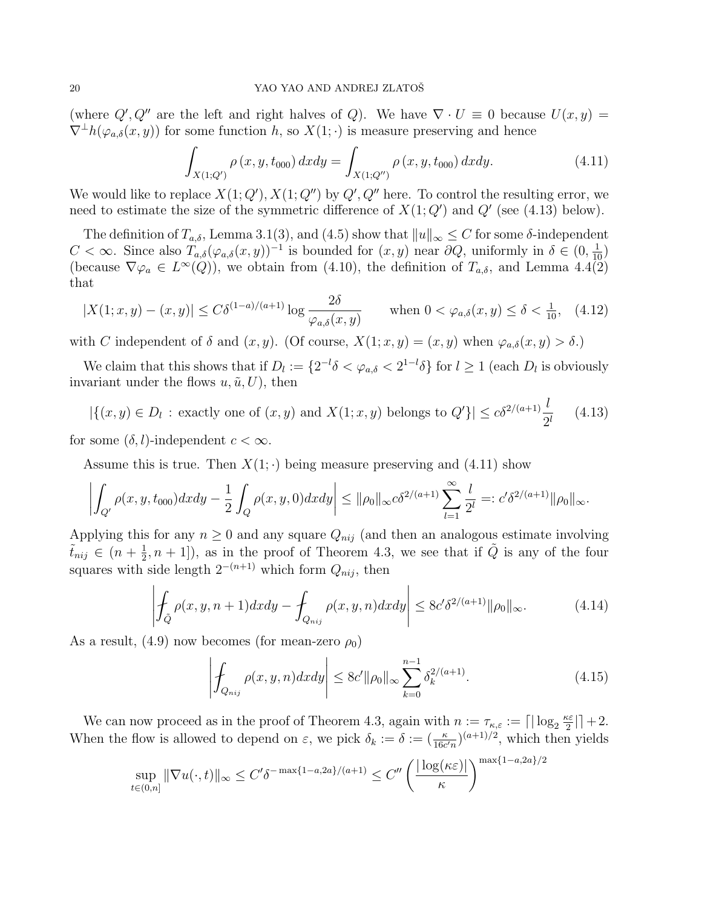(where  $Q', Q''$  are the left and right halves of Q). We have  $\nabla \cdot U \equiv 0$  because  $U(x, y) =$  $\nabla^{\perp}h(\varphi_{a,\delta}(x,y))$  for some function h, so  $X(1;\cdot)$  is measure preserving and hence

$$
\int_{X(1;Q')} \rho(x,y,t_{000}) \, dx dy = \int_{X(1;Q'')} \rho(x,y,t_{000}) \, dx dy. \tag{4.11}
$$

We would like to replace  $X(1; Q')$ ,  $X(1; Q'')$  by  $Q'$ ,  $Q''$  here. To control the resulting error, we need to estimate the size of the symmetric difference of  $X(1; Q')$  and  $Q'$  (see (4.13) below).

The definition of  $T_{a,\delta}$ , Lemma 3.1(3), and (4.5) show that  $||u||_{\infty} \leq C$  for some  $\delta$ -independent C < ∞. Since also  $T_{a,\delta}(\varphi_{a,\delta}(x,y))^{-1}$  is bounded for  $(x,y)$  near  $\partial Q$ , uniformly in  $\delta \in (0, \frac{1}{10})$ (because  $\nabla \varphi_a \in L^{\infty}(Q)$ ), we obtain from (4.10), the definition of  $T_{a,\delta}$ , and Lemma 4.4(2) that

$$
|X(1;x,y) - (x,y)| \le C\delta^{(1-a)/(a+1)} \log \frac{2\delta}{\varphi_{a,\delta}(x,y)} \quad \text{when } 0 < \varphi_{a,\delta}(x,y) \le \delta < \frac{1}{10}, \quad (4.12)
$$

with C independent of  $\delta$  and  $(x, y)$ . (Of course,  $X(1; x, y) = (x, y)$  when  $\varphi_{a, \delta}(x, y) > \delta$ .)

We claim that this shows that if  $D_l := \{2^{-l}\delta < \varphi_{a,\delta} < 2^{1-l}\delta\}$  for  $l \geq 1$  (each  $D_l$  is obviously invariant under the flows  $u, \tilde{u}, U$ , then

$$
|\{(x,y)\in D_l : \text{ exactly one of } (x,y) \text{ and } X(1;x,y) \text{ belongs to } Q'\}| \le c\delta^{2/(a+1)}\frac{l}{2^l} \tag{4.13}
$$

for some  $(\delta, l)$ -independent  $c < \infty$ .

Assume this is true. Then  $X(1; \cdot)$  being measure preserving and (4.11) show

$$
\left| \int_{Q'} \rho(x, y, t_{000}) dx dy - \frac{1}{2} \int_{Q} \rho(x, y, 0) dx dy \right| \leq ||\rho_0||_{\infty} c \delta^{2/(a+1)} \sum_{l=1}^{\infty} \frac{l}{2^l} =: c' \delta^{2/(a+1)} ||\rho_0||_{\infty}.
$$

Applying this for any  $n \geq 0$  and any square  $Q_{nij}$  (and then an analogous estimate involving  $\tilde{t}_{nij} \in (n + \frac{1}{2})$  $(\frac{1}{2}, n+1]$ , as in the proof of Theorem 4.3, we see that if  $\tilde{Q}$  is any of the four squares with side length  $2^{-(n+1)}$  which form  $Q_{nij}$ , then

$$
\left| \int_{\tilde{Q}} \rho(x, y, n+1) dx dy - \int_{Q_{nij}} \rho(x, y, n) dx dy \right| \le 8c' \delta^{2/(a+1)} \|\rho_0\|_{\infty}.
$$
 (4.14)

As a result, (4.9) now becomes (for mean-zero  $\rho_0$ )

$$
\left| \int_{Q_{nij}} \rho(x, y, n) dx dy \right| \le 8c' ||\rho_0||_{\infty} \sum_{k=0}^{n-1} \delta_k^{2/(a+1)}.
$$
\n(4.15)

We can now proceed as in the proof of Theorem 4.3, again with  $n := \tau_{\kappa,\varepsilon} := \lceil |\log_2 \frac{\kappa \varepsilon}{2} \rceil$  $\frac{\epsilon \varepsilon}{2}$ | + 2. When the flow is allowed to depend on  $\varepsilon$ , we pick  $\delta_k := \delta := (\frac{\kappa}{16c'n})^{(a+1)/2}$ , which then yields

$$
\sup_{t\in(0,n]} \|\nabla u(\cdot,t)\|_{\infty} \le C'\delta^{-\max\{1-a,2a\}/(a+1)} \le C''\left(\frac{|\log(\kappa \varepsilon)|}{\kappa}\right)^{\max\{1-a,2a\}/2}
$$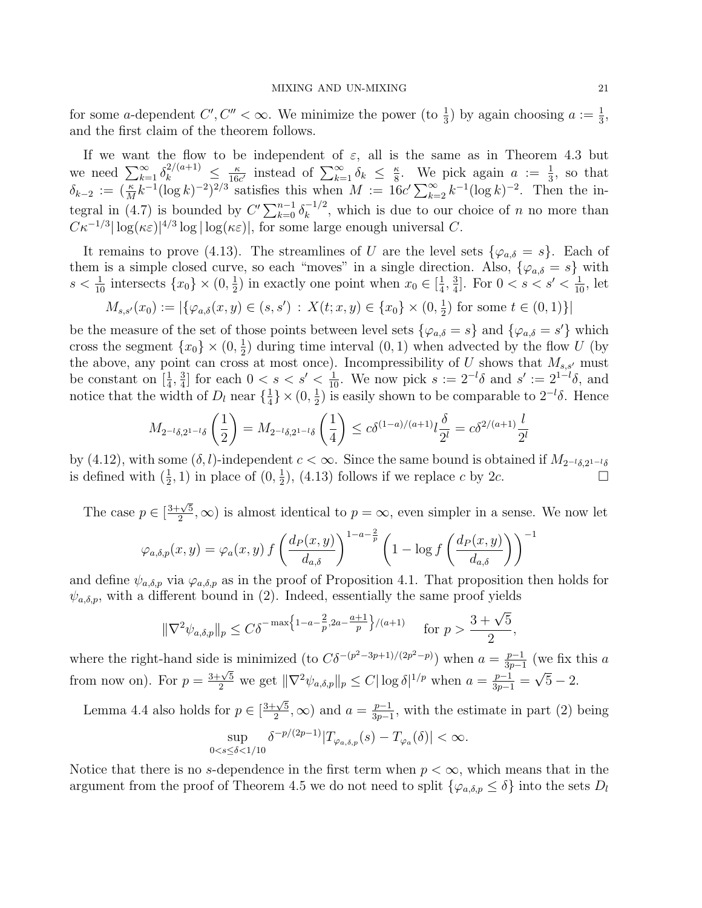for some a-dependent  $C', C'' < \infty$ . We minimize the power (to  $\frac{1}{3}$ ) by again choosing  $a := \frac{1}{3}$ , and the first claim of the theorem follows.

If we want the flow to be independent of  $\varepsilon$ , all is the same as in Theorem 4.3 but we need  $\sum_{k=1}^{\infty} \delta_k^{2/(a+1)} \leq \frac{\kappa}{16a}$  $\frac{\kappa}{16c'}$  instead of  $\sum_{k=1}^{\infty} \delta_k \leq \frac{\kappa}{8}$  $\frac{\kappa}{8}$ . We pick again  $a := \frac{1}{3}$ , so that  $\delta_{k-2} := (\frac{\kappa}{M}k^{-1}(\log k)^{-2})^{2/3}$  satisfies this when  $M := 16c' \sum_{k=2}^{\infty} k^{-1}(\log k)^{-2}$ . Then the integral in (4.7) is bounded by  $C' \sum_{k=0}^{n-1} \delta_k^{-1/2}$  $\binom{n}{k}$ , which is due to our choice of n no more than  $C\kappa^{-1/3}|\log(\kappa\varepsilon)|^{4/3}\log|\log(\kappa\varepsilon)|$ , for some large enough universal C.

It remains to prove (4.13). The streamlines of U are the level sets  $\{\varphi_{a,\delta} = s\}$ . Each of them is a simple closed curve, so each "moves" in a single direction. Also,  $\{\varphi_{a,\delta} = s\}$  with  $s < \frac{1}{10}$  intersects  $\{x_0\} \times (0, \frac{1}{2})$  $(\frac{1}{2})$  in exactly one point when  $x_0 \in [\frac{1}{4}]$  $\frac{1}{4}$ ,  $\frac{3}{4}$  $\frac{3}{4}$ . For  $0 < s < s' < \frac{1}{10}$ , let

$$
M_{s,s'}(x_0) := |\{\varphi_{a,\delta}(x,y) \in (s,s')\,:\, X(t;x,y) \in \{x_0\} \times (0,\frac{1}{2}) \text{ for some } t \in (0,1)\}|
$$

be the measure of the set of those points between level sets  $\{\varphi_{a,\delta} = s\}$  and  $\{\varphi_{a,\delta} = s'\}$  which cross the segment  $\{x_0\} \times (0, \frac{1}{2})$  $\frac{1}{2}$ ) during time interval  $(0, 1)$  when advected by the flow U (by the above, any point can cross at most once). Incompressibility of U shows that  $M_{s,s'}$  must be constant on  $\left[\frac{1}{4}, \frac{3}{4}\right]$  $\frac{3}{4}$  for each  $0 < s < s' < \frac{1}{10}$ . We now pick  $s := 2^{-l}\delta$  and  $s' := 2^{1-l}\delta$ , and notice that the width of  $D_l$  near  $\{\frac{1}{4}\}$  $\frac{1}{4}$   $\times$  (0,  $\frac{1}{2}$  $\frac{1}{2}$ ) is easily shown to be comparable to  $2^{-l}\delta$ . Hence

$$
M_{2^{-l}\delta,2^{1-l}\delta}\left(\frac{1}{2}\right) = M_{2^{-l}\delta,2^{1-l}\delta}\left(\frac{1}{4}\right) \le c\delta^{(1-a)/(a+1)}l\frac{\delta}{2^l} = c\delta^{2/(a+1)}\frac{l}{2^l}
$$

by (4.12), with some  $(\delta, l)$ -independent  $c < \infty$ . Since the same bound is obtained if  $M_{2^{-l}\delta,2^{1-l}\delta}$ is defined with  $(\frac{1}{2}, 1)$  in place of  $(0, \frac{1}{2})$  $(\frac{1}{2})$ , (4.13) follows if we replace c by 2c.

The case  $p \in [$  $3+\sqrt{5}$  $(\frac{\sqrt{5}}{2}, \infty)$  is almost identical to  $p = \infty$ , even simpler in a sense. We now let

$$
\varphi_{a,\delta,p}(x,y) = \varphi_a(x,y) f\left(\frac{d_P(x,y)}{d_{a,\delta}}\right)^{1-a-\frac{2}{p}} \left(1 - \log f\left(\frac{d_P(x,y)}{d_{a,\delta}}\right)\right)^{-1}
$$

and define  $\psi_{a,\delta,p}$  via  $\varphi_{a,\delta,p}$  as in the proof of Proposition 4.1. That proposition then holds for  $\psi_{a,\delta,p}$ , with a different bound in (2). Indeed, essentially the same proof yields

$$
\|\nabla^2 \psi_{a,\delta,p}\|_p \le C\delta^{-\max\left\{1-a-\frac{2}{p},2a-\frac{a+1}{p}\right\}/(a+1)} \quad \text{for } p > \frac{3+\sqrt{5}}{2},
$$

where the right-hand side is minimized (to  $C\delta^{-(p^2-3p+1)/(2p^2-p)}$ ) when  $a=\frac{p-1}{3p-1}$  $\frac{p-1}{3p-1}$  (we fix this a from now on). For  $p = \frac{3+\sqrt{5}}{2}$  we get  $\|\nabla^2 \psi_{a,\delta,p}\|_p \le C |\log \delta|^{1/p}$  when  $a = \frac{p-1}{3p-1} = \sqrt{5} - 2$ .

Lemma 4.4 also holds for  $p \in [$  $3+\sqrt{5}$  $(\frac{1}{2}, \infty)$  and  $a = \frac{p-1}{3p-1}$  $\frac{p-1}{3p-1}$ , with the estimate in part (2) being

$$
\sup_{0
$$

Notice that there is no s-dependence in the first term when  $p < \infty$ , which means that in the argument from the proof of Theorem 4.5 we do not need to split  $\{\varphi_{a,\delta,p} \leq \delta\}$  into the sets  $D_l$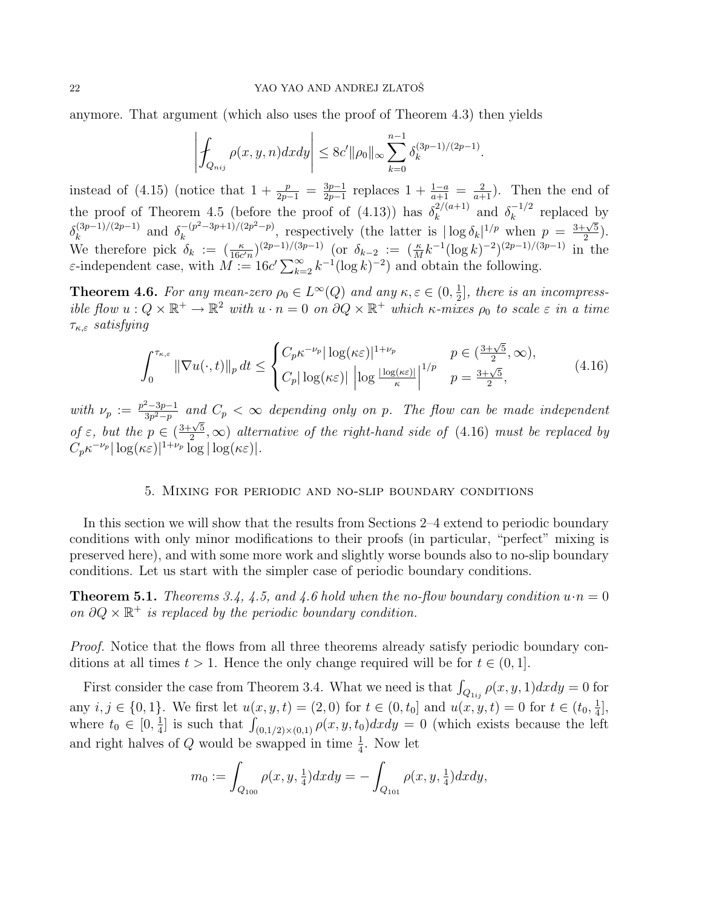anymore. That argument (which also uses the proof of Theorem 4.3) then yields

$$
\left| \int_{Q_{nij}} \rho(x, y, n) dx dy \right| \leq 8c' ||\rho_0||_{\infty} \sum_{k=0}^{n-1} \delta_k^{(3p-1)/(2p-1)}.
$$

instead of (4.15) (notice that  $1 + \frac{p}{2p-1} = \frac{3p-1}{2p-1}$  $\frac{3p-1}{2p-1}$  replaces  $1 + \frac{1-a}{a+1} = \frac{2}{a+1}$ . Then the end of the proof of Theorem 4.5 (before the proof of (4.13)) has  $\delta_k^{2/(a+1)}$  $\int_k^{2/(a+1)}$  and  $\delta_k^{-1/2}$  $k^{\frac{n-1}{2}}$  replaced by  $\delta_k^{(3p-1)/(2p-1)}$  $\int_{k}^{(3p-1)/(2p-1)}$  and  $\delta_k^{-(p^2-3p+1)/(2p^2-p)}$  $\frac{(-p^2-3p+1)}{(2p^2-p)}$ , respectively (the latter is  $|\log \delta_k|^{1/p}$  when  $p = \frac{3+\sqrt{5}}{2}$  $\frac{\sqrt{5}}{2}$ ). We therefore pick  $\delta_k := (\frac{\kappa}{16c'n})^{(2p-1)/(3p-1)}$  (or  $\delta_{k-2} := (\frac{\kappa}{M}k^{-1}(\log k)^{-2})^{(2p-1)/(3p-1)}$  in the  $\varepsilon$ -independent case, with  $M := 16c' \sum_{k=2}^{\infty} k^{-1} (\log k)^{-2}$  and obtain the following.

**Theorem 4.6.** For any mean-zero  $\rho_0 \in L^{\infty}(Q)$  and any  $\kappa, \varepsilon \in (0, \frac{1}{2})$  $\frac{1}{2}$ , there is an incompressible flow  $u: Q \times \mathbb{R}^+ \to \mathbb{R}^2$  with  $u \cdot n = 0$  on  $\partial Q \times \mathbb{R}^+$  which  $\kappa$ -mixes  $\rho_0$  to scale  $\varepsilon$  in a time  $\tau_{\kappa,\varepsilon}$  satisfying

$$
\int_0^{\tau_{\kappa,\varepsilon}} \|\nabla u(\cdot,t)\|_p \, dt \le \begin{cases} C_p \kappa^{-\nu_p} |\log(\kappa \varepsilon)|^{1+\nu_p} & p \in \left(\frac{3+\sqrt{5}}{2}, \infty\right), \\ C_p |\log(\kappa \varepsilon)| \left|\log \frac{|\log(\kappa \varepsilon)|}{\kappa}\right|^{1/p} & p = \frac{3+\sqrt{5}}{2}, \end{cases} \tag{4.16}
$$

with  $\nu_p := \frac{p^2 - 3p - 1}{3p^2 - p}$  $\frac{2-3p-1}{3p^2-p}$  and  $C_p < \infty$  depending only on p. The flow can be made independent of  $\varepsilon$ , but the  $p \in ($  $3+\sqrt{5}$  $\frac{\sqrt{5}}{2}$ ,  $\infty$ ) alternative of the right-hand side of (4.16) must be replaced by  $C_p \kappa^{-\nu_p} |\log(\kappa \varepsilon)|^{1+\nu_p} \log |\log(\kappa \varepsilon)|.$ 

## 5. Mixing for periodic and no-slip boundary conditions

In this section we will show that the results from Sections 2–4 extend to periodic boundary conditions with only minor modifications to their proofs (in particular, "perfect" mixing is preserved here), and with some more work and slightly worse bounds also to no-slip boundary conditions. Let us start with the simpler case of periodic boundary conditions.

**Theorem 5.1.** Theorems 3.4, 4.5, and 4.6 hold when the no-flow boundary condition  $u \cdot n = 0$ on  $\partial Q \times \mathbb{R}^+$  is replaced by the periodic boundary condition.

Proof. Notice that the flows from all three theorems already satisfy periodic boundary conditions at all times  $t > 1$ . Hence the only change required will be for  $t \in (0, 1]$ .

First consider the case from Theorem 3.4. What we need is that  $\int_{Q_{1ij}} \rho(x, y, 1) dx dy = 0$  for any  $i, j \in \{0, 1\}$ . We first let  $u(x, y, t) = (2, 0)$  for  $t \in (0, t_0]$  and  $u(x, y, t) = 0$  for  $t \in (t_0, \frac{1}{4})$  $\frac{1}{4}$ , where  $t_0 \in [0, \frac{1}{4}]$  $\frac{1}{4}$ ] is such that  $\int_{(0,1/2)\times(0,1)} \rho(x,y,t_0) dx dy = 0$  (which exists because the left and right halves of Q would be swapped in time  $\frac{1}{4}$ . Now let

$$
m_0 := \int_{Q_{100}} \rho(x, y, \frac{1}{4}) dx dy = - \int_{Q_{101}} \rho(x, y, \frac{1}{4}) dx dy,
$$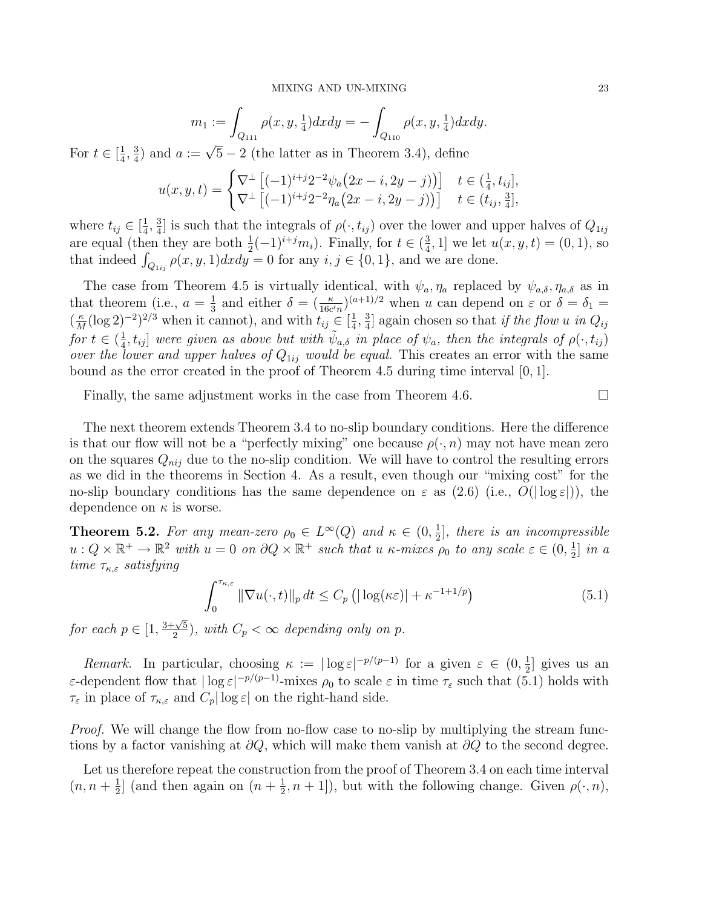$$
m_1 := \int_{Q_{111}} \rho(x, y, \frac{1}{4}) dx dy = - \int_{Q_{110}} \rho(x, y, \frac{1}{4}) dx dy.
$$

For  $t \in \left[\frac{1}{4}\right]$  $\frac{1}{4}$ ,  $\frac{3}{4}$  $\frac{3}{4}$ ) and  $a := \sqrt{5} - 2$  (the latter as in Theorem 3.4), define

$$
u(x, y, t) = \begin{cases} \nabla^{\perp} \left[ (-1)^{i+j} 2^{-2} \psi_a \left( 2x - i, 2y - j \right) \right] & t \in \left( \frac{1}{4}, t_{ij} \right], \\ \nabla^{\perp} \left[ (-1)^{i+j} 2^{-2} \eta_a \left( 2x - i, 2y - j \right) \right] & t \in \left( t_{ij}, \frac{3}{4} \right], \end{cases}
$$

where  $t_{ij} \in \left[\frac{1}{4}\right]$  $\frac{1}{4}$ ,  $\frac{3}{4}$  $\frac{3}{4}$  is such that the integrals of  $\rho(\cdot,t_{ij})$  over the lower and upper halves of  $Q_{1ij}$ are equal (then they are both  $\frac{1}{2}(-1)^{i+j}m_i$ ). Finally, for  $t \in (\frac{3}{4})$  $\frac{3}{4}$ , 1] we let  $u(x, y, t) = (0, 1)$ , so that indeed  $\int_{Q_{1ij}} \rho(x, y, 1) dx dy = 0$  for any  $i, j \in \{0, 1\}$ , and we are done.

The case from Theorem 4.5 is virtually identical, with  $\psi_a$ ,  $\eta_a$  replaced by  $\psi_{a,\delta}$ ,  $\eta_{a,\delta}$  as in that theorem (i.e.,  $a = \frac{1}{3}$ )  $\frac{1}{3}$  and either  $\delta = (\frac{\kappa}{16c'n})^{(a+1)/2}$  when u can depend on  $\varepsilon$  or  $\delta = \delta_1 =$  $\left(\frac{\kappa}{M}\right)$  $\frac{\kappa}{M}(\log 2)^{-2}$ <sup>2/3</sup> when it cannot), and with  $t_{ij} \in \left[\frac{1}{4}\right]$  $\frac{1}{4}$ ,  $\frac{3}{4}$  $\frac{3}{4}$  again chosen so that *if the flow u in Q<sub>ij</sub>* for  $t \in (\frac{1}{4})$  $\frac{1}{4}$ ,  $t_{ij}$  were given as above but with  $\tilde{\psi}_{a,\delta}$  in place of  $\psi_a$ , then the integrals of  $\rho(\cdot,t_{ij})$ over the lower and upper halves of  $Q_{1ij}$  would be equal. This creates an error with the same bound as the error created in the proof of Theorem 4.5 during time interval [0, 1].

Finally, the same adjustment works in the case from Theorem 4.6.

The next theorem extends Theorem 3.4 to no-slip boundary conditions. Here the difference is that our flow will not be a "perfectly mixing" one because  $\rho(\cdot, n)$  may not have mean zero on the squares  $Q_{nij}$  due to the no-slip condition. We will have to control the resulting errors as we did in the theorems in Section 4. As a result, even though our "mixing cost" for the no-slip boundary conditions has the same dependence on  $\varepsilon$  as (2.6) (i.e.,  $O(|\log \varepsilon|)$ ), the dependence on  $\kappa$  is worse.

**Theorem 5.2.** For any mean-zero  $\rho_0 \in L^{\infty}(Q)$  and  $\kappa \in (0, \frac{1}{2})$  $\frac{1}{2}$ , there is an incompressible  $u: Q \times \mathbb{R}^+ \to \mathbb{R}^2$  with  $u = 0$  on  $\partial Q \times \mathbb{R}^+$  such that u  $\kappa$ -mixes  $\rho_0$  to any scale  $\varepsilon \in (0, \frac{1}{2})$  $\frac{1}{2}$  in a time  $\tau_{\kappa,\varepsilon}$  satisfying

$$
\int_0^{\tau_{\kappa,\varepsilon}} \|\nabla u(\cdot,t)\|_p \, dt \le C_p \left( |\log(\kappa \varepsilon)| + \kappa^{-1+1/p} \right) \tag{5.1}
$$

for each  $p \in [1,$  $3+\sqrt{5}$  $\frac{2-\sqrt{5}}{2}$ , with  $C_p < \infty$  depending only on p.

Remark. In particular, choosing  $\kappa := |\log \varepsilon|^{-p/(p-1)}$  for a given  $\varepsilon \in (0, \frac{1}{2})$  $\frac{1}{2}$  gives us an ε-dependent flow that  $|\log \varepsilon|^{-p/(p-1)}$ -mixes  $\rho_0$  to scale  $\varepsilon$  in time  $\tau_\varepsilon$  such that (5.1) holds with  $\tau_{\varepsilon}$  in place of  $\tau_{\kappa,\varepsilon}$  and  $C_p |\log \varepsilon|$  on the right-hand side.

Proof. We will change the flow from no-flow case to no-slip by multiplying the stream functions by a factor vanishing at  $\partial Q$ , which will make them vanish at  $\partial Q$  to the second degree.

Let us therefore repeat the construction from the proof of Theorem 3.4 on each time interval  $(n, n + \frac{1}{2})$  $\frac{1}{2}$  (and then again on  $(n + \frac{1}{2})$  $(\frac{1}{2}, n+1]$ , but with the following change. Given  $\rho(\cdot, n)$ ,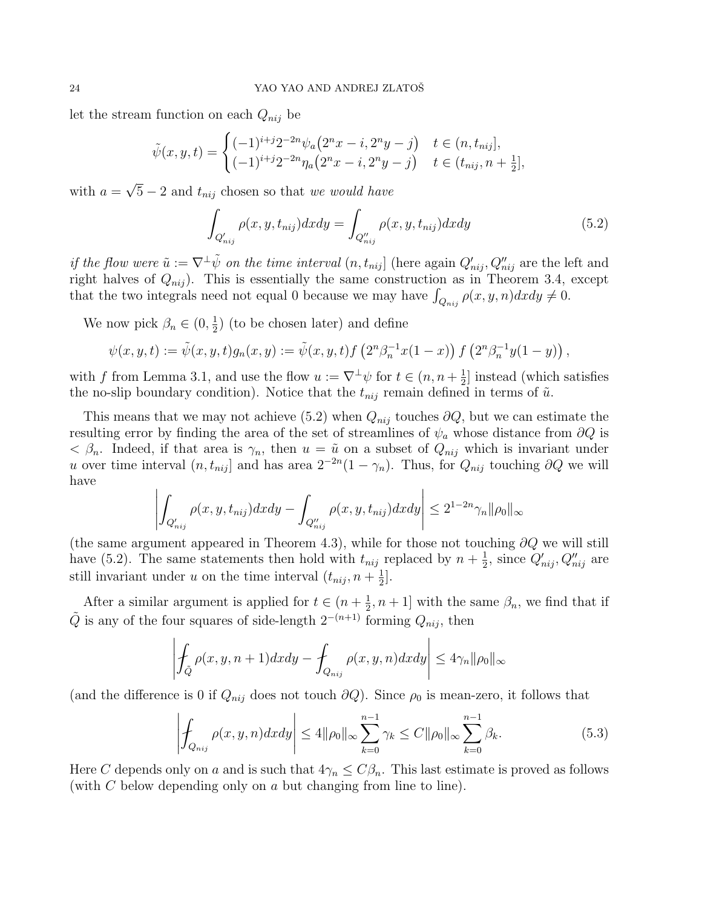let the stream function on each  $Q_{nij}$  be

$$
\tilde{\psi}(x,y,t) = \begin{cases}\n(-1)^{i+j}2^{-2n}\psi_a(2^nx - i, 2^ny - j) & t \in (n, t_{nij}], \\
(-1)^{i+j}2^{-2n}\eta_a(2^nx - i, 2^ny - j) & t \in (t_{nij}, n + \frac{1}{2}],\n\end{cases}
$$

with  $a = \sqrt{5} - 2$  and  $t_{nij}$  chosen so that we would have

$$
\int_{Q'_{nij}} \rho(x, y, t_{nij}) dx dy = \int_{Q''_{nij}} \rho(x, y, t_{nij}) dx dy
$$
\n(5.2)

if the flow were  $\tilde{u} := \nabla^{\perp} \tilde{\psi}$  on the time interval  $(n, t_{nij}]$  (here again  $Q'_{nij}, Q''_{nij}$  are the left and right halves of  $Q_{nij}$ ). This is essentially the same construction as in Theorem 3.4, except that the two integrals need not equal 0 because we may have  $\int_{Q_{nij}} \rho(x, y, n) dx dy \neq 0$ .

We now pick  $\beta_n \in (0, \frac{1}{2})$  $(\frac{1}{2})$  (to be chosen later) and define

$$
\psi(x, y, t) := \tilde{\psi}(x, y, t) g_n(x, y) := \tilde{\psi}(x, y, t) f\left(2^n \beta_n^{-1} x(1-x)\right) f\left(2^n \beta_n^{-1} y(1-y)\right),
$$

with f from Lemma 3.1, and use the flow  $u := \nabla^{\perp} \psi$  for  $t \in (n, n + \frac{1}{2})$  $\frac{1}{2}$ ] instead (which satisfies the no-slip boundary condition). Notice that the  $t_{nij}$  remain defined in terms of  $\tilde{u}$ .

This means that we may not achieve (5.2) when  $Q_{nij}$  touches  $\partial Q$ , but we can estimate the resulting error by finding the area of the set of streamlines of  $\psi_a$  whose distance from  $\partial Q$  is  $\langle \beta_n$ . Indeed, if that area is  $\gamma_n$ , then  $u = \tilde{u}$  on a subset of  $Q_{nij}$  which is invariant under u over time interval  $(n, t_{nij}]$  and has area  $2^{-2n}(1 - \gamma_n)$ . Thus, for  $Q_{nij}$  touching  $\partial Q$  we will have

$$
\left| \int_{Q'_{nij}} \rho(x, y, t_{nij}) dx dy - \int_{Q''_{nij}} \rho(x, y, t_{nij}) dx dy \right| \leq 2^{1-2n} \gamma_n ||\rho_0||_{\infty}
$$

(the same argument appeared in Theorem 4.3), while for those not touching  $\partial Q$  we will still have (5.2). The same statements then hold with  $t_{nij}$  replaced by  $n + \frac{1}{2}$  $\frac{1}{2}$ , since  $Q'_{nij}, Q''_{nij}$  are still invariant under u on the time interval  $(t_{nij}, n + \frac{1}{2})$  $\frac{1}{2}$ .

After a similar argument is applied for  $t \in (n + \frac{1}{2})$  $(\frac{1}{2}, n+1]$  with the same  $\beta_n$ , we find that if  $\tilde{Q}$  is any of the four squares of side-length  $2^{-(n+1)}$  forming  $Q_{nij}$ , then

$$
\left| \int_{\tilde{Q}} \rho(x, y, n+1) dx dy - \int_{Q_{nij}} \rho(x, y, n) dx dy \right| \leq 4\gamma_n ||\rho_0||_{\infty}
$$

(and the difference is 0 if  $Q_{nij}$  does not touch  $\partial Q$ ). Since  $\rho_0$  is mean-zero, it follows that

$$
\left| \int_{Q_{nij}} \rho(x, y, n) dx dy \right| \le 4 \|\rho_0\|_{\infty} \sum_{k=0}^{n-1} \gamma_k \le C \|\rho_0\|_{\infty} \sum_{k=0}^{n-1} \beta_k.
$$
 (5.3)

Here C depends only on a and is such that  $4\gamma_n \leq C\beta_n$ . This last estimate is proved as follows (with C below depending only on a but changing from line to line).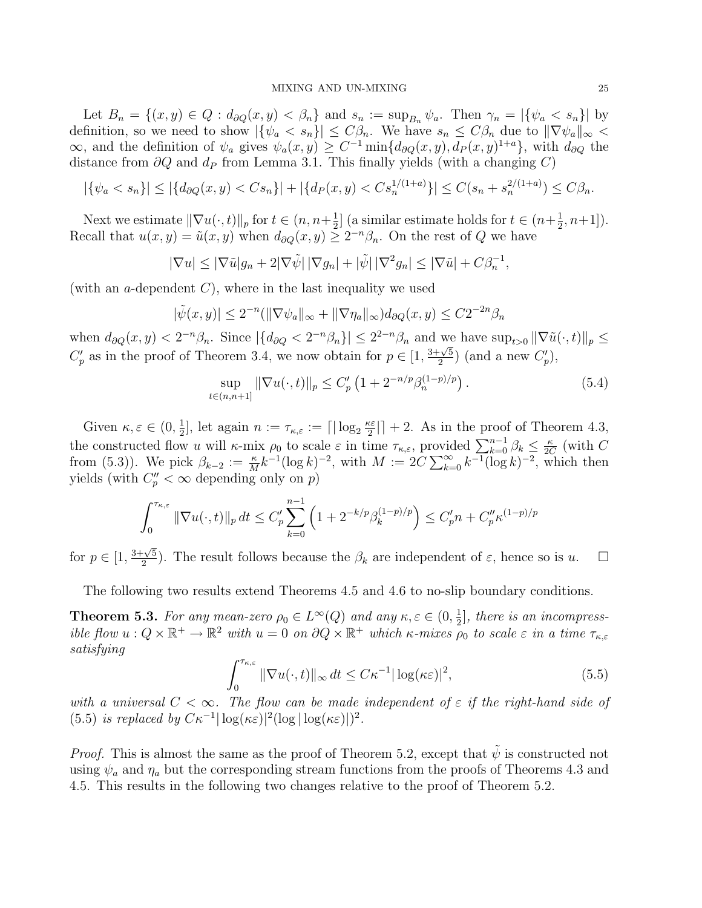Let  $B_n = \{(x, y) \in Q : d_{\partial Q}(x, y) < \beta_n\}$  and  $s_n := \sup_{B_n} \psi_a$ . Then  $\gamma_n = |\{\psi_a \le s_n\}|$  by definition, so we need to show  $|\{\psi_a < s_n\}| \leq C\beta_n$ . We have  $s_n \leq C\beta_n$  due to  $\|\nabla \psi_a\|_{\infty}$  $\infty$ , and the definition of  $\psi_a$  gives  $\psi_a(x, y) \geq C^{-1} \min\{d_{\partial Q}(x, y), d_P(x, y)^{1+a}\},\$  with  $d_{\partial Q}$  the distance from  $\partial Q$  and  $d_P$  from Lemma 3.1. This finally yields (with a changing C)

$$
|\{\psi_a < s_n\}| \le |\{d_{\partial Q}(x, y) < C s_n\}| + |\{d_P(x, y) < C s_n^{1/(1+a)}\}| \le C(s_n + s_n^{2/(1+a)}) \le C\beta_n.
$$

Next we estimate  $\|\nabla u(\cdot, t)\|_p$  for  $t \in (n, n+\frac{1}{2})$  $\frac{1}{2}$  (a similar estimate holds for  $t \in (n + \frac{1}{2})$  $(\frac{1}{2}, n+1]).$ Recall that  $u(x, y) = \tilde{u}(x, y)$  when  $d_{\partial Q}(x, y) \geq 2^{-n} \beta_n$ . On the rest of Q we have

$$
|\nabla u| \le |\nabla \tilde{u}| g_n + 2|\nabla \tilde{\psi}| \, |\nabla g_n| + |\tilde{\psi}| \, |\nabla^2 g_n| \le |\nabla \tilde{u}| + C\beta_n^{-1},
$$

(with an a-dependent  $C$ ), where in the last inequality we used

$$
|\tilde{\psi}(x,y)| \le 2^{-n} (\|\nabla \psi_a\|_{\infty} + \|\nabla \eta_a\|_{\infty}) d_{\partial Q}(x,y) \le C2^{-2n} \beta_n
$$

when  $d_{\partial Q}(x, y) < 2^{-n}\beta_n$ . Since  $|\{d_{\partial Q} < 2^{-n}\beta_n\}| \leq 2^{2-n}\beta_n$  and we have  $\sup_{t>0} \|\nabla \tilde{u}(\cdot, t)\|_p \leq$  $C_p'$  as in the proof of Theorem 3.4, we now obtain for  $p \in [1,$ 3+<sup>√</sup> 5  $\frac{\sqrt{5}}{2}$  (and a new  $C_p'$ ),

$$
\sup_{t \in (n,n+1]} \|\nabla u(\cdot,t)\|_{p} \le C'_{p} \left(1 + 2^{-n/p} \beta_{n}^{(1-p)/p}\right). \tag{5.4}
$$

Given  $\kappa, \varepsilon \in (0, \frac{1}{2}]$ , let again  $n := \tau_{\kappa, \varepsilon} := \lceil |\log_2 \frac{\kappa \varepsilon}{2}| \rceil + 2$ . As in the proof of Theorem 4.3, the constructed flow u will  $\kappa$ -mix  $\rho_0$  to scale  $\varepsilon$  in time  $\tau_{\kappa,\varepsilon}$ , provided  $\sum_{k=0}^{n-1} \beta_k \leq \frac{\kappa}{2C}$  $\frac{\kappa}{2C}$  (with C from (5.3)). We pick  $\beta_{k-2} := \frac{\kappa}{M} k^{-1} (\log k)^{-2}$ , with  $M := 2C \sum_{k=0}^{\infty} k^{-1} (\log k)^{-2}$ , which then yields (with  $C_p'' < \infty$  depending only on p)

$$
\int_0^{\tau_{\kappa,\varepsilon}} \|\nabla u(\cdot,t)\|_p \, dt \le C_p' \sum_{k=0}^{n-1} \left(1 + 2^{-k/p} \beta_k^{(1-p)/p}\right) \le C_p' n + C_p'' \kappa^{(1-p)/p}
$$

for  $p \in [1,$  $3+\sqrt{5}$  $\frac{1}{2}$ . The result follows because the  $\beta_k$  are independent of  $\varepsilon$ , hence so is  $u$ .  $\Box$ 

The following two results extend Theorems 4.5 and 4.6 to no-slip boundary conditions.

**Theorem 5.3.** For any mean-zero  $\rho_0 \in L^{\infty}(Q)$  and any  $\kappa, \varepsilon \in (0, \frac{1}{2})$  $\frac{1}{2}$ , there is an incompressible flow  $u: Q \times \mathbb{R}^+ \to \mathbb{R}^2$  with  $u = 0$  on  $\partial Q \times \mathbb{R}^+$  which  $\kappa$ -mixes  $\rho_0$  to scale  $\varepsilon$  in a time  $\tau_{\kappa,\varepsilon}$ satisfying

$$
\int_0^{\tau_{\kappa,\varepsilon}} \|\nabla u(\cdot,t)\|_{\infty} dt \le C\kappa^{-1} |\log(\kappa \varepsilon)|^2,
$$
\n(5.5)

with a universal  $C < \infty$ . The flow can be made independent of  $\varepsilon$  if the right-hand side of (5.5) is replaced by  $C\kappa^{-1}|\log(\kappa\varepsilon)|^2(\log|\log(\kappa\varepsilon)|)^2$ .

*Proof.* This is almost the same as the proof of Theorem 5.2, except that  $\hat{\psi}$  is constructed not using  $\psi_a$  and  $\eta_a$  but the corresponding stream functions from the proofs of Theorems 4.3 and 4.5. This results in the following two changes relative to the proof of Theorem 5.2.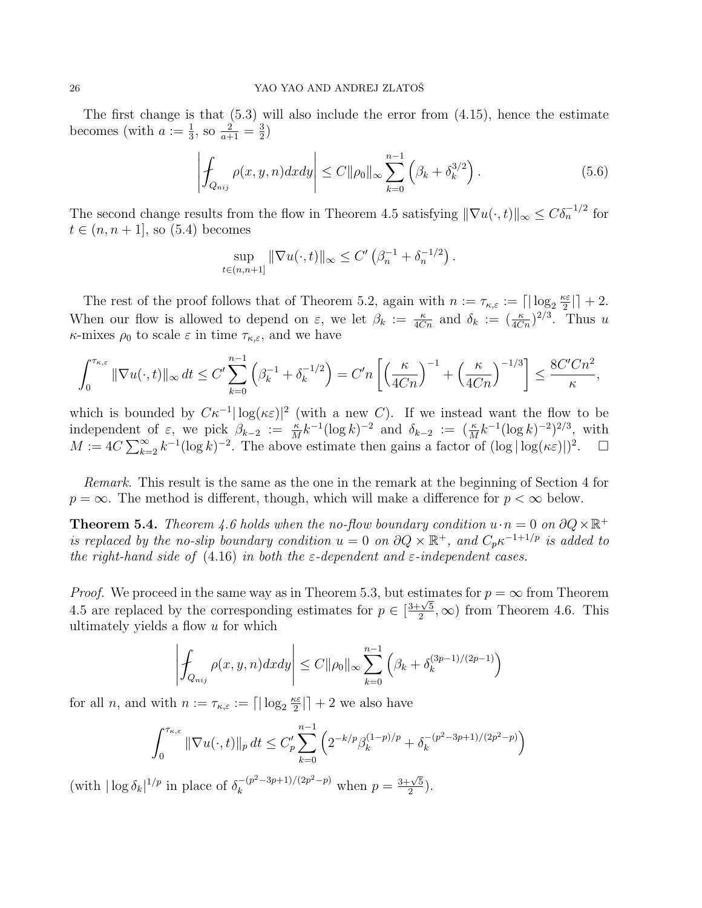The first change is that (5.3) will also include the error from (4.15), hence the estimate becomes (with  $a := \frac{1}{3}$ , so  $\frac{2}{a+1} = \frac{3}{2}$  $\frac{3}{2}$ 

$$
\left| \oint_{Q_{nij}} \rho(x, y, n) dx dy \right| \le C ||\rho_0||_{\infty} \sum_{k=0}^{n-1} \left( \beta_k + \delta_k^{3/2} \right).
$$
 (5.6)

The second change results from the flow in Theorem 4.5 satisfying  $\|\nabla u(\cdot,t)\|_{\infty} \leq C\delta_n^{-1/2}$  for  $t \in (n, n+1]$ , so  $(5.4)$  becomes

$$
\sup_{t \in (n,n+1]} \|\nabla u(\cdot,t)\|_{\infty} \le C' \left(\beta_n^{-1} + \delta_n^{-1/2}\right).
$$

The rest of the proof follows that of Theorem 5.2, again with  $n := \tau_{\kappa,\varepsilon} := \lceil |\log_2 \frac{\kappa \varepsilon}{2} \rceil$  $\frac{\epsilon \varepsilon}{2}$ | + 2. When our flow is allowed to depend on  $\varepsilon$ , we let  $\beta_k := \frac{\kappa}{4Cn}$  and  $\delta_k := (\frac{\kappa}{4Cn})^{2/3}$ . Thus u  $\kappa$ -mixes  $\rho_0$  to scale  $\varepsilon$  in time  $\tau_{\kappa,\varepsilon}$ , and we have

$$
\int_0^{\tau_{\kappa,\varepsilon}} \|\nabla u(\cdot,t)\|_{\infty} dt \le C' \sum_{k=0}^{n-1} \left(\beta_k^{-1} + \delta_k^{-1/2}\right) = C' n \left[\left(\frac{\kappa}{4Cn}\right)^{-1} + \left(\frac{\kappa}{4Cn}\right)^{-1/3}\right] \le \frac{8C'Cn^2}{\kappa},
$$

which is bounded by  $C\kappa^{-1}|\log(\kappa\varepsilon)|^2$  (with a new C). If we instead want the flow to be independent of  $\varepsilon$ , we pick  $\beta_{k-2} := \frac{\kappa}{M} k^{-1} (\log k)^{-2}$  and  $\delta_{k-2} := (\frac{\kappa}{M} k^{-1} (\log k)^{-2})^{2/3}$ , with  $M := 4C \sum_{k=2}^{\infty} k^{-1} (\log k)^{-2}$ . The above estimate then gains a factor of  $(\log |\log(\kappa \varepsilon)|)^2$ .  $\Box$ 

Remark. This result is the same as the one in the remark at the beginning of Section 4 for  $p = \infty$ . The method is different, though, which will make a difference for  $p < \infty$  below.

**Theorem 5.4.** Theorem 4.6 holds when the no-flow boundary condition  $u \cdot n = 0$  on  $\partial Q \times \mathbb{R}^+$ is replaced by the no-slip boundary condition  $u = 0$  on  $\partial Q \times \mathbb{R}^+$ , and  $C_p \kappa^{-1+1/p}$  is added to the right-hand side of  $(4.16)$  in both the  $\varepsilon$ -dependent and  $\varepsilon$ -independent cases.

*Proof.* We proceed in the same way as in Theorem 5.3, but estimates for  $p = \infty$  from Theorem 4.5 are replaced by the corresponding estimates for  $p \in [$ 3+<sup>√</sup> 5  $\frac{-\sqrt{5}}{2}$ ,  $\infty$ ) from Theorem 4.6. This ultimately yields a flow u for which

$$
\left| \int_{Q_{nij}} \rho(x, y, n) dx dy \right| \le C ||\rho_0||_{\infty} \sum_{k=0}^{n-1} \left( \beta_k + \delta_k^{(3p-1)/(2p-1)} \right)
$$

for all *n*, and with  $n := \tau_{\kappa,\varepsilon} := \lceil |\log_2 \frac{\kappa \varepsilon}{2} \rceil$  $\frac{\varepsilon \varepsilon}{2}$ | + 2 we also have

$$
\int_0^{\tau_{\kappa,\varepsilon}} \|\nabla u(\cdot,t)\|_p \, dt \le C_p' \sum_{k=0}^{n-1} \left( 2^{-k/p} \beta_k^{(1-p)/p} + \delta_k^{-(p^2-3p+1)/(2p^2-p)} \right)
$$

(with  $|\log \delta_k|^{1/p}$  in place of  $\delta_k^{-(p^2-3p+1)/(2p^2-p)}$  when  $p =$  $3+\sqrt{5}$  $\frac{1}{2}$ .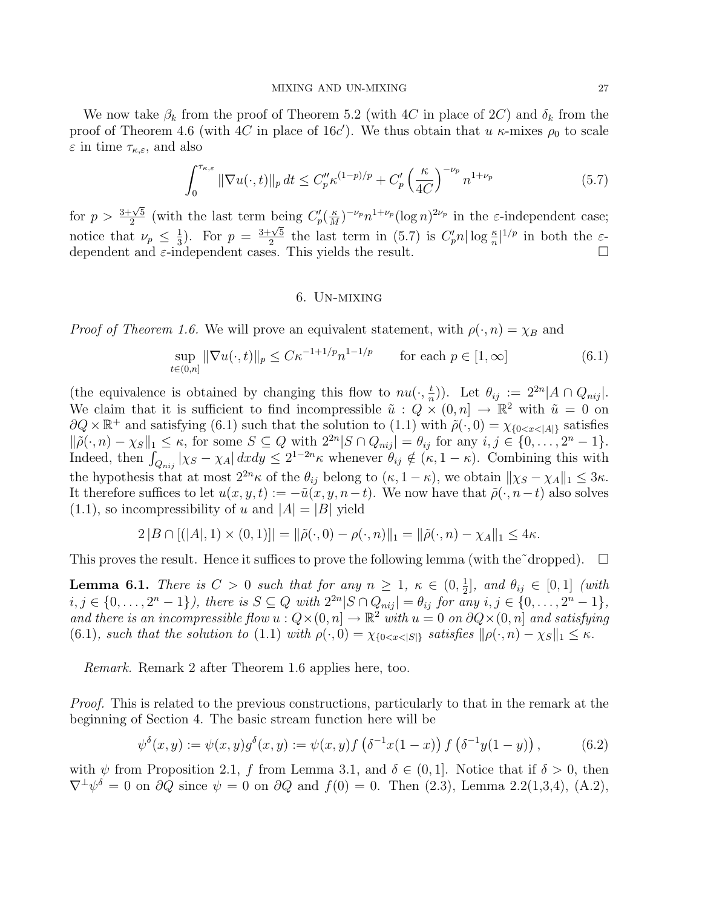We now take  $\beta_k$  from the proof of Theorem 5.2 (with 4C in place of 2C) and  $\delta_k$  from the proof of Theorem 4.6 (with 4C in place of 16c'). We thus obtain that u  $\kappa$ -mixes  $\rho_0$  to scale  $\varepsilon$  in time  $\tau_{\kappa,\varepsilon}$ , and also

$$
\int_0^{\tau_{\kappa,\varepsilon}} \|\nabla u(\cdot,t)\|_p \, dt \le C_p'' \kappa^{(1-p)/p} + C_p' \left(\frac{\kappa}{4C}\right)^{-\nu_p} n^{1+\nu_p} \tag{5.7}
$$

for  $p > \frac{3+\sqrt{5}}{2}$  $\frac{C}{2}$  (with the last term being  $C_p'(\frac{\kappa}{M})$  $\frac{\kappa}{M}$ )<sup>-ν<sub>p</sub></sup> n<sup>1+ν<sub>p</sub></sup>(log n)<sup>2ν<sub>p</sub></sup> in the ε-independent case; notice that  $\nu_p \leq \frac{1}{3}$  $\frac{1}{3}$ ). For  $p = \frac{3+\sqrt{5}}{2}$  $\frac{1}{2}$  the last term in (5.7) is  $C'_p n |\log \frac{\kappa}{n}|^{1/p}$  in both the  $\varepsilon$ dependent and  $\epsilon$ -independent cases. This yields the result.

## 6. Un-mixing

*Proof of Theorem 1.6.* We will prove an equivalent statement, with  $\rho(\cdot, n) = \chi_B$  and

$$
\sup_{t \in (0,n]} \|\nabla u(\cdot, t)\|_{p} \le C\kappa^{-1+1/p} n^{1-1/p} \qquad \text{for each } p \in [1, \infty]
$$
\n
$$
(6.1)
$$

(the equivalence is obtained by changing this flow to  $nu(\cdot, \frac{t}{n})$  $(\frac{t}{n})$ . Let  $\theta_{ij} := 2^{2n} |A \cap Q_{nij}|$ . We claim that it is sufficient to find incompressible  $\tilde{u}: Q \times (0,n] \to \mathbb{R}^2$  with  $\tilde{u} = 0$  on  $\partial Q \times \mathbb{R}^+$  and satisfying (6.1) such that the solution to (1.1) with  $\tilde{\rho}(\cdot, 0) = \chi_{0 \leq x \leq |A|}$  satisfies  $\|\tilde{\rho}(\cdot,n)-\chi_S\|_1 \leq \kappa$ , for some  $S \subseteq Q$  with  $2^{2n}|S \cap Q_{nij}| = \theta_{ij}$  for any  $i, j \in \{0, \ldots, 2^n - 1\}$ . Indeed, then  $\int_{Q_{nij}} |\chi_S - \chi_A| \, dxdy \leq 2^{1-2n} \kappa$  whenever  $\theta_{ij} \notin (\kappa, 1-\kappa)$ . Combining this with the hypothesis that at most  $2^{2n}\kappa$  of the  $\theta_{ij}$  belong to  $(\kappa, 1 - \kappa)$ , we obtain  $\|\chi_S - \chi_A\|_1 \leq 3\kappa$ . It therefore suffices to let  $u(x, y, t) := -\tilde{u}(x, y, n-t)$ . We now have that  $\tilde{\rho}(\cdot, n-t)$  also solves  $(1.1)$ , so incompressibility of u and  $|A| = |B|$  yield

$$
2|B \cap [(|A|,1) \times (0,1)]| = ||\tilde{\rho}(\cdot,0) - \rho(\cdot,n)||_1 = ||\tilde{\rho}(\cdot,n) - \chi_A||_1 \leq 4\kappa.
$$

This proves the result. Hence it suffices to prove the following lemma (with the  $\check{c}$  dropped).  $\Box$ 

**Lemma 6.1.** There is  $C > 0$  such that for any  $n \geq 1$ ,  $\kappa \in (0, \frac{1}{2})$  $\frac{1}{2}$ ], and  $\theta_{ij} \in [0,1]$  (with  $i, j \in \{0, ..., 2<sup>n</sup> - 1\}$ , there is  $S \subseteq Q$  with  $2<sup>2n</sup> |S \cap Q_{nij}| = \theta_{ij}$  for any  $i, j \in \{0, ..., 2<sup>n</sup> - 1\}$ , and there is an incompressible flow  $u: Q \times (0, n] \to \mathbb{R}^2$  with  $u = 0$  on  $\partial Q \times (0, n]$  and satisfying (6.1), such that the solution to (1.1) with  $\rho(\cdot, 0) = \chi_{0 \le x \le |S|}$  satisfies  $\|\rho(\cdot, n) - \chi_{S}\|_1 \le \kappa$ .

Remark. Remark 2 after Theorem 1.6 applies here, too.

Proof. This is related to the previous constructions, particularly to that in the remark at the beginning of Section 4. The basic stream function here will be

$$
\psi^{\delta}(x, y) := \psi(x, y)g^{\delta}(x, y) := \psi(x, y)f\left(\delta^{-1}x(1-x)\right)f\left(\delta^{-1}y(1-y)\right),\tag{6.2}
$$

with  $\psi$  from Proposition 2.1, f from Lemma 3.1, and  $\delta \in (0,1]$ . Notice that if  $\delta > 0$ , then  $\nabla^{\perp}\psi^{\delta} = 0$  on  $\partial Q$  since  $\psi = 0$  on  $\partial Q$  and  $f(0) = 0$ . Then  $(2.3)$ , Lemma 2.2(1,3,4), (A.2),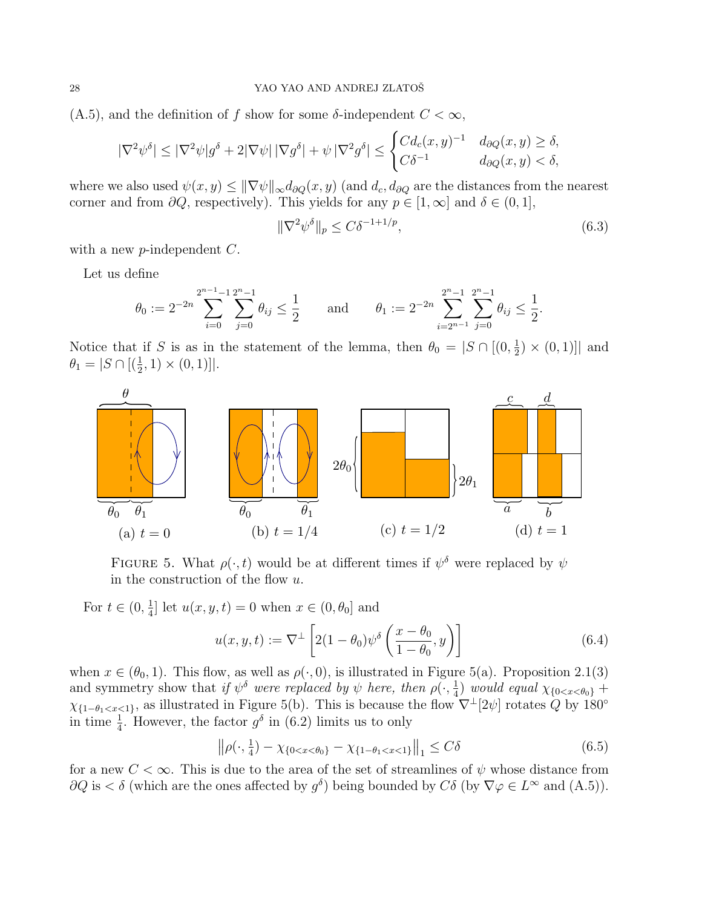$(A.5)$ , and the definition of f show for some  $\delta$ -independent  $C < \infty$ ,

$$
|\nabla^2 \psi^{\delta}| \leq |\nabla^2 \psi|g^{\delta} + 2|\nabla \psi| \, |\nabla g^{\delta}| + \psi \, |\nabla^2 g^{\delta}| \leq \begin{cases} C d_c(x, y)^{-1} & d_{\partial Q}(x, y) \geq \delta, \\ C\delta^{-1} & d_{\partial Q}(x, y) < \delta, \end{cases}
$$

where we also used  $\psi(x, y) \leq \|\nabla \psi\|_{\infty} d_{\partial Q}(x, y)$  (and  $d_c, d_{\partial Q}$  are the distances from the nearest corner and from  $\partial Q$ , respectively). This yields for any  $p \in [1,\infty]$  and  $\delta \in (0,1],$ 

$$
\|\nabla^2 \psi^\delta\|_p \le C\delta^{-1+1/p},\tag{6.3}
$$

with a new  $p$ -independent  $C$ .

Let us define

$$
\theta_0 := 2^{-2n} \sum_{i=0}^{2^{n-1}-1} \sum_{j=0}^{2^n-1} \theta_{ij} \le \frac{1}{2} \quad \text{and} \quad \theta_1 := 2^{-2n} \sum_{i=2^{n-1}}^{2^n-1} \sum_{j=0}^{2^n-1} \theta_{ij} \le \frac{1}{2}.
$$

Notice that if S is as in the statement of the lemma, then  $\theta_0 = |S \cap [(0, \frac{1}{2})]$  $(\frac{1}{2}) \times (0,1)]$  and  $\theta_1 = |S \cap [(\frac{1}{2}, 1) \times (0, 1)]|.$ 



FIGURE 5. What  $\rho(\cdot, t)$  would be at different times if  $\psi^{\delta}$  were replaced by  $\psi$ in the construction of the flow u.

For  $t \in (0, \frac{1}{4})$  $\frac{1}{4}$  let  $u(x, y, t) = 0$  when  $x \in (0, \theta_0]$  and

$$
u(x, y, t) := \nabla^{\perp} \left[ 2(1 - \theta_0) \psi^{\delta} \left( \frac{x - \theta_0}{1 - \theta_0}, y \right) \right]
$$
(6.4)

when  $x \in (\theta_0, 1)$ . This flow, as well as  $\rho(\cdot, 0)$ , is illustrated in Figure 5(a). Proposition 2.1(3) and symmetry show that if  $\psi^{\delta}$  were replaced by  $\psi$  here, then  $\rho(\cdot, \frac{1}{4})$  $\frac{1}{4}$ ) would equal  $\chi_{\{0 < x < \theta_0\}} +$  $\chi_{\{1-\theta_1, as illustrated in Figure 5(b). This is because the flow  $\nabla^{\perp}[2\psi]$  rotates Q by 180°$ in time  $\frac{1}{4}$ . However, the factor  $g^{\delta}$  in (6.2) limits us to only

$$
\left\| \rho(\cdot, \frac{1}{4}) - \chi_{\{0 < x < \theta_0\}} - \chi_{\{1 - \theta_1 < x < 1\}} \right\|_1 \le C\delta \tag{6.5}
$$

for a new  $C < \infty$ . This is due to the area of the set of streamlines of  $\psi$  whose distance from  $\partial Q$  is  $\lt \delta$  (which are the ones affected by  $g^{\delta}$ ) being bounded by  $C\delta$  (by  $\nabla \varphi \in L^{\infty}$  and  $(A.5)$ ).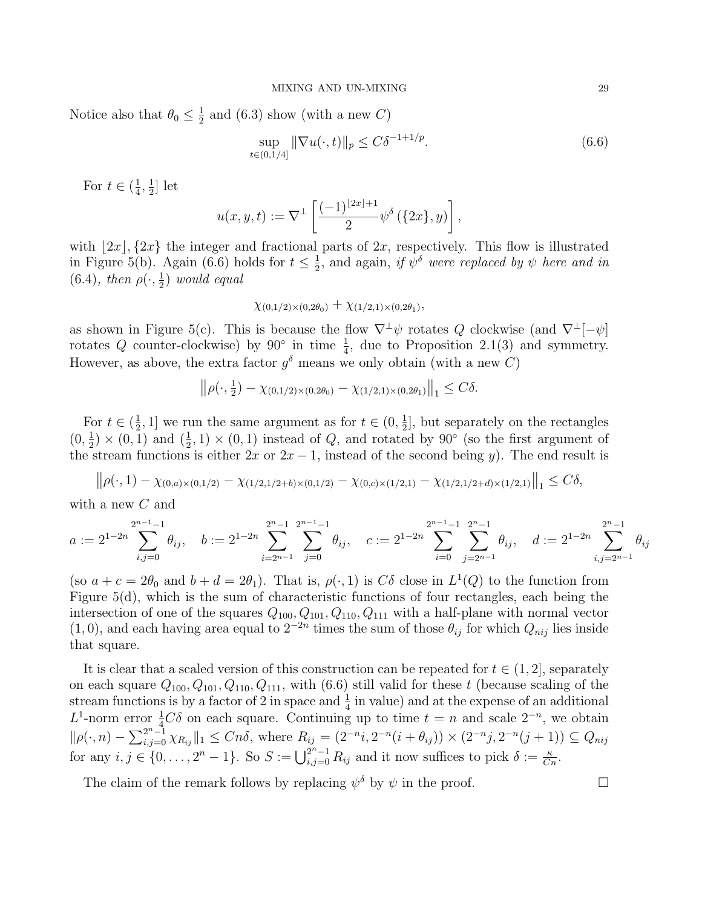Notice also that  $\theta_0 \leq \frac{1}{2}$  $\frac{1}{2}$  and (6.3) show (with a new C)

$$
\sup_{t \in (0,1/4]} \|\nabla u(\cdot, t)\|_{p} \le C\delta^{-1+1/p}.\tag{6.6}
$$

For  $t \in (\frac{1}{4})$  $\frac{1}{4}, \frac{1}{2}$  $\frac{1}{2}$  let

$$
u(x,y,t) := \nabla^{\perp} \left[ \frac{(-1)^{\lfloor 2x \rfloor + 1}}{2} \psi^{\delta} \left( \{ 2x \}, y \right) \right],
$$

with  $|2x|$ ,  $\{2x\}$  the integer and fractional parts of  $2x$ , respectively. This flow is illustrated in Figure 5(b). Again (6.6) holds for  $t \leq \frac{1}{2}$  $\frac{1}{2}$ , and again, if  $\psi^{\delta}$  were replaced by  $\psi$  here and in (6.4), then  $\rho(\cdot, \frac{1}{2})$  $(\frac{1}{2})$  would equal

$$
\chi_{(0,1/2)\times(0,2\theta_0)} + \chi_{(1/2,1)\times(0,2\theta_1)},
$$

as shown in Figure 5(c). This is because the flow  $\nabla^{\perp}\psi$  rotates Q clockwise (and  $\nabla^{\perp}[-\psi]$ rotates Q counter-clockwise) by  $90^{\circ}$  in time  $\frac{1}{4}$ , due to Proposition 2.1(3) and symmetry. However, as above, the extra factor  $g^{\delta}$  means we only obtain (with a new C)

$$
\left\|\rho(\cdot,\frac{1}{2}) - \chi_{(0,1/2)\times(0,2\theta_0)} - \chi_{(1/2,1)\times(0,2\theta_1)}\right\|_1 \leq C\delta.
$$

For  $t \in (\frac{1}{2})$  $(\frac{1}{2}, 1]$  we run the same argument as for  $t \in (0, \frac{1}{2})$  $\frac{1}{2}$ , but separately on the rectangles  $(0, \frac{1}{2})$  $(\frac{1}{2}) \times (0, 1)$  and  $(\frac{1}{2}, 1) \times (0, 1)$  instead of Q, and rotated by 90° (so the first argument of the stream functions is either  $2x$  or  $2x - 1$ , instead of the second being y). The end result is

$$
\left\|\rho(\cdot,1)-\chi_{(0,a)\times(0,1/2)}-\chi_{(1/2,1/2+b)\times(0,1/2)}-\chi_{(0,c)\times(1/2,1)}-\chi_{(1/2,1/2+d)\times(1/2,1)}\right\|_1\leq C\delta,
$$

with a new C and

$$
a:=2^{1-2n}\sum_{i,j=0}^{2^{n-1}-1}\theta_{ij},\quad b:=2^{1-2n}\sum_{i=2^{n-1}}^{2^{n-1}}\sum_{j=0}^{2^{n-1}-1}\theta_{ij},\quad c:=2^{1-2n}\sum_{i=0}^{2^{n-1}-1}\sum_{j=2^{n-1}}^{2^{n-1}-1}\theta_{ij},\quad d:=2^{1-2n}\sum_{i,j=2^{n-1}}^{2^{n-1}}\theta_{ij}
$$

(so  $a + c = 2\theta_0$  and  $b + d = 2\theta_1$ ). That is,  $\rho(\cdot, 1)$  is  $C\delta$  close in  $L^1(Q)$  to the function from Figure  $5(d)$ , which is the sum of characteristic functions of four rectangles, each being the intersection of one of the squares  $Q_{100}, Q_{101}, Q_{110}, Q_{111}$  with a half-plane with normal vector  $(1,0)$ , and each having area equal to  $2^{-2n}$  times the sum of those  $\theta_{ij}$  for which  $Q_{nij}$  lies inside that square.

It is clear that a scaled version of this construction can be repeated for  $t \in (1, 2]$ , separately on each square  $Q_{100}, Q_{101}, Q_{110}, Q_{111}$ , with  $(6.6)$  still valid for these t (because scaling of the stream functions is by a factor of 2 in space and  $\frac{1}{4}$  in value) and at the expense of an additional L<sup>1</sup>-norm error  $\frac{1}{4}C\delta$  on each square. Continuing up to time  $t = n$  and scale  $2^{-n}$ , we obtain  $\|\rho(\cdot, n) - \sum_{i,j=0}^{2^{n}-1} \chi_{R_{ij}}\|_{1} \leq Cn\delta$ , where  $R_{ij} = (2^{-n}i, 2^{-n}(i+\theta_{ij})) \times (2^{-n}j, 2^{-n}(j+1)) \subseteq Q_{nij}$ for any  $i, j \in \{0, \ldots, 2^n - 1\}$ . So  $S := \bigcup_{i,j=0}^{2^n - 1} R_{ij}$  and it now suffices to pick  $\delta := \frac{\kappa}{C_n}$ .

The claim of the remark follows by replacing  $\psi^{\delta}$  by  $\psi$  in the proof.

$$
2\mathfrak{c}
$$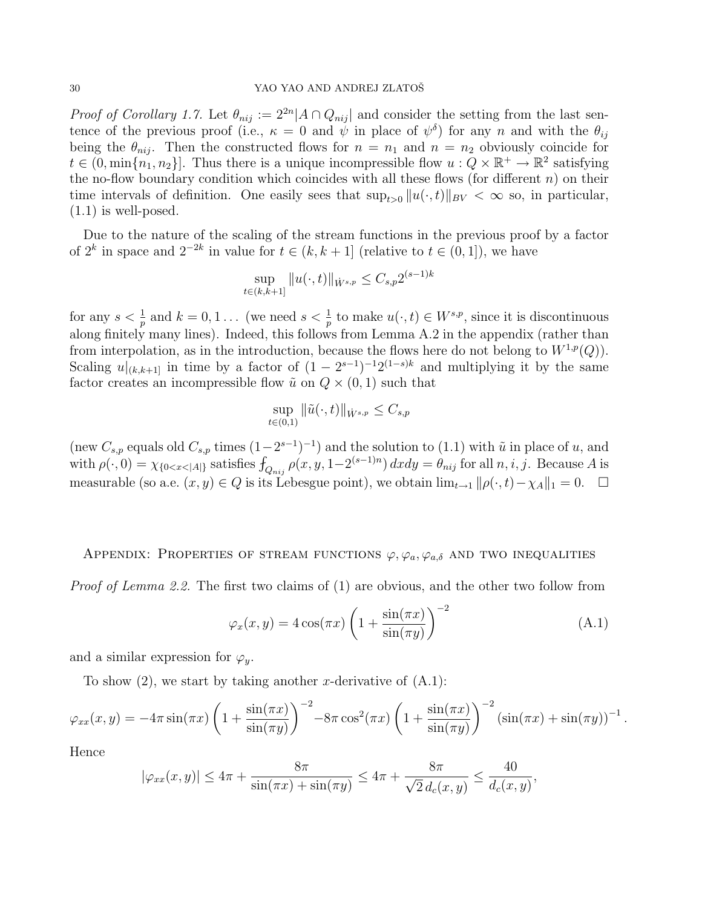### 30 YAO YAO AND ANDREJ ZLATOŠ

*Proof of Corollary 1.7.* Let  $\theta_{nij} := 2^{2n} |A \cap Q_{nij}|$  and consider the setting from the last sentence of the previous proof (i.e.,  $\kappa = 0$  and  $\dot{\psi}$  in place of  $\psi^{\delta}$ ) for any n and with the  $\theta_{ij}$ being the  $\theta_{nij}$ . Then the constructed flows for  $n = n_1$  and  $n = n_2$  obviously coincide for  $t \in (0, \min\{n_1, n_2\}]$ . Thus there is a unique incompressible flow  $u: Q \times \mathbb{R}^+ \to \mathbb{R}^2$  satisfying the no-flow boundary condition which coincides with all these flows (for different  $n$ ) on their time intervals of definition. One easily sees that  $\sup_{t>0} ||u(\cdot,t)||_{BV} < \infty$  so, in particular, (1.1) is well-posed.

Due to the nature of the scaling of the stream functions in the previous proof by a factor of  $2^k$  in space and  $2^{-2k}$  in value for  $t \in (k, k + 1]$  (relative to  $t \in (0, 1]$ ), we have

$$
\sup_{t \in (k,k+1)} \|u(\cdot,t)\|_{\dot{W}^{s,p}} \leq C_{s,p} 2^{(s-1)k}
$$

for any  $s < \frac{1}{p}$  and  $k = 0, 1...$  (we need  $s < \frac{1}{p}$  to make  $u(\cdot, t) \in W^{s,p}$ , since it is discontinuous along finitely many lines). Indeed, this follows from Lemma A.2 in the appendix (rather than from interpolation, as in the introduction, because the flows here do not belong to  $W^{1,p}(Q)$ ). Scaling  $u|_{(k,k+1]}$  in time by a factor of  $(1-2^{s-1})^{-1}2^{(1-s)k}$  and multiplying it by the same factor creates an incompressible flow  $\tilde{u}$  on  $Q \times (0, 1)$  such that

$$
\sup_{t\in(0,1)}\|\tilde{u}(\cdot,t)\|_{\dot{W}^{s,p}}\leq C_{s,p}
$$

(new  $C_{s,p}$  equals old  $C_{s,p}$  times  $(1-2^{s-1})^{-1}$ ) and the solution to  $(1.1)$  with  $\tilde{u}$  in place of u, and with  $\rho(\cdot,0) = \chi_{0 \le x \le |A|}$  satisfies  $\int_{Q_{nij}} \rho(x,y,1-2^{(s-1)n}) dx dy = \theta_{nij}$  for all  $n, i, j$ . Because A is measurable (so a.e.  $(x, y) \in Q$  is its Lebesgue point), we obtain  $\lim_{t \to 1} ||\rho(\cdot, t) - \chi_A||_1 = 0$ .  $\Box$ 

## APPENDIX: PROPERTIES OF STREAM FUNCTIONS  $\varphi, \varphi_a, \varphi_{a,\delta}$  and two inequalities

Proof of Lemma 2.2. The first two claims of (1) are obvious, and the other two follow from

$$
\varphi_x(x, y) = 4\cos(\pi x) \left(1 + \frac{\sin(\pi x)}{\sin(\pi y)}\right)^{-2}
$$
\n(A.1)

and a similar expression for  $\varphi_y$ .

To show  $(2)$ , we start by taking another x-derivative of  $(A.1)$ :

$$
\varphi_{xx}(x,y) = -4\pi \sin(\pi x) \left(1 + \frac{\sin(\pi x)}{\sin(\pi y)}\right)^{-2} - 8\pi \cos^2(\pi x) \left(1 + \frac{\sin(\pi x)}{\sin(\pi y)}\right)^{-2} \left(\sin(\pi x) + \sin(\pi y)\right)^{-1}.
$$

Hence

$$
|\varphi_{xx}(x,y)| \le 4\pi + \frac{8\pi}{\sin(\pi x) + \sin(\pi y)} \le 4\pi + \frac{8\pi}{\sqrt{2} d_c(x,y)} \le \frac{40}{d_c(x,y)},
$$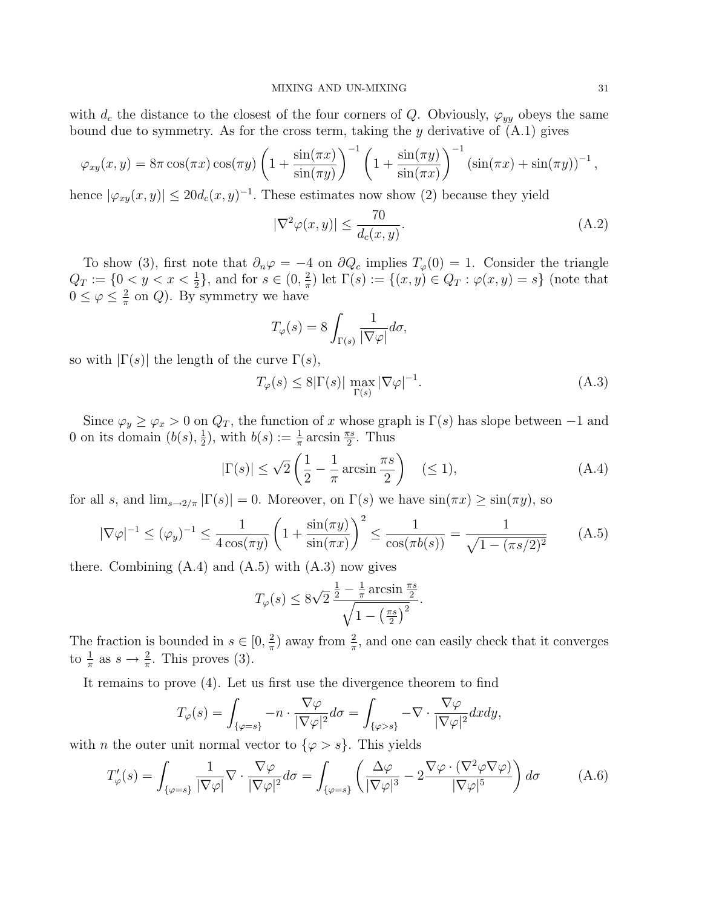with  $d_c$  the distance to the closest of the four corners of Q. Obviously,  $\varphi_{yy}$  obeys the same bound due to symmetry. As for the cross term, taking the  $y$  derivative of  $(A.1)$  gives

$$
\varphi_{xy}(x,y) = 8\pi \cos(\pi x) \cos(\pi y) \left(1 + \frac{\sin(\pi x)}{\sin(\pi y)}\right)^{-1} \left(1 + \frac{\sin(\pi y)}{\sin(\pi x)}\right)^{-1} \left(\sin(\pi x) + \sin(\pi y)\right)^{-1},
$$

hence  $|\varphi_{xy}(x, y)| \leq 20 d_c(x, y)^{-1}$ . These estimates now show (2) because they yield

$$
|\nabla^2 \varphi(x, y)| \le \frac{70}{d_c(x, y)}.\tag{A.2}
$$

To show (3), first note that  $\partial_n \varphi = -4$  on  $\partial Q_c$  implies  $T_{\varphi}(0) = 1$ . Consider the triangle  $Q_T := \{0 \le y \le x \le \frac{1}{2}\},\$  and for  $s \in (0, \frac{2}{\pi})\}$  $(\frac{2}{\pi})$  let  $\Gamma(s) := \{(x, y) \in Q_T : \varphi(x, y) = s\}$  (note that  $0 \leq \varphi \leq \frac{2}{\pi}$  $\frac{2}{\pi}$  on Q). By symmetry we have

$$
T_{\varphi}(s) = 8 \int_{\Gamma(s)} \frac{1}{|\nabla \varphi|} d\sigma,
$$

so with  $|\Gamma(s)|$  the length of the curve  $\Gamma(s)$ ,

$$
T_{\varphi}(s) \le 8|\Gamma(s)| \max_{\Gamma(s)} |\nabla \varphi|^{-1}.
$$
\n(A.3)

Since  $\varphi_y \ge \varphi_x > 0$  on  $Q_T$ , the function of x whose graph is  $\Gamma(s)$  has slope between -1 and 0 on its domain  $(b(s), \frac{1}{2})$  $(\frac{1}{2})$ , with  $b(s) := \frac{1}{\pi} \arcsin \frac{\pi s}{2}$ . Thus

$$
|\Gamma(s)| \le \sqrt{2} \left( \frac{1}{2} - \frac{1}{\pi} \arcsin \frac{\pi s}{2} \right) \quad (\le 1), \tag{A.4}
$$

for all s, and  $\lim_{s\to 2/\pi} |\Gamma(s)| = 0$ . Moreover, on  $\Gamma(s)$  we have  $\sin(\pi x) \geq \sin(\pi y)$ , so

$$
|\nabla \varphi|^{-1} \le (\varphi_y)^{-1} \le \frac{1}{4\cos(\pi y)} \left(1 + \frac{\sin(\pi y)}{\sin(\pi x)}\right)^2 \le \frac{1}{\cos(\pi b(s))} = \frac{1}{\sqrt{1 - (\pi s/2)^2}} \tag{A.5}
$$

there. Combining  $(A.4)$  and  $(A.5)$  with  $(A.3)$  now gives

$$
T_{\varphi}(s) \le 8\sqrt{2} \frac{\frac{1}{2} - \frac{1}{\pi} \arcsin \frac{\pi s}{2}}{\sqrt{1 - \left(\frac{\pi s}{2}\right)^2}}.
$$

The fraction is bounded in  $s \in [0, \frac{2}{\pi}]$  $(\frac{2}{\pi})$  away from  $\frac{2}{\pi}$ , and one can easily check that it converges to  $\frac{1}{\pi}$  as  $s \to \frac{2}{\pi}$ . This proves (3).

It remains to prove (4). Let us first use the divergence theorem to find

$$
T_{\varphi}(s) = \int_{\{\varphi=s\}} -n \cdot \frac{\nabla \varphi}{|\nabla \varphi|^2} d\sigma = \int_{\{\varphi>s\}} -\nabla \cdot \frac{\nabla \varphi}{|\nabla \varphi|^2} dxdy,
$$

with *n* the outer unit normal vector to  $\{\varphi > s\}$ . This yields

$$
T'_{\varphi}(s) = \int_{\{\varphi=s\}} \frac{1}{|\nabla \varphi|} \nabla \cdot \frac{\nabla \varphi}{|\nabla \varphi|^2} d\sigma = \int_{\{\varphi=s\}} \left( \frac{\Delta \varphi}{|\nabla \varphi|^3} - 2 \frac{\nabla \varphi \cdot (\nabla^2 \varphi \nabla \varphi)}{|\nabla \varphi|^5} \right) d\sigma \tag{A.6}
$$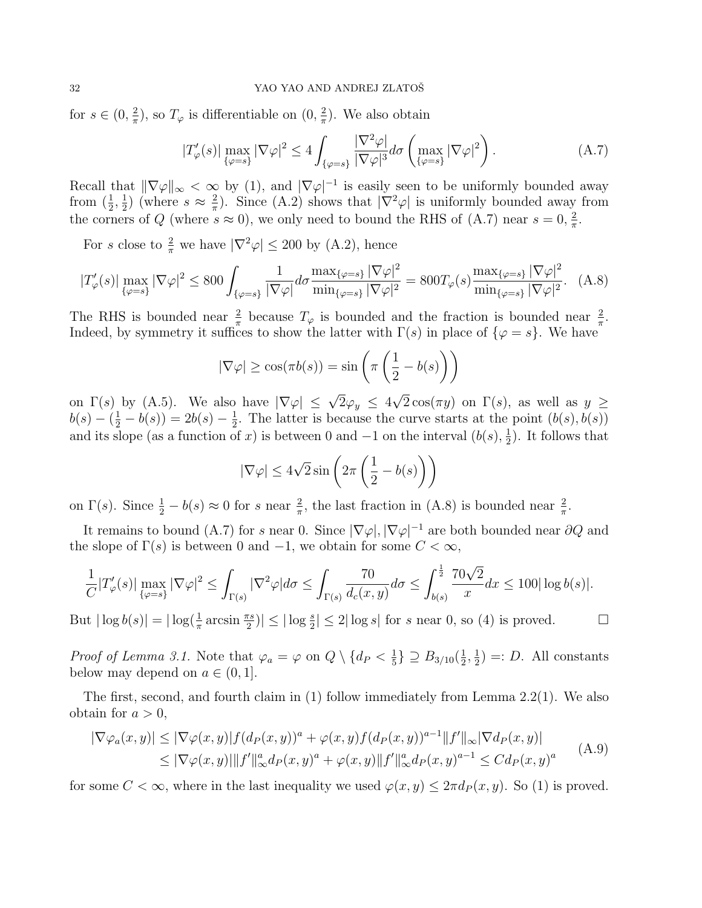for  $s \in (0, \frac{2}{\pi})$  $(\frac{2}{\pi})$ , so  $T_{\varphi}$  is differentiable on  $(0, \frac{2}{\pi})$  $\frac{2}{\pi}$ ). We also obtain

$$
|T'_{\varphi}(s)| \max_{\{\varphi=s\}} |\nabla \varphi|^2 \le 4 \int_{\{\varphi=s\}} \frac{|\nabla^2 \varphi|}{|\nabla \varphi|^3} d\sigma \left( \max_{\{\varphi=s\}} |\nabla \varphi|^2 \right). \tag{A.7}
$$

Recall that  $\|\nabla \varphi\|_{\infty} < \infty$  by (1), and  $|\nabla \varphi|^{-1}$  is easily seen to be uniformly bounded away from  $(\frac{1}{2}, \frac{1}{2})$  $(\frac{1}{2})$  (where  $s \approx \frac{2}{\pi}$  $\frac{2}{\pi}$ ). Since (A.2) shows that  $|\nabla^2 \varphi|$  is uniformly bounded away from the corners of Q (where  $s \approx 0$ ), we only need to bound the RHS of (A.7) near  $s = 0, \frac{2}{\pi}$  $\frac{2}{\pi}$ .

For s close to  $\frac{2}{\pi}$  we have  $|\nabla^2 \varphi| \le 200$  by (A.2), hence

$$
|T'_{\varphi}(s)| \max_{\{\varphi=s\}} |\nabla \varphi|^2 \le 800 \int_{\{\varphi=s\}} \frac{1}{|\nabla \varphi|} d\sigma \frac{\max_{\{\varphi=s\}} |\nabla \varphi|^2}{\min_{\{\varphi=s\}} |\nabla \varphi|^2} = 800 T_{\varphi}(s) \frac{\max_{\{\varphi=s\}} |\nabla \varphi|^2}{\min_{\{\varphi=s\}} |\nabla \varphi|^2}.
$$
 (A.8)

The RHS is bounded near  $\frac{2}{\pi}$  because  $T_{\varphi}$  is bounded and the fraction is bounded near  $\frac{2}{\pi}$ . Indeed, by symmetry it suffices to show the latter with  $\Gamma(s)$  in place of  $\{\varphi = s\}$ . We have

$$
|\nabla \varphi| \ge \cos(\pi b(s)) = \sin\left(\pi \left(\frac{1}{2} - b(s)\right)\right)
$$

on  $\Gamma(s)$  by (A.5). We also have  $|\nabla \varphi| \leq \sqrt{2}\varphi_y \leq 4\sqrt{2}\cos(\pi y)$  on  $\Gamma(s)$ , as well as  $y \geq$  $b(s) - (\frac{1}{2} - b(s)) = 2b(s) - \frac{1}{2}$  $\frac{1}{2}$ . The latter is because the curve starts at the point  $(b(s), b(s))$ and its slope (as a function of x) is between 0 and  $-1$  on the interval  $(b(s), \frac{1}{2})$  $(\frac{1}{2})$ . It follows that

$$
|\nabla \varphi| \le 4\sqrt{2}\sin\left(2\pi\left(\frac{1}{2} - b(s)\right)\right)
$$

on  $\Gamma(s)$ . Since  $\frac{1}{2} - b(s) \approx 0$  for s near  $\frac{2}{\pi}$ , the last fraction in (A.8) is bounded near  $\frac{2}{\pi}$ .

It remains to bound (A.7) for s near 0. Since  $|\nabla \varphi|, |\nabla \varphi|^{-1}$  are both bounded near  $\partial Q$  and the slope of  $\Gamma(s)$  is between 0 and  $-1$ , we obtain for some  $C < \infty$ ,

$$
\frac{1}{C}|T'_{\varphi}(s)|\max_{\{\varphi=s\}}|\nabla \varphi|^2\leq \int_{\Gamma(s)}|\nabla^2 \varphi|d\sigma\leq \int_{\Gamma(s)}\frac{70}{d_c(x,y)}d\sigma\leq \int_{b(s)}^{\frac{1}{2}}\frac{70\sqrt{2}}{x}dx\leq 100|\log b(s)|.
$$

But  $|\log b(s)| = |\log(\frac{1}{\pi} \arcsin \frac{\pi s}{2})| \leq |\log \frac{s}{2}| \leq 2|\log s|$  for s near 0, so (4) is proved.

*Proof of Lemma 3.1.* Note that  $\varphi_a = \varphi$  on  $Q \setminus \{d_P < \frac{1}{5}\}\$  $\frac{1}{5}$ }  $\supseteq B_{3/10}(\frac{1}{2})$  $\frac{1}{2}, \frac{1}{2}$  $(\frac{1}{2})$  =: D. All constants below may depend on  $a \in (0,1]$ .

The first, second, and fourth claim in (1) follow immediately from Lemma 2.2(1). We also obtain for  $a > 0$ ,

$$
|\nabla \varphi_a(x, y)| \leq |\nabla \varphi(x, y)| f(d_P(x, y))^a + \varphi(x, y) f(d_P(x, y))^{a-1} ||f'||_{\infty} |\nabla d_P(x, y)|
$$
  
\n
$$
\leq |\nabla \varphi(x, y)| ||f'||_{\infty}^a d_P(x, y)^a + \varphi(x, y) ||f'||_{\infty}^a d_P(x, y)^{a-1} \leq C d_P(x, y)^a
$$
 (A.9)

for some  $C < \infty$ , where in the last inequality we used  $\varphi(x, y) \leq 2\pi d_P(x, y)$ . So (1) is proved.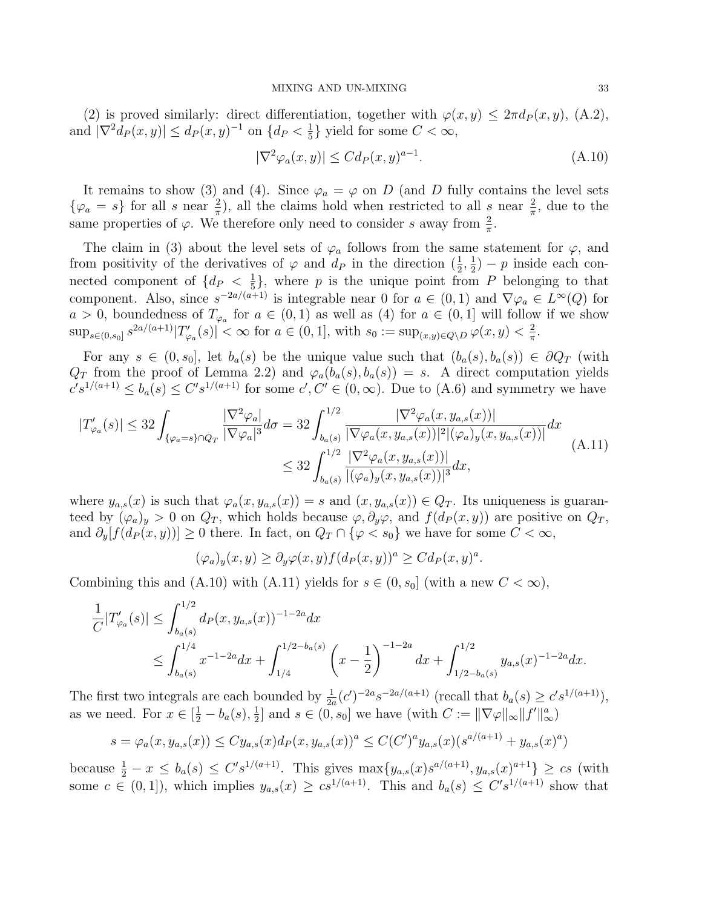(2) is proved similarly: direct differentiation, together with  $\varphi(x, y) \leq 2\pi d_P(x, y)$ , (A.2), and  $|\nabla^2 d_P(x, y)| \leq d_P(x, y)^{-1}$  on  $\{d_P < \frac{1}{5}\}$  $\frac{1}{5}$  yield for some  $C < \infty$ ,

$$
|\nabla^2 \varphi_a(x, y)| \le C d_P(x, y)^{a-1}.
$$
\n(A.10)

It remains to show (3) and (4). Since  $\varphi_a = \varphi$  on D (and D fully contains the level sets  $\{\varphi_a = s\}$  for all s near  $\frac{2}{\pi}$ , all the claims hold when restricted to all s near  $\frac{2}{\pi}$ , due to the same properties of  $\varphi$ . We therefore only need to consider s away from  $\frac{2}{\pi}$ .

The claim in (3) about the level sets of  $\varphi_a$  follows from the same statement for  $\varphi$ , and from positivity of the derivatives of  $\varphi$  and  $d_P$  in the direction  $(\frac{1}{2}, \frac{1}{2})$  $(\frac{1}{2}) - p$  inside each connected component of  $\{d_P < \frac{1}{5}\}$  $\frac{1}{5}$ , where p is the unique point from P belonging to that component. Also, since  $s^{-2a/(a+1)}$  is integrable near 0 for  $a \in (0,1)$  and  $\nabla \varphi_a \in L^{\infty}(Q)$  for  $a > 0$ , boundedness of  $T_{\varphi_a}$  for  $a \in (0,1)$  as well as (4) for  $a \in (0,1]$  will follow if we show  $\sup_{s\in(0,s_0]} s^{2a/(a+1)}|T'_{\varphi_a}(s)| < \infty$  for  $a \in (0,1]$ , with  $s_0 := \sup_{(x,y)\in Q\setminus D} \varphi(x,y) < \frac{2}{\pi}$  $\frac{2}{\pi}$ .

For any  $s \in (0, s_0]$ , let  $b_a(s)$  be the unique value such that  $(b_a(s), b_a(s)) \in \partial Q_T$  (with  $Q_T$  from the proof of Lemma 2.2) and  $\varphi_a(b_a(s), b_a(s)) = s$ . A direct computation yields  $c's^{1/(a+1)} \leq b_a(s) \leq C's^{1/(a+1)}$  for some  $c', C' \in (0, \infty)$ . Due to  $(A.6)$  and symmetry we have

$$
|T'_{\varphi_a}(s)| \leq 32 \int_{\{\varphi_a = s\} \cap Q_T} \frac{|\nabla^2 \varphi_a|}{|\nabla \varphi_a|^3} d\sigma = 32 \int_{b_a(s)}^{1/2} \frac{|\nabla^2 \varphi_a(x, y_{a,s}(x))|}{|\nabla \varphi_a(x, y_{a,s}(x))|^2 |(\varphi_a)_y(x, y_{a,s}(x))|} dx
$$
  

$$
\leq 32 \int_{b_a(s)}^{1/2} \frac{|\nabla^2 \varphi_a(x, y_{a,s}(x))|}{|(\varphi_a)_y(x, y_{a,s}(x))|^3} dx,
$$
 (A.11)

where  $y_{a,s}(x)$  is such that  $\varphi_a(x, y_{a,s}(x)) = s$  and  $(x, y_{a,s}(x)) \in Q_T$ . Its uniqueness is guaranteed by  $(\varphi_a)_y > 0$  on  $Q_T$ , which holds because  $\varphi$ ,  $\partial_y \varphi$ , and  $f(d_P(x, y))$  are positive on  $Q_T$ , and  $\partial_y[f(d_P(x,y))] \geq 0$  there. In fact, on  $Q_T \cap {\varphi < s_0}$  we have for some  $C < \infty$ ,

$$
(\varphi_a)_y(x,y) \ge \partial_y \varphi(x,y) f(d_P(x,y))^a \ge C d_P(x,y)^a.
$$

Combining this and (A.10) with (A.11) yields for  $s \in (0, s_0]$  (with a new  $C < \infty$ ),

$$
\frac{1}{C}|T'_{\varphi_a}(s)| \le \int_{b_a(s)}^{1/2} d_P(x, y_{a,s}(x))^{-1-2a} dx
$$
\n
$$
\le \int_{b_a(s)}^{1/4} x^{-1-2a} dx + \int_{1/4}^{1/2 - b_a(s)} \left(x - \frac{1}{2}\right)^{-1-2a} dx + \int_{1/2 - b_a(s)}^{1/2} y_{a,s}(x)^{-1-2a} dx.
$$

The first two integrals are each bounded by  $\frac{1}{2a}(c')^{-2a} s^{-2a/(a+1)}$  (recall that  $b_a(s) \ge c' s^{1/(a+1)}$ ), as we need. For  $x \in \left[\frac{1}{2} - b_a(s), \frac{1}{2}\right]$  $\frac{1}{2}$  and  $s \in (0, s_0]$  we have (with  $C := ||\nabla \varphi||_{\infty} ||f'||_{\infty}^a$ )

$$
s = \varphi_a(x, y_{a,s}(x)) \le C y_{a,s}(x) d_P(x, y_{a,s}(x))^a \le C(C')^a y_{a,s}(x) (s^{a/(a+1)} + y_{a,s}(x)^a)
$$

because  $\frac{1}{2} - x \leq b_a(s) \leq C' s^{1/(a+1)}$ . This gives  $\max\{y_{a,s}(x)s^{a/(a+1)}, y_{a,s}(x)^{a+1}\} \geq cs$  (with some  $c \in (0,1]$ , which implies  $y_{a,s}(x) \geq c s^{1/(a+1)}$ . This and  $b_a(s) \leq C' s^{1/(a+1)}$  show that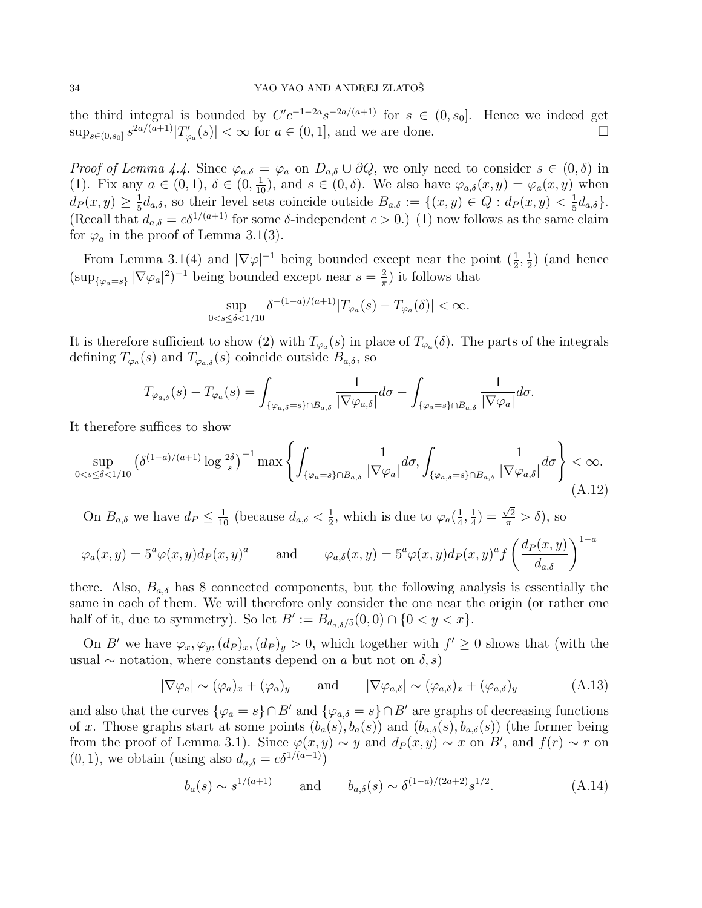the third integral is bounded by  $C'c^{-1-2a}s^{-2a/(a+1)}$  for  $s \in (0, s_0]$ . Hence we indeed get  $\sup_{s\in(0,s_0]} s^{2a/(a+1)}|T'_{\varphi_a}(s)| < \infty$  for  $a \in (0,1]$ , and we are done.

*Proof of Lemma 4.4.* Since  $\varphi_{a,\delta} = \varphi_a$  on  $D_{a,\delta} \cup \partial Q$ , we only need to consider  $s \in (0,\delta)$  in (1). Fix any  $a \in (0,1)$ ,  $\delta \in (0, \frac{1}{10})$ , and  $s \in (0, \delta)$ . We also have  $\varphi_{a,\delta}(x,y) = \varphi_a(x,y)$  when  $d_P(x,y) \geq \frac{1}{5}$  $\frac{1}{5}d_{a,\delta}$ , so their level sets coincide outside  $B_{a,\delta} := \{(x,y) \in Q : d_P(x,y) < \frac{1}{5}\}$  $\frac{1}{5}d_{a,\delta}\}.$ (Recall that  $d_{a,\delta} = c\delta^{1/(a+1)}$  for some  $\delta$ -independent  $c > 0$ .) (1) now follows as the same claim for  $\varphi_a$  in the proof of Lemma 3.1(3).

From Lemma 3.1(4) and  $|\nabla \varphi|^{-1}$  being bounded except near the point  $(\frac{1}{2}, \frac{1}{2})$  $(\frac{1}{2})$  (and hence  $(\sup_{\{\varphi_a=s\}} |\nabla \varphi_a|^2)^{-1}$  being bounded except near  $s=\frac{2}{\pi}$  $\frac{2}{\pi}$ ) it follows that

$$
\sup_{0
$$

It is therefore sufficient to show (2) with  $T_{\varphi_a}(s)$  in place of  $T_{\varphi_a}(\delta)$ . The parts of the integrals defining  $T_{\varphi_a}(s)$  and  $T_{\varphi_{a,\delta}}(s)$  coincide outside  $B_{a,\delta}$ , so

$$
T_{\varphi_{a,\delta}}(s) - T_{\varphi_a}(s) = \int_{\{\varphi_{a,\delta}=s\}\cap B_{a,\delta}} \frac{1}{|\nabla \varphi_{a,\delta}|} d\sigma - \int_{\{\varphi_{a}=s\}\cap B_{a,\delta}} \frac{1}{|\nabla \varphi_a|} d\sigma.
$$

It therefore suffices to show

$$
\sup_{0 < s \le \delta < 1/10} \left( \delta^{(1-a)/(a+1)} \log \frac{2\delta}{s} \right)^{-1} \max \left\{ \int_{\{\varphi_a = s\} \cap B_{a,\delta}} \frac{1}{|\nabla \varphi_a|} d\sigma, \int_{\{\varphi_{a,\delta} = s\} \cap B_{a,\delta}} \frac{1}{|\nabla \varphi_{a,\delta}|} d\sigma \right\} < \infty. \tag{A.12}
$$

On  $B_{a,\delta}$  we have  $d_P \leq \frac{1}{10}$  (because  $d_{a,\delta} < \frac{1}{2}$  $\frac{1}{2}$ , which is due to  $\varphi_a(\frac{1}{4})$  $\frac{1}{4}, \frac{1}{4}$  $(\frac{1}{4}) =$  $\frac{\sqrt{2}}{\pi} > \delta$ ), so

$$
\varphi_a(x, y) = 5^a \varphi(x, y) d_P(x, y)^a
$$
 and  $\varphi_{a, \delta}(x, y) = 5^a \varphi(x, y) d_P(x, y)^a f\left(\frac{d_P(x, y)}{d_{a, \delta}}\right)^{1-a}$ 

there. Also,  $B_{a,\delta}$  has 8 connected components, but the following analysis is essentially the same in each of them. We will therefore only consider the one near the origin (or rather one half of it, due to symmetry). So let  $B' := B_{d_{a, \delta}/5}(0, 0) \cap \{0 < y < x\}.$ 

On B' we have  $\varphi_x, \varphi_y, (d_P)_x, (d_P)_y > 0$ , which together with  $f' \geq 0$  shows that (with the usual  $\sim$  notation, where constants depend on a but not on  $\delta$ , s)

$$
|\nabla \varphi_a| \sim (\varphi_a)_x + (\varphi_a)_y \quad \text{and} \quad |\nabla \varphi_{a,\delta}| \sim (\varphi_{a,\delta})_x + (\varphi_{a,\delta})_y \quad (A.13)
$$

and also that the curves  $\{\varphi_a = s\} \cap B'$  and  $\{\varphi_{a,\delta} = s\} \cap B'$  are graphs of decreasing functions of x. Those graphs start at some points  $(b_a(s), b_a(s))$  and  $(b_{a,\delta}(s), b_{a,\delta}(s))$  (the former being from the proof of Lemma 3.1). Since  $\varphi(x, y) \sim y$  and  $d_P(x, y) \sim x$  on B', and  $f(r) \sim r$  on  $(0, 1)$ , we obtain (using also  $d_{a,\delta} = c\delta^{1/(a+1)}$ )

$$
b_a(s) \sim s^{1/(a+1)}
$$
 and  $b_{a,\delta}(s) \sim \delta^{(1-a)/(2a+2)} s^{1/2}.$  (A.14)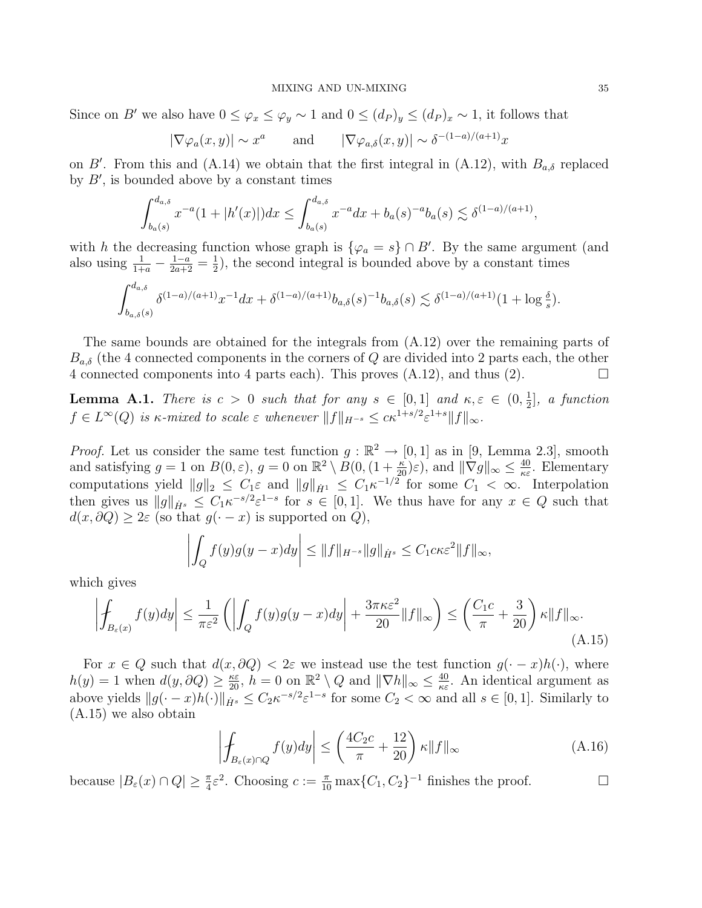Since on B' we also have  $0 \leq \varphi_x \leq \varphi_y \sim 1$  and  $0 \leq (d_P)_y \leq (d_P)_x \sim 1$ , it follows that

$$
|\nabla \varphi_a(x, y)| \sim x^a
$$
 and  $|\nabla \varphi_{a, \delta}(x, y)| \sim \delta^{-(1-a)/(a+1)} x$ 

on B'. From this and (A.14) we obtain that the first integral in (A.12), with  $B_{a,\delta}$  replaced by  $B'$ , is bounded above by a constant times

$$
\int_{b_a(s)}^{d_{a,\delta}} x^{-a} (1+|h'(x)|) dx \le \int_{b_a(s)}^{d_{a,\delta}} x^{-a} dx + b_a(s)^{-a} b_a(s) \lesssim \delta^{(1-a)/(a+1)},
$$

with h the decreasing function whose graph is  $\{\varphi_a = s\} \cap B'$ . By the same argument (and also using  $\frac{1}{1+a} - \frac{1-a}{2a+2} = \frac{1}{2}$  $\frac{1}{2}$ , the second integral is bounded above by a constant times

$$
\int_{b_{a,\delta}(s)}^{d_{a,\delta}} \delta^{(1-a)/(a+1)} x^{-1} dx + \delta^{(1-a)/(a+1)} b_{a,\delta}(s)^{-1} b_{a,\delta}(s) \lesssim \delta^{(1-a)/(a+1)} (1 + \log \frac{\delta}{s}).
$$

The same bounds are obtained for the integrals from (A.12) over the remaining parts of  $B_{a,\delta}$  (the 4 connected components in the corners of Q are divided into 2 parts each, the other 4 connected components into 4 parts each). This proves  $(A.12)$ , and thus  $(2)$ .

**Lemma A.1.** There is  $c > 0$  such that for any  $s \in [0,1]$  and  $\kappa, \varepsilon \in (0, \frac{1}{2})$  $\frac{1}{2}$ , a function  $f \in L^{\infty}(Q)$  is  $\kappa$ -mixed to scale  $\varepsilon$  whenever  $||f||_{H^{-s}} \leq c\kappa^{1+s/2} \varepsilon^{1+s} ||f||_{\infty}$ .

*Proof.* Let us consider the same test function  $g : \mathbb{R}^2 \to [0, 1]$  as in [9, Lemma 2.3], smooth and satisfying  $g = 1$  on  $B(0, \varepsilon)$ ,  $g = 0$  on  $\mathbb{R}^2 \setminus B(0, (1 + \frac{\kappa}{20})\varepsilon)$ , and  $\|\nabla g\|_{\infty} \leq \frac{40}{\kappa \varepsilon}$  $\frac{40}{\kappa \varepsilon}$ . Elementary computations yield  $||g||_2 \leq C_1 \varepsilon$  and  $||g||_{\dot{H}^1} \leq C_1 \kappa^{-1/2}$  for some  $C_1 < \infty$ . Interpolation then gives us  $||g||_{\dot{H}^s} \leq C_1 \kappa^{-s/2} \varepsilon^{1-s}$  for  $s \in [0,1]$ . We thus have for any  $x \in Q$  such that  $d(x, \partial Q) \geq 2\varepsilon$  (so that  $g(\cdot - x)$  is supported on  $Q$ ),

$$
\left| \int_{Q} f(y)g(y-x)dy \right| \leq \|f\|_{H^{-s}} \|g\|_{\dot{H}^{s}} \leq C_{1}c\kappa \varepsilon^{2} \|f\|_{\infty},
$$

which gives

$$
\left| \oint_{B_{\varepsilon}(x)} f(y) dy \right| \leq \frac{1}{\pi \varepsilon^2} \left( \left| \int_Q f(y) g(y - x) dy \right| + \frac{3\pi \kappa \varepsilon^2}{20} ||f||_{\infty} \right) \leq \left( \frac{C_1 c}{\pi} + \frac{3}{20} \right) \kappa ||f||_{\infty}.
$$
\n(A.15)

For  $x \in Q$  such that  $d(x, \partial Q) < 2\varepsilon$  we instead use the test function  $g(\cdot - x)h(\cdot)$ , where  $h(y) = 1$  when  $d(y, \partial Q) \ge \frac{\kappa \varepsilon}{20}$ ,  $h = 0$  on  $\mathbb{R}^2 \setminus Q$  and  $\|\nabla h\|_{\infty} \le \frac{40}{\kappa \varepsilon}$  $\frac{40}{\kappa \varepsilon}$ . An identical argument as above yields  $||g(\cdot - x)h(\cdot)||_{\dot{H}^s} \leq C_2 \kappa^{-s/2} \varepsilon^{1-s}$  for some  $C_2 < \infty$  and all  $s \in [0, 1]$ . Similarly to (A.15) we also obtain

$$
\left| \int_{B_{\varepsilon}(x) \cap Q} f(y) dy \right| \le \left( \frac{4C_2 c}{\pi} + \frac{12}{20} \right) \kappa \| f \|_{\infty} \tag{A.16}
$$

because  $|B_{\varepsilon}(x) \cap Q| \geq \frac{\pi}{4} \varepsilon^2$ . Choosing  $c := \frac{\pi}{10} \max\{C_1, C_2\}^{-1}$  finishes the proof.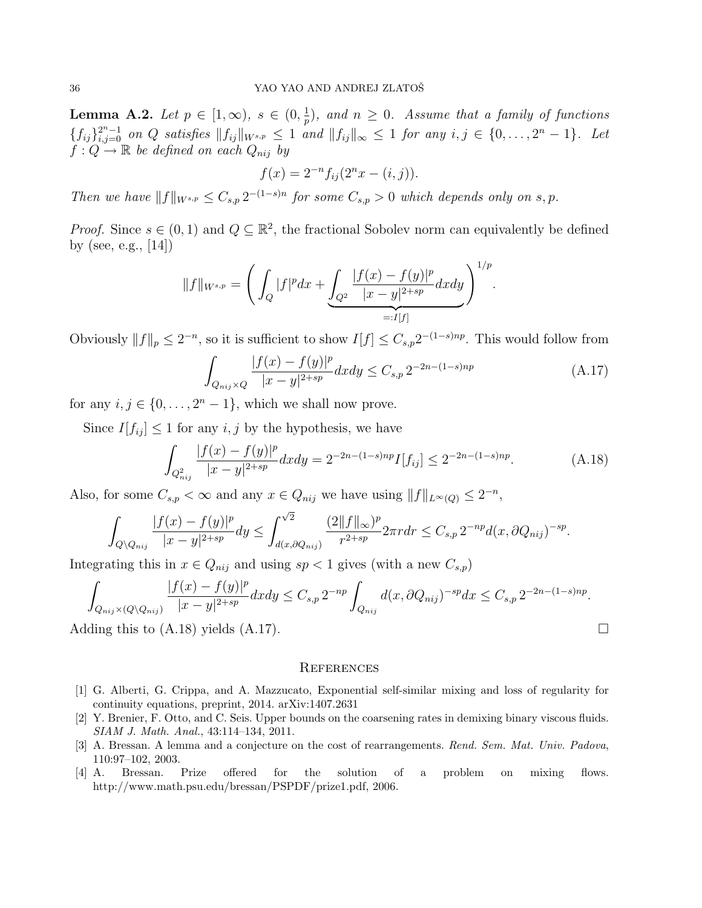**Lemma A.2.** Let  $p \in [1, \infty)$ ,  $s \in (0, \frac{1}{p})$  $\frac{1}{p}$ ), and  $n \geq 0$ . Assume that a family of functions  ${f_{ij}}_{i,j=0}^{2^n-1}$  on Q satisfies  $||f_{ij}||_{W^{s,p}} \leq 1$  and  $||f_{ij}||_{\infty} \leq 1$  for any  $i, j \in \{0, \ldots, 2^n-1\}$ . Let  $f: Q \to \mathbb{R}$  be defined on each  $Q_{nij}$  by

$$
f(x) = 2^{-n} f_{ij} (2^n x - (i, j)).
$$

Then we have  $||f||_{W^{s,p}} \leq C_{s,p} 2^{-(1-s)n}$  for some  $C_{s,p} > 0$  which depends only on s, p.

*Proof.* Since  $s \in (0, 1)$  and  $Q \subseteq \mathbb{R}^2$ , the fractional Sobolev norm can equivalently be defined by (see, e.g., [14])

$$
||f||_{W^{s,p}} = \left(\int_{Q} |f|^p dx + \underbrace{\int_{Q^2} \frac{|f(x) - f(y)|^p}{|x - y|^{2+sp}} dx dy}_{=:I[f]} \right)^{1/p}.
$$

Obviously  $||f||_p \leq 2^{-n}$ , so it is sufficient to show  $I[f] \leq C_{s,p} 2^{-(1-s)np}$ . This would follow from

$$
\int_{Q_{nij}\times Q} \frac{|f(x)-f(y)|^p}{|x-y|^{2+sp}} dxdy \leq C_{s,p} 2^{-2n-(1-s)np} \tag{A.17}
$$

for any  $i, j \in \{0, \ldots, 2<sup>n</sup> - 1\}$ , which we shall now prove.

Since  $I[f_{ij}] \leq 1$  for any  $i, j$  by the hypothesis, we have

$$
\int_{Q_{nij}^2} \frac{|f(x) - f(y)|^p}{|x - y|^{2 + sp}} dx dy = 2^{-2n - (1 - s)np} I[f_{ij}] \le 2^{-2n - (1 - s)np}.
$$
\n(A.18)

Also, for some  $C_{s,p} < \infty$  and any  $x \in Q_{nij}$  we have using  $||f||_{L^{\infty}(Q)} \leq 2^{-n}$ ,

$$
\int_{Q\backslash Q_{nij}}\frac{|f(x)-f(y)|^p}{|x-y|^{2+sp}}dy\leq \int_{d(x,\partial Q_{nij})}^{\sqrt{2}}\frac{(2\|f\|_\infty)^p}{r^{2+sp}}2\pi rdr\leq C_{s,p}2^{-np}d(x,\partial Q_{nij})^{-sp}.
$$

Integrating this in  $x \in Q_{nij}$  and using  $sp < 1$  gives (with a new  $C_{s,p}$ )

$$
\int_{Q_{nij}\times(Q\setminus Q_{nij})} \frac{|f(x)-f(y)|^p}{|x-y|^{2+sp}} dxdy \leq C_{s,p} 2^{-np} \int_{Q_{nij}} d(x,\partial Q_{nij})^{-sp} dx \leq C_{s,p} 2^{-2n-(1-s)np}.
$$
  
Adding this to (A.18) yields (A.17).

## **REFERENCES**

- [1] G. Alberti, G. Crippa, and A. Mazzucato, Exponential self-similar mixing and loss of regularity for continuity equations, preprint, 2014. arXiv:1407.2631
- [2] Y. Brenier, F. Otto, and C. Seis. Upper bounds on the coarsening rates in demixing binary viscous fluids. SIAM J. Math. Anal., 43:114–134, 2011.
- [3] A. Bressan. A lemma and a conjecture on the cost of rearrangements. Rend. Sem. Mat. Univ. Padova, 110:97–102, 2003.
- [4] A. Bressan. Prize offered for the solution of a problem on mixing flows. http://www.math.psu.edu/bressan/PSPDF/prize1.pdf, 2006.